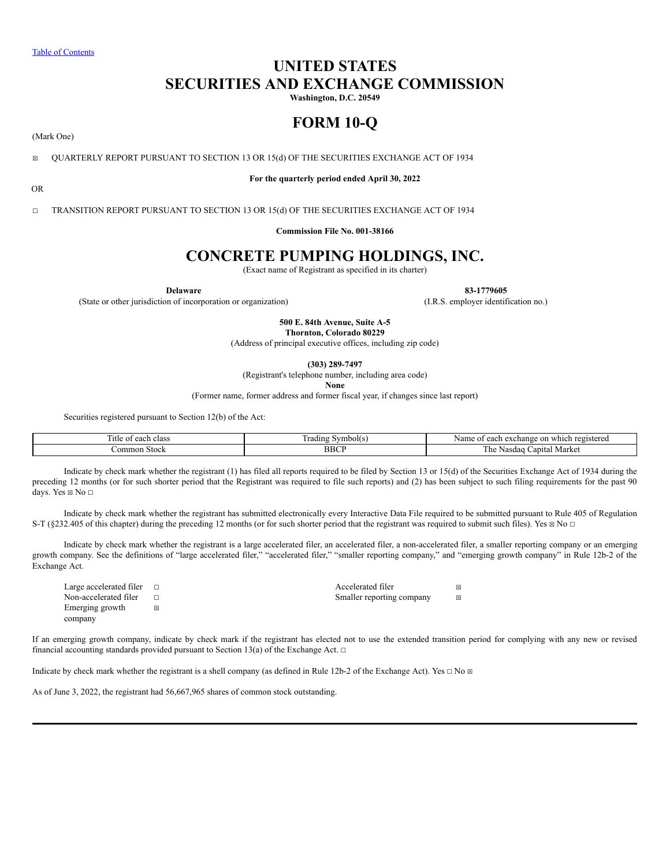# **UNITED STATES SECURITIES AND EXCHANGE COMMISSION**

**Washington, D.C. 20549**

# **FORM 10-Q**

(Mark One)

☒ QUARTERLY REPORT PURSUANT TO SECTION 13 OR 15(d) OF THE SECURITIES EXCHANGE ACT OF 1934

**For the quarterly period ended April 30, 2022**

OR

☐ TRANSITION REPORT PURSUANT TO SECTION 13 OR 15(d) OF THE SECURITIES EXCHANGE ACT OF 1934

**Commission File No. 001-38166**

# **CONCRETE PUMPING HOLDINGS, INC.**

(Exact name of Registrant as specified in its charter)

(State or other jurisdiction of incorporation or organization) (I.R.S. employer identification no.)

**Delaware 83-1779605**

**500 E. 84th Avenue, Suite A-5 Thornton, Colorado 80229**

(Address of principal executive offices, including zip code)

**(303) 289-7497**

(Registrant's telephone number, including area code)

**None**

(Former name, former address and former fiscal year, if changes since last report)

Securities registered pursuant to Section 12(b) of the Act:

| $\sim$<br>l'itle<br>each<br>class | Symbol(s)<br>l radıng             | registered<br>∙on<br>Name<br>exchange<br>which<br>each<br>$\cdots$ |
|-----------------------------------|-----------------------------------|--------------------------------------------------------------------|
| `ommon<br>Stock                   | <b>BBC</b><br>$\overline{\Omega}$ | <b>CONTRACTOR</b><br>Market<br>i he<br>∠apıtal<br>Nasdad           |

Indicate by check mark whether the registrant (1) has filed all reports required to be filed by Section 13 or 15(d) of the Securities Exchange Act of 1934 during the preceding 12 months (or for such shorter period that the Registrant was required to file such reports) and (2) has been subject to such filing requirements for the past 90 days. Yes ⊠ No □

Indicate by check mark whether the registrant has submitted electronically every Interactive Data File required to be submitted pursuant to Rule 405 of Regulation S-T (§232.405 of this chapter) during the preceding 12 months (or for such shorter period that the registrant was required to submit such files). Yes  $\boxtimes$  No  $\Box$ 

Indicate by check mark whether the registrant is a large accelerated filer, an accelerated filer, a non-accelerated filer, a smaller reporting company or an emerging growth company. See the definitions of "large accelerated filer," "accelerated filer," "smaller reporting company," and "emerging growth company" in Rule 12b-2 of the Exchange Act.

| Large accelerated filer $\Box$ |   | Accelerated filer         | 冈 |
|--------------------------------|---|---------------------------|---|
| Non-accelerated filer          |   | Smaller reporting company | ⊠ |
| Emerging growth                | ⊠ |                           |   |
| company                        |   |                           |   |

If an emerging growth company, indicate by check mark if the registrant has elected not to use the extended transition period for complying with any new or revised financial accounting standards provided pursuant to Section 13(a) of the Exchange Act.  $□$ 

Indicate by check mark whether the registrant is a shell company (as defined in Rule 12b-2 of the Exchange Act). Yes  $\Box$  No  $\Box$ 

As of June 3, 2022, the registrant had 56,667,965 shares of common stock outstanding.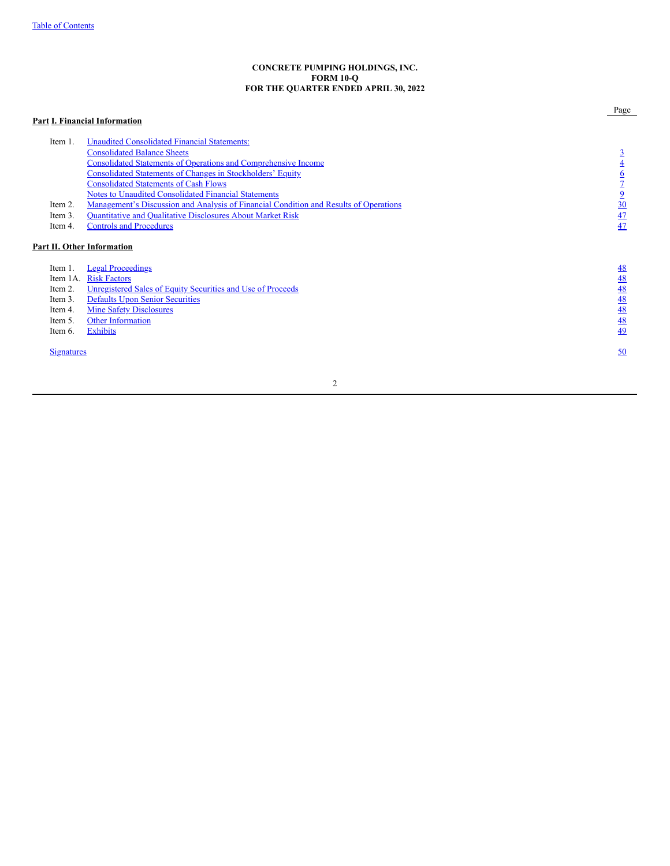# **CONCRETE PUMPING HOLDINGS, INC. FORM 10-Q FOR THE QUARTER ENDED APRIL 30, 2022**

Page

# <span id="page-1-0"></span>**Part I. Financial Information**

| <b>Unaudited Consolidated Financial Statements:</b>                                          |                                        |
|----------------------------------------------------------------------------------------------|----------------------------------------|
| <b>Consolidated Balance Sheets</b>                                                           | $\overline{3}$                         |
| Consolidated Statements of Operations and Comprehensive Income                               | $\overline{4}$                         |
| <b>Consolidated Statements of Changes in Stockholders' Equity</b>                            | $6 \overline{6}$                       |
| <b>Consolidated Statements of Cash Flows</b>                                                 |                                        |
| Notes to Unaudited Consolidated Financial Statements                                         |                                        |
| <u>Management's Discussion and Analysis of Financial Condition and Results of Operations</u> |                                        |
| Quantitative and Qualitative Disclosures About Market Risk                                   | $\frac{9}{30}$ $\frac{47}{2}$          |
| <b>Controls and Procedures</b>                                                               | $\overline{47}$                        |
|                                                                                              |                                        |
| Part II. Other Information                                                                   |                                        |
|                                                                                              |                                        |
| <b>Legal Proceedings</b>                                                                     | $\frac{48}{1}$                         |
| <b>Risk Factors</b><br>Item 1A.                                                              | 48                                     |
| Unregistered Sales of Equity Securities and Use of Proceeds                                  | $\overline{48}$                        |
|                                                                                              | $\frac{48}{48}$                        |
| <b>Mine Safety Disclosures</b>                                                               |                                        |
| <b>Other Information</b>                                                                     | <u>48</u>                              |
| Exhibits                                                                                     | 49                                     |
|                                                                                              |                                        |
|                                                                                              | <u>50</u>                              |
|                                                                                              | <b>Defaults Upon Senior Securities</b> |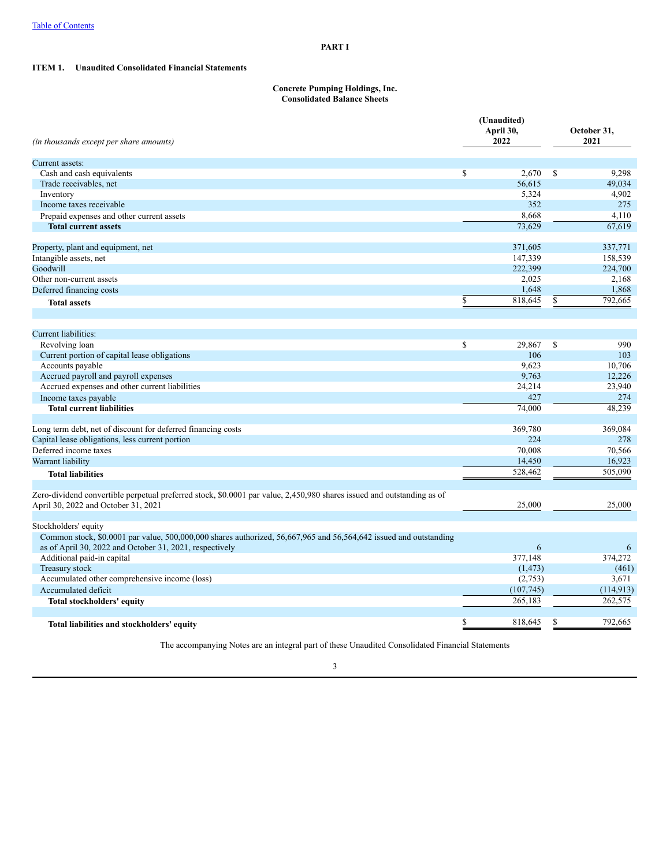# <span id="page-2-0"></span>**ITEM 1. Unaudited Consolidated Financial Statements**

### **Concrete Pumping Holdings, Inc. Consolidated Balance Sheets**

| (in thousands except per share amounts)                                                                                                                                      | (Unaudited)<br>April 30,<br>2022 |               | October 31,<br>2021 |
|------------------------------------------------------------------------------------------------------------------------------------------------------------------------------|----------------------------------|---------------|---------------------|
| Current assets:                                                                                                                                                              |                                  |               |                     |
| Cash and cash equivalents                                                                                                                                                    | \$<br>2,670                      | <sup>S</sup>  | 9,298               |
| Trade receivables, net                                                                                                                                                       | 56.615                           |               | 49.034              |
| Inventory                                                                                                                                                                    | 5,324                            |               | 4,902               |
| Income taxes receivable                                                                                                                                                      | 352                              |               | 275                 |
| Prepaid expenses and other current assets                                                                                                                                    | 8,668                            |               | 4,110               |
| <b>Total current assets</b>                                                                                                                                                  | 73,629                           |               | 67,619              |
| Property, plant and equipment, net                                                                                                                                           | 371.605                          |               | 337,771             |
| Intangible assets, net                                                                                                                                                       | 147,339                          |               | 158,539             |
| Goodwill                                                                                                                                                                     | 222,399                          |               | 224,700             |
| Other non-current assets                                                                                                                                                     | 2,025                            |               | 2,168               |
| Deferred financing costs                                                                                                                                                     | 1,648                            |               | 1,868               |
| <b>Total assets</b>                                                                                                                                                          | \$<br>818,645                    | \$            | 792.665             |
| Current liabilities:                                                                                                                                                         |                                  |               |                     |
| Revolving loan                                                                                                                                                               | \$<br>29,867                     | <sup>\$</sup> | 990                 |
| Current portion of capital lease obligations                                                                                                                                 | 106                              |               | 103                 |
| Accounts payable                                                                                                                                                             | 9.623                            |               | 10,706              |
| Accrued payroll and payroll expenses                                                                                                                                         | 9,763                            |               | 12,226              |
| Accrued expenses and other current liabilities                                                                                                                               | 24,214                           |               | 23,940              |
| Income taxes payable                                                                                                                                                         | 427                              |               | 274                 |
| <b>Total current liabilities</b>                                                                                                                                             | 74,000                           |               | 48,239              |
| Long term debt, net of discount for deferred financing costs                                                                                                                 | 369,780                          |               | 369,084             |
| Capital lease obligations, less current portion                                                                                                                              | 224                              |               | 278                 |
| Deferred income taxes                                                                                                                                                        | 70,008                           |               | 70,566              |
| Warrant liability                                                                                                                                                            | 14,450                           |               | 16,923              |
| <b>Total liabilities</b>                                                                                                                                                     | 528,462                          |               | 505,090             |
| Zero-dividend convertible perpetual preferred stock, \$0.0001 par value, 2,450,980 shares issued and outstanding as of<br>April 30, 2022 and October 31, 2021                | 25,000                           |               | 25,000              |
| Stockholders' equity                                                                                                                                                         |                                  |               |                     |
| Common stock, \$0.0001 par value, 500,000,000 shares authorized, 56,667,965 and 56,564,642 issued and outstanding<br>as of April 30, 2022 and October 31, 2021, respectively | 6                                |               | 6                   |
| Additional paid-in capital                                                                                                                                                   | 377,148                          |               | 374,272             |
| Treasury stock                                                                                                                                                               | (1, 473)                         |               | (461)               |
| Accumulated other comprehensive income (loss)                                                                                                                                | (2,753)                          |               | 3,671               |
| Accumulated deficit                                                                                                                                                          | (107,745)                        |               | (114, 913)          |
| Total stockholders' equity                                                                                                                                                   | 265,183                          |               | 262,575             |
| Total liabilities and stockholders' equity                                                                                                                                   | \$<br>818,645                    |               | 792,665             |

The accompanying Notes are an integral part of these Unaudited Consolidated Financial Statements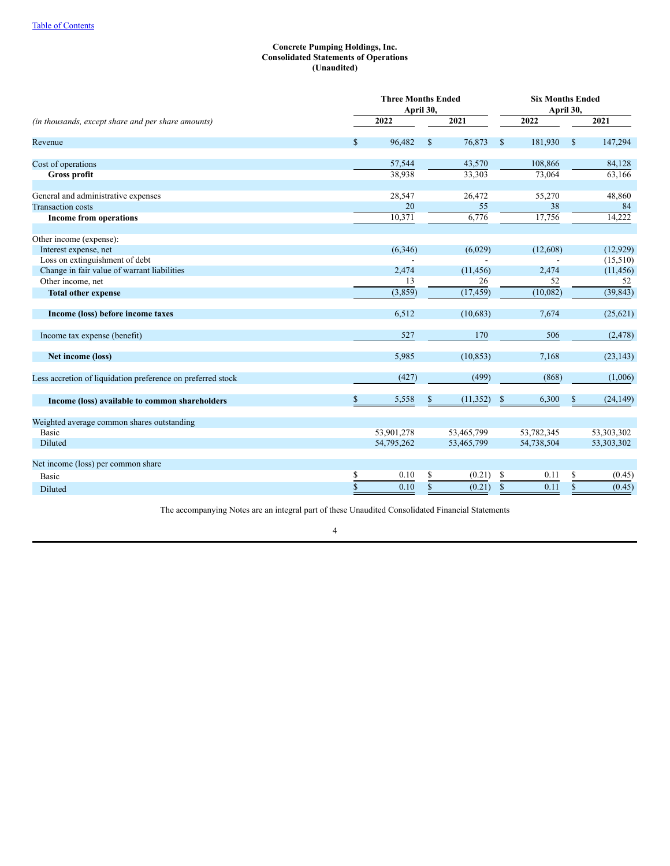### **Concrete Pumping Holdings, Inc. Consolidated Statements of Operations (Unaudited)**

<span id="page-3-0"></span>

|                                                             |              | <b>Three Months Ended</b><br>April 30, |    | <b>Six Months Ended</b><br>April 30, |              |            |              |            |  |
|-------------------------------------------------------------|--------------|----------------------------------------|----|--------------------------------------|--------------|------------|--------------|------------|--|
| (in thousands, except share and per share amounts)          |              | 2022                                   |    | 2021                                 |              | 2022       |              | 2021       |  |
| Revenue                                                     | $\mathbb{S}$ | 96,482                                 | \$ | 76,873                               | $\mathbb{S}$ | 181,930    | $\mathbb{S}$ | 147,294    |  |
| Cost of operations                                          |              | 57,544                                 |    | 43,570                               |              | 108,866    |              | 84,128     |  |
| Gross profit                                                |              | 38,938                                 |    | 33,303                               |              | 73,064     |              | 63,166     |  |
| General and administrative expenses                         |              | 28,547                                 |    | 26,472                               |              | 55,270     |              | 48,860     |  |
| <b>Transaction costs</b>                                    |              | 20                                     |    | 55                                   |              | 38         |              | 84         |  |
| <b>Income from operations</b>                               |              | 10,371                                 |    | 6,776                                |              | 17,756     |              | 14,222     |  |
| Other income (expense):                                     |              |                                        |    |                                      |              |            |              |            |  |
| Interest expense, net                                       |              | (6,346)                                |    | (6,029)                              |              | (12,608)   |              | (12,929)   |  |
| Loss on extinguishment of debt                              |              |                                        |    |                                      |              |            |              | (15,510)   |  |
| Change in fair value of warrant liabilities                 |              | 2,474                                  |    | (11, 456)                            |              | 2,474      |              | (11, 456)  |  |
| Other income, net                                           |              | 13                                     |    | 26                                   |              | 52         |              | 52         |  |
| <b>Total other expense</b>                                  |              | (3,859)                                |    | (17, 459)                            |              | (10,082)   |              | (39, 843)  |  |
| Income (loss) before income taxes                           |              | 6,512                                  |    | (10,683)                             |              | 7,674      |              | (25,621)   |  |
| Income tax expense (benefit)                                |              | 527                                    |    | 170                                  |              | 506        |              | (2, 478)   |  |
| Net income (loss)                                           |              | 5,985                                  |    | (10, 853)                            |              | 7,168      |              | (23, 143)  |  |
| Less accretion of liquidation preference on preferred stock |              | (427)                                  |    | (499)                                |              | (868)      |              | (1,006)    |  |
| Income (loss) available to common shareholders              | \$           | 5,558                                  | S  | (11, 352)                            | S            | 6,300      | S            | (24, 149)  |  |
| Weighted average common shares outstanding                  |              |                                        |    |                                      |              |            |              |            |  |
| Basic                                                       |              | 53,901,278                             |    | 53,465,799                           |              | 53,782,345 |              | 53,303,302 |  |
| Diluted                                                     |              | 54,795,262                             |    | 53,465,799                           |              | 54,738,504 |              | 53,303,302 |  |
| Net income (loss) per common share                          |              |                                        |    |                                      |              |            |              |            |  |
| Basic                                                       | \$           | 0.10                                   |    | (0.21)                               | S            | 0.11       | S            | (0.45)     |  |
| Diluted                                                     | S            | 0.10                                   |    | (0.21)                               | S            | 0.11       | \$           | (0.45)     |  |

The accompanying Notes are an integral part of these Unaudited Consolidated Financial Statements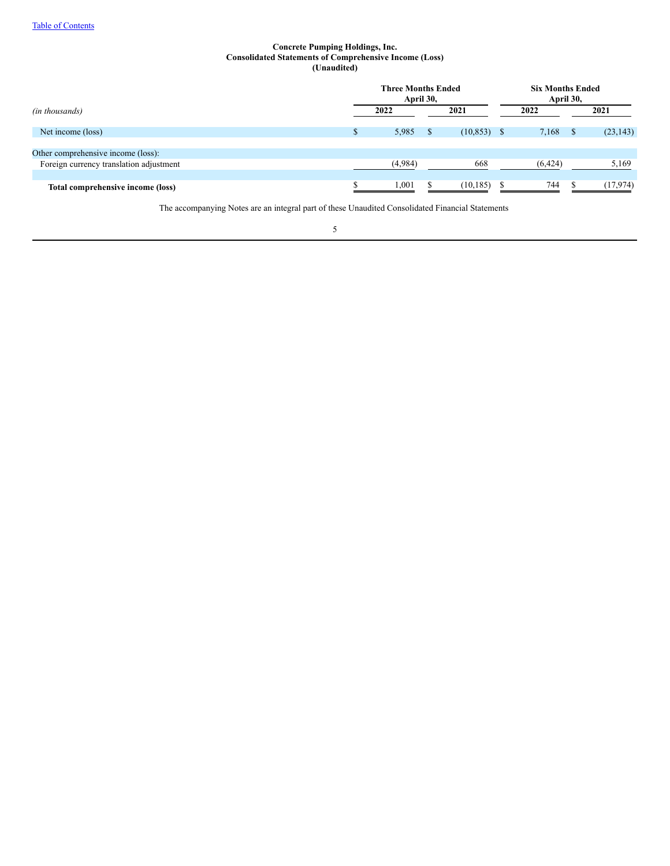### **Concrete Pumping Holdings, Inc. Consolidated Statements of Comprehensive Income (Loss) (Unaudited)**

|                                         |   | <b>Three Months Ended</b><br>April 30, |  | <b>Six Months Ended</b><br>April 30, |  |          |  |           |
|-----------------------------------------|---|----------------------------------------|--|--------------------------------------|--|----------|--|-----------|
| (in thousands)                          |   | 2022                                   |  | 2021                                 |  | 2022     |  | 2021      |
| Net income (loss)                       | S | 5,985                                  |  | (10, 853)                            |  | 7,168    |  | (23, 143) |
| Other comprehensive income (loss):      |   |                                        |  |                                      |  |          |  |           |
| Foreign currency translation adjustment |   | (4,984)                                |  | 668                                  |  | (6, 424) |  | 5,169     |
|                                         |   |                                        |  |                                      |  |          |  |           |
| Total comprehensive income (loss)       |   | 1.001                                  |  | (10, 185)                            |  | 744      |  | (17, 974) |

The accompanying Notes are an integral part of these Unaudited Consolidated Financial Statements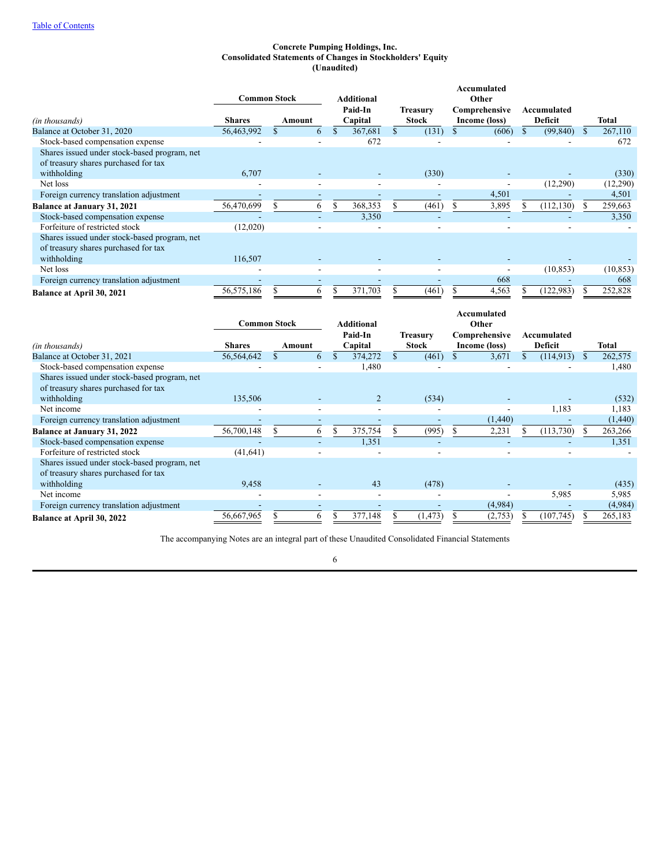### **Concrete Pumping Holdings, Inc. Consolidated Statements of Changes in Stockholders' Equity (Unaudited)**

<span id="page-5-0"></span>

|                                                                                      | <b>Common Stock</b> |        | <b>Additional</b>  |                                 |          | Accumulated<br>Other           |                        |               |           |
|--------------------------------------------------------------------------------------|---------------------|--------|--------------------|---------------------------------|----------|--------------------------------|------------------------|---------------|-----------|
| (in thousands)                                                                       | <b>Shares</b>       | Amount | Paid-In<br>Capital | <b>Treasury</b><br><b>Stock</b> |          | Comprehensive<br>Income (loss) | Accumulated<br>Deficit |               | Total     |
| Balance at October 31, 2020                                                          | 56,463,992          | 6      | 367,681            | (131)                           | <b>S</b> | (606)                          | (99, 840)              | <sup>\$</sup> | 267,110   |
| Stock-based compensation expense                                                     |                     |        | 672                |                                 |          |                                |                        |               | 672       |
| Shares issued under stock-based program, net<br>of treasury shares purchased for tax |                     |        |                    |                                 |          |                                |                        |               |           |
| withholding                                                                          | 6,707               |        |                    | (330)                           |          |                                |                        |               | (330)     |
| Net loss                                                                             |                     |        |                    |                                 |          |                                | (12,290)               |               | (12,290)  |
| Foreign currency translation adjustment                                              |                     |        |                    |                                 |          | 4,501                          |                        |               | 4,501     |
| <b>Balance at January 31, 2021</b>                                                   | 56,470,699          | 6      | 368,353            | (461)                           |          | 3,895                          | (112, 130)             |               | 259,663   |
| Stock-based compensation expense                                                     |                     |        | 3,350              | $\overline{\phantom{0}}$        |          |                                |                        |               | 3,350     |
| Forfeiture of restricted stock                                                       | (12,020)            |        |                    | $\blacksquare$                  |          |                                |                        |               |           |
| Shares issued under stock-based program, net<br>of treasury shares purchased for tax |                     |        |                    |                                 |          |                                |                        |               |           |
| withholding                                                                          | 116,507             |        |                    |                                 |          |                                |                        |               |           |
| Net loss                                                                             |                     |        |                    | $\blacksquare$                  |          |                                | (10, 853)              |               | (10, 853) |
| Foreign currency translation adjustment                                              |                     |        |                    |                                 |          | 668                            |                        |               | 668       |
| Balance at April 30, 2021                                                            | 56,575,186          | 6      | 371,703            | (461)                           |          | 4,563                          | (122, 983)             |               | 252,828   |

|                                                                                      | <b>Common Stock</b> |    |        |   | <b>Additional</b>  | Accumulated<br>Other |                                 |  |                                |  |                               |               |         |
|--------------------------------------------------------------------------------------|---------------------|----|--------|---|--------------------|----------------------|---------------------------------|--|--------------------------------|--|-------------------------------|---------------|---------|
| (in thousands)                                                                       | <b>Shares</b>       |    | Amount |   | Paid-In<br>Capital |                      | <b>Treasury</b><br><b>Stock</b> |  | Comprehensive<br>Income (loss) |  | Accumulated<br><b>Deficit</b> |               | Total   |
| Balance at October 31, 2021                                                          | 56,564,642          |    | 6      |   | 374,272            |                      | (461)                           |  | 3,671                          |  | (114, 913)                    | <sup>\$</sup> | 262,575 |
| Stock-based compensation expense                                                     |                     |    |        |   | 1,480              |                      |                                 |  |                                |  |                               |               | 1,480   |
| Shares issued under stock-based program, net<br>of treasury shares purchased for tax |                     |    |        |   |                    |                      |                                 |  |                                |  |                               |               |         |
| withholding                                                                          | 135,506             |    |        |   |                    |                      | (534)                           |  |                                |  |                               |               | (532)   |
| Net income                                                                           |                     |    |        |   |                    |                      |                                 |  |                                |  | 1,183                         |               | 1,183   |
| Foreign currency translation adjustment                                              | ۰                   |    |        |   |                    |                      |                                 |  | (1,440)                        |  |                               |               | (1,440) |
| <b>Balance at January 31, 2022</b>                                                   | 56,700,148          | ъ. | 6      | S | 375,754            |                      | (995)                           |  | 2,231                          |  | (113,730)                     |               | 263,266 |
| Stock-based compensation expense                                                     |                     |    |        |   | 1,351              |                      |                                 |  |                                |  |                               |               | 1,351   |
| Forfeiture of restricted stock                                                       | (41, 641)           |    |        |   |                    |                      |                                 |  |                                |  |                               |               |         |
| Shares issued under stock-based program, net<br>of treasury shares purchased for tax |                     |    |        |   |                    |                      |                                 |  |                                |  |                               |               |         |
| withholding                                                                          | 9,458               |    |        |   | 43                 |                      | (478)                           |  |                                |  |                               |               | (435)   |
| Net income                                                                           |                     |    |        |   |                    |                      |                                 |  |                                |  | 5,985                         |               | 5,985   |
| Foreign currency translation adjustment                                              |                     |    |        |   |                    |                      |                                 |  | (4,984)                        |  |                               |               | (4,984) |
| Balance at April 30, 2022                                                            | 56,667,965          |    | 6      |   | 377,148            |                      | (1, 473)                        |  | (2,753)                        |  | (107,745)                     |               | 265,183 |

The accompanying Notes are an integral part of these Unaudited Consolidated Financial Statements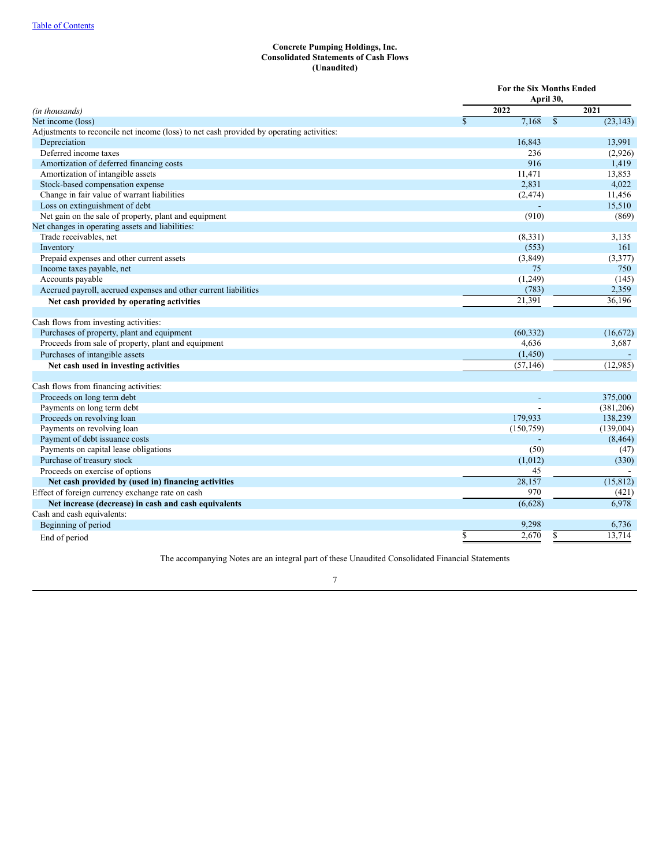### **Concrete Pumping Holdings, Inc. Consolidated Statements of Cash Flows (Unaudited)**

<span id="page-6-0"></span>

| April 30,<br>2022<br>2021<br>(in thousands)<br>$\mathbf S$<br>7.168<br>(23, 143)<br>Net income (loss)<br><sup>\$</sup><br>Adjustments to reconcile net income (loss) to net cash provided by operating activities:<br>13,991<br>Depreciation<br>16,843<br>Deferred income taxes<br>236<br>(2,926)<br>916<br>Amortization of deferred financing costs<br>1,419<br>Amortization of intangible assets<br>11,471<br>13,853<br>2,831<br>Stock-based compensation expense<br>4,022<br>Change in fair value of warrant liabilities<br>(2, 474)<br>11,456<br>Loss on extinguishment of debt<br>15,510<br>Net gain on the sale of property, plant and equipment<br>(910)<br>(869)<br>Net changes in operating assets and liabilities:<br>Trade receivables, net<br>(8,331)<br>3,135<br>(553)<br>161<br>Inventory<br>Prepaid expenses and other current assets<br>(3,849)<br>(3,377)<br>Income taxes payable, net<br>750<br>75<br>Accounts payable<br>(1,249)<br>(145)<br>(783)<br>2,359<br>Accrued payroll, accrued expenses and other current liabilities<br>21,391<br>36,196<br>Net cash provided by operating activities | For the Six Months Ended |  |  |  |  |  |  |  |  |
|--------------------------------------------------------------------------------------------------------------------------------------------------------------------------------------------------------------------------------------------------------------------------------------------------------------------------------------------------------------------------------------------------------------------------------------------------------------------------------------------------------------------------------------------------------------------------------------------------------------------------------------------------------------------------------------------------------------------------------------------------------------------------------------------------------------------------------------------------------------------------------------------------------------------------------------------------------------------------------------------------------------------------------------------------------------------------------------------------------------------|--------------------------|--|--|--|--|--|--|--|--|
|                                                                                                                                                                                                                                                                                                                                                                                                                                                                                                                                                                                                                                                                                                                                                                                                                                                                                                                                                                                                                                                                                                                    |                          |  |  |  |  |  |  |  |  |
|                                                                                                                                                                                                                                                                                                                                                                                                                                                                                                                                                                                                                                                                                                                                                                                                                                                                                                                                                                                                                                                                                                                    |                          |  |  |  |  |  |  |  |  |
|                                                                                                                                                                                                                                                                                                                                                                                                                                                                                                                                                                                                                                                                                                                                                                                                                                                                                                                                                                                                                                                                                                                    |                          |  |  |  |  |  |  |  |  |
|                                                                                                                                                                                                                                                                                                                                                                                                                                                                                                                                                                                                                                                                                                                                                                                                                                                                                                                                                                                                                                                                                                                    |                          |  |  |  |  |  |  |  |  |
|                                                                                                                                                                                                                                                                                                                                                                                                                                                                                                                                                                                                                                                                                                                                                                                                                                                                                                                                                                                                                                                                                                                    |                          |  |  |  |  |  |  |  |  |
|                                                                                                                                                                                                                                                                                                                                                                                                                                                                                                                                                                                                                                                                                                                                                                                                                                                                                                                                                                                                                                                                                                                    |                          |  |  |  |  |  |  |  |  |
|                                                                                                                                                                                                                                                                                                                                                                                                                                                                                                                                                                                                                                                                                                                                                                                                                                                                                                                                                                                                                                                                                                                    |                          |  |  |  |  |  |  |  |  |
|                                                                                                                                                                                                                                                                                                                                                                                                                                                                                                                                                                                                                                                                                                                                                                                                                                                                                                                                                                                                                                                                                                                    |                          |  |  |  |  |  |  |  |  |
|                                                                                                                                                                                                                                                                                                                                                                                                                                                                                                                                                                                                                                                                                                                                                                                                                                                                                                                                                                                                                                                                                                                    |                          |  |  |  |  |  |  |  |  |
|                                                                                                                                                                                                                                                                                                                                                                                                                                                                                                                                                                                                                                                                                                                                                                                                                                                                                                                                                                                                                                                                                                                    |                          |  |  |  |  |  |  |  |  |
|                                                                                                                                                                                                                                                                                                                                                                                                                                                                                                                                                                                                                                                                                                                                                                                                                                                                                                                                                                                                                                                                                                                    |                          |  |  |  |  |  |  |  |  |
|                                                                                                                                                                                                                                                                                                                                                                                                                                                                                                                                                                                                                                                                                                                                                                                                                                                                                                                                                                                                                                                                                                                    |                          |  |  |  |  |  |  |  |  |
|                                                                                                                                                                                                                                                                                                                                                                                                                                                                                                                                                                                                                                                                                                                                                                                                                                                                                                                                                                                                                                                                                                                    |                          |  |  |  |  |  |  |  |  |
|                                                                                                                                                                                                                                                                                                                                                                                                                                                                                                                                                                                                                                                                                                                                                                                                                                                                                                                                                                                                                                                                                                                    |                          |  |  |  |  |  |  |  |  |
|                                                                                                                                                                                                                                                                                                                                                                                                                                                                                                                                                                                                                                                                                                                                                                                                                                                                                                                                                                                                                                                                                                                    |                          |  |  |  |  |  |  |  |  |
|                                                                                                                                                                                                                                                                                                                                                                                                                                                                                                                                                                                                                                                                                                                                                                                                                                                                                                                                                                                                                                                                                                                    |                          |  |  |  |  |  |  |  |  |
|                                                                                                                                                                                                                                                                                                                                                                                                                                                                                                                                                                                                                                                                                                                                                                                                                                                                                                                                                                                                                                                                                                                    |                          |  |  |  |  |  |  |  |  |
|                                                                                                                                                                                                                                                                                                                                                                                                                                                                                                                                                                                                                                                                                                                                                                                                                                                                                                                                                                                                                                                                                                                    |                          |  |  |  |  |  |  |  |  |
|                                                                                                                                                                                                                                                                                                                                                                                                                                                                                                                                                                                                                                                                                                                                                                                                                                                                                                                                                                                                                                                                                                                    |                          |  |  |  |  |  |  |  |  |
|                                                                                                                                                                                                                                                                                                                                                                                                                                                                                                                                                                                                                                                                                                                                                                                                                                                                                                                                                                                                                                                                                                                    |                          |  |  |  |  |  |  |  |  |
| Cash flows from investing activities:                                                                                                                                                                                                                                                                                                                                                                                                                                                                                                                                                                                                                                                                                                                                                                                                                                                                                                                                                                                                                                                                              |                          |  |  |  |  |  |  |  |  |
| Purchases of property, plant and equipment<br>(60, 332)<br>(16,672)                                                                                                                                                                                                                                                                                                                                                                                                                                                                                                                                                                                                                                                                                                                                                                                                                                                                                                                                                                                                                                                |                          |  |  |  |  |  |  |  |  |
| Proceeds from sale of property, plant and equipment<br>4,636<br>3,687                                                                                                                                                                                                                                                                                                                                                                                                                                                                                                                                                                                                                                                                                                                                                                                                                                                                                                                                                                                                                                              |                          |  |  |  |  |  |  |  |  |
| (1,450)<br>Purchases of intangible assets                                                                                                                                                                                                                                                                                                                                                                                                                                                                                                                                                                                                                                                                                                                                                                                                                                                                                                                                                                                                                                                                          |                          |  |  |  |  |  |  |  |  |
| (12,985)<br>(57, 146)<br>Net cash used in investing activities                                                                                                                                                                                                                                                                                                                                                                                                                                                                                                                                                                                                                                                                                                                                                                                                                                                                                                                                                                                                                                                     |                          |  |  |  |  |  |  |  |  |
|                                                                                                                                                                                                                                                                                                                                                                                                                                                                                                                                                                                                                                                                                                                                                                                                                                                                                                                                                                                                                                                                                                                    |                          |  |  |  |  |  |  |  |  |
| Cash flows from financing activities:                                                                                                                                                                                                                                                                                                                                                                                                                                                                                                                                                                                                                                                                                                                                                                                                                                                                                                                                                                                                                                                                              |                          |  |  |  |  |  |  |  |  |
| Proceeds on long term debt<br>375,000                                                                                                                                                                                                                                                                                                                                                                                                                                                                                                                                                                                                                                                                                                                                                                                                                                                                                                                                                                                                                                                                              |                          |  |  |  |  |  |  |  |  |
| Payments on long term debt<br>(381, 206)                                                                                                                                                                                                                                                                                                                                                                                                                                                                                                                                                                                                                                                                                                                                                                                                                                                                                                                                                                                                                                                                           |                          |  |  |  |  |  |  |  |  |
| Proceeds on revolving loan<br>179,933<br>138,239                                                                                                                                                                                                                                                                                                                                                                                                                                                                                                                                                                                                                                                                                                                                                                                                                                                                                                                                                                                                                                                                   |                          |  |  |  |  |  |  |  |  |
| Payments on revolving loan<br>(139,004)<br>(150, 759)                                                                                                                                                                                                                                                                                                                                                                                                                                                                                                                                                                                                                                                                                                                                                                                                                                                                                                                                                                                                                                                              |                          |  |  |  |  |  |  |  |  |
| Payment of debt issuance costs<br>(8, 464)                                                                                                                                                                                                                                                                                                                                                                                                                                                                                                                                                                                                                                                                                                                                                                                                                                                                                                                                                                                                                                                                         |                          |  |  |  |  |  |  |  |  |
| Payments on capital lease obligations<br>(50)<br>(47)                                                                                                                                                                                                                                                                                                                                                                                                                                                                                                                                                                                                                                                                                                                                                                                                                                                                                                                                                                                                                                                              |                          |  |  |  |  |  |  |  |  |
| Purchase of treasury stock<br>(1,012)<br>(330)                                                                                                                                                                                                                                                                                                                                                                                                                                                                                                                                                                                                                                                                                                                                                                                                                                                                                                                                                                                                                                                                     |                          |  |  |  |  |  |  |  |  |
| Proceeds on exercise of options<br>45                                                                                                                                                                                                                                                                                                                                                                                                                                                                                                                                                                                                                                                                                                                                                                                                                                                                                                                                                                                                                                                                              |                          |  |  |  |  |  |  |  |  |
| 28,157<br>(15, 812)<br>Net cash provided by (used in) financing activities                                                                                                                                                                                                                                                                                                                                                                                                                                                                                                                                                                                                                                                                                                                                                                                                                                                                                                                                                                                                                                         |                          |  |  |  |  |  |  |  |  |
| Effect of foreign currency exchange rate on cash<br>970<br>(421)                                                                                                                                                                                                                                                                                                                                                                                                                                                                                                                                                                                                                                                                                                                                                                                                                                                                                                                                                                                                                                                   |                          |  |  |  |  |  |  |  |  |
| 6,978<br>Net increase (decrease) in cash and cash equivalents<br>(6,628)                                                                                                                                                                                                                                                                                                                                                                                                                                                                                                                                                                                                                                                                                                                                                                                                                                                                                                                                                                                                                                           |                          |  |  |  |  |  |  |  |  |
| Cash and cash equivalents:                                                                                                                                                                                                                                                                                                                                                                                                                                                                                                                                                                                                                                                                                                                                                                                                                                                                                                                                                                                                                                                                                         |                          |  |  |  |  |  |  |  |  |
| 9,298<br>Beginning of period<br>6,736                                                                                                                                                                                                                                                                                                                                                                                                                                                                                                                                                                                                                                                                                                                                                                                                                                                                                                                                                                                                                                                                              |                          |  |  |  |  |  |  |  |  |
| \$<br>\$<br>2,670<br>13,714<br>End of period                                                                                                                                                                                                                                                                                                                                                                                                                                                                                                                                                                                                                                                                                                                                                                                                                                                                                                                                                                                                                                                                       |                          |  |  |  |  |  |  |  |  |

The accompanying Notes are an integral part of these Unaudited Consolidated Financial Statements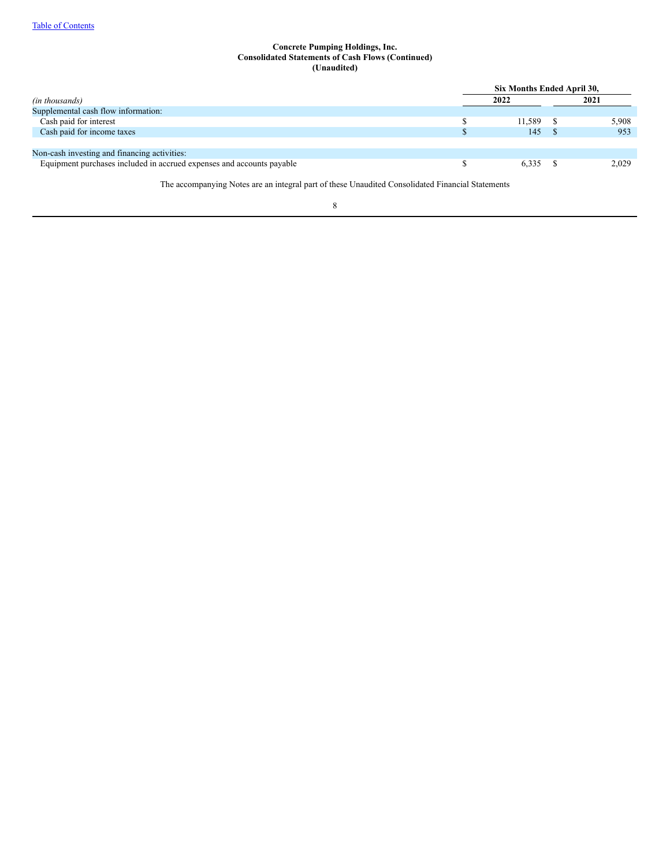### **Concrete Pumping Holdings, Inc. Consolidated Statements of Cash Flows (Continued) (Unaudited)**

|                                                                       |  | Six Months Ended April 30, |  |       |  |  |  |  |  |  |
|-----------------------------------------------------------------------|--|----------------------------|--|-------|--|--|--|--|--|--|
| (in thousands)                                                        |  | 2022                       |  | 2021  |  |  |  |  |  |  |
| Supplemental cash flow information:                                   |  |                            |  |       |  |  |  |  |  |  |
| Cash paid for interest                                                |  | 11.589                     |  | 5.908 |  |  |  |  |  |  |
| Cash paid for income taxes                                            |  | 145                        |  | 953   |  |  |  |  |  |  |
|                                                                       |  |                            |  |       |  |  |  |  |  |  |
| Non-cash investing and financing activities:                          |  |                            |  |       |  |  |  |  |  |  |
| Equipment purchases included in accrued expenses and accounts payable |  | 6,335                      |  | 2.029 |  |  |  |  |  |  |
|                                                                       |  |                            |  |       |  |  |  |  |  |  |

The accompanying Notes are an integral part of these Unaudited Consolidated Financial Statements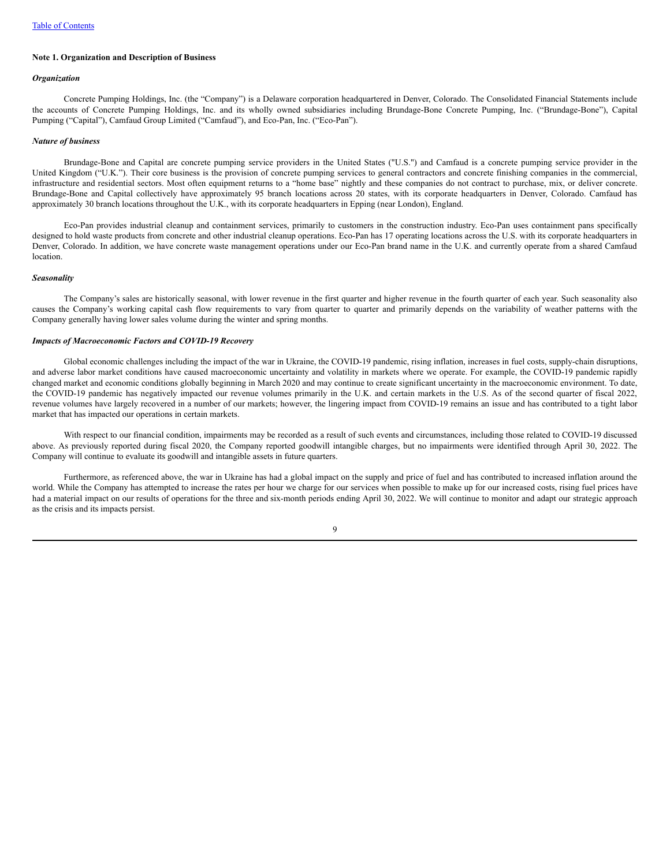#### <span id="page-8-0"></span>**Note 1. Organization and Description of Business**

### *Organization*

Concrete Pumping Holdings, Inc. (the "Company") is a Delaware corporation headquartered in Denver, Colorado. The Consolidated Financial Statements include the accounts of Concrete Pumping Holdings, Inc. and its wholly owned subsidiaries including Brundage-Bone Concrete Pumping, Inc. ("Brundage-Bone"), Capital Pumping ("Capital"), Camfaud Group Limited ("Camfaud"), and Eco-Pan, Inc. ("Eco-Pan").

#### *Nature of business*

Brundage-Bone and Capital are concrete pumping service providers in the United States ("U.S.") and Camfaud is a concrete pumping service provider in the United Kingdom ("U.K."). Their core business is the provision of concrete pumping services to general contractors and concrete finishing companies in the commercial, infrastructure and residential sectors. Most often equipment returns to a "home base" nightly and these companies do not contract to purchase, mix, or deliver concrete. Brundage-Bone and Capital collectively have approximately 95 branch locations across 20 states, with its corporate headquarters in Denver, Colorado. Camfaud has approximately 30 branch locations throughout the U.K., with its corporate headquarters in Epping (near London), England.

Eco-Pan provides industrial cleanup and containment services, primarily to customers in the construction industry. Eco-Pan uses containment pans specifically designed to hold waste products from concrete and other industrial cleanup operations. Eco-Pan has 17 operating locations across the U.S. with its corporate headquarters in Denver, Colorado. In addition, we have concrete waste management operations under our Eco-Pan brand name in the U.K. and currently operate from a shared Camfaud location.

### *Seasonality*

The Company's sales are historically seasonal, with lower revenue in the first quarter and higher revenue in the fourth quarter of each year. Such seasonality also causes the Company's working capital cash flow requirements to vary from quarter to quarter and primarily depends on the variability of weather patterns with the Company generally having lower sales volume during the winter and spring months.

### *Impacts of Macroeconomic Factors and COVID-19 Recovery*

Global economic challenges including the impact of the war in Ukraine, the COVID-19 pandemic, rising inflation, increases in fuel costs, supply-chain disruptions, and adverse labor market conditions have caused macroeconomic uncertainty and volatility in markets where we operate. For example, the COVID-19 pandemic rapidly changed market and economic conditions globally beginning in March 2020 and may continue to create significant uncertainty in the macroeconomic environment. To date, the COVID-19 pandemic has negatively impacted our revenue volumes primarily in the U.K. and certain markets in the U.S. As of the second quarter of fiscal 2022, revenue volumes have largely recovered in a number of our markets; however, the lingering impact from COVID-19 remains an issue and has contributed to a tight labor market that has impacted our operations in certain markets.

With respect to our financial condition, impairments may be recorded as a result of such events and circumstances, including those related to COVID-19 discussed above. As previously reported during fiscal 2020, the Company reported goodwill intangible charges, but no impairments were identified through April 30, 2022. The Company will continue to evaluate its goodwill and intangible assets in future quarters.

Furthermore, as referenced above, the war in Ukraine has had a global impact on the supply and price of fuel and has contributed to increased inflation around the world. While the Company has attempted to increase the rates per hour we charge for our services when possible to make up for our increased costs, rising fuel prices have had a material impact on our results of operations for the three and six-month periods ending April 30, 2022. We will continue to monitor and adapt our strategic approach as the crisis and its impacts persist.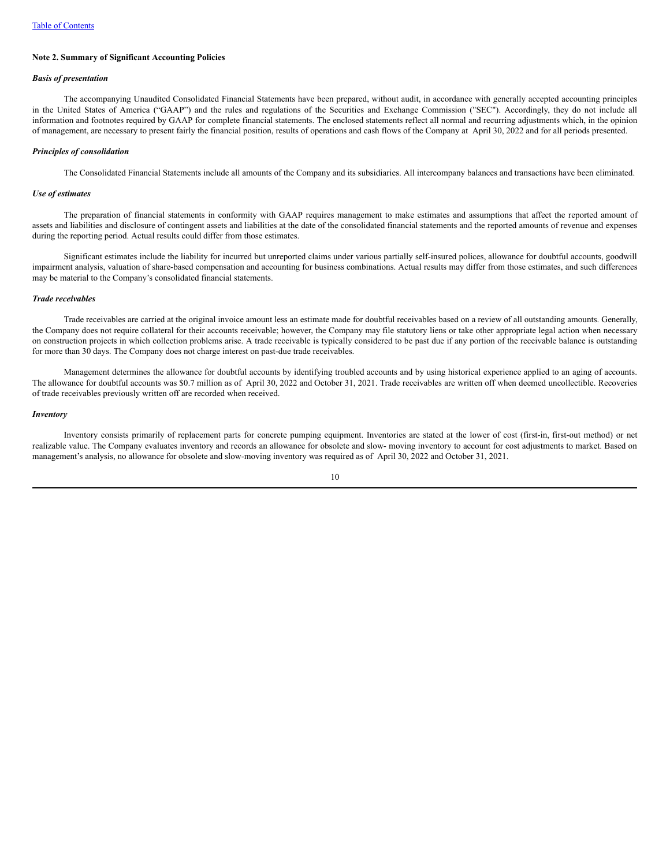#### **Note 2. Summary of Significant Accounting Policies**

### *Basis of presentation*

The accompanying Unaudited Consolidated Financial Statements have been prepared, without audit, in accordance with generally accepted accounting principles in the United States of America ("GAAP") and the rules and regulations of the Securities and Exchange Commission ("SEC"). Accordingly, they do not include all information and footnotes required by GAAP for complete financial statements. The enclosed statements reflect all normal and recurring adjustments which, in the opinion of management, are necessary to present fairly the financial position, results of operations and cash flows of the Company at April 30, 2022 and for all periods presented.

#### *Principles of consolidation*

The Consolidated Financial Statements include all amounts of the Company and its subsidiaries. All intercompany balances and transactions have been eliminated.

### *Use of estimates*

The preparation of financial statements in conformity with GAAP requires management to make estimates and assumptions that affect the reported amount of assets and liabilities and disclosure of contingent assets and liabilities at the date of the consolidated financial statements and the reported amounts of revenue and expenses during the reporting period. Actual results could differ from those estimates.

Significant estimates include the liability for incurred but unreported claims under various partially self-insured polices, allowance for doubtful accounts, goodwill impairment analysis, valuation of share-based compensation and accounting for business combinations. Actual results may differ from those estimates, and such differences may be material to the Company's consolidated financial statements.

### *Trade receivables*

Trade receivables are carried at the original invoice amount less an estimate made for doubtful receivables based on a review of all outstanding amounts. Generally, the Company does not require collateral for their accounts receivable; however, the Company may file statutory liens or take other appropriate legal action when necessary on construction projects in which collection problems arise. A trade receivable is typically considered to be past due if any portion of the receivable balance is outstanding for more than 30 days. The Company does not charge interest on past-due trade receivables.

Management determines the allowance for doubtful accounts by identifying troubled accounts and by using historical experience applied to an aging of accounts. The allowance for doubtful accounts was \$0.7 million as of April 30, 2022 and October 31, 2021. Trade receivables are written off when deemed uncollectible. Recoveries of trade receivables previously written off are recorded when received.

#### *Inventory*

Inventory consists primarily of replacement parts for concrete pumping equipment. Inventories are stated at the lower of cost (first-in, first-out method) or net realizable value. The Company evaluates inventory and records an allowance for obsolete and slow- moving inventory to account for cost adjustments to market. Based on management's analysis, no allowance for obsolete and slow-moving inventory was required as of April 30, 2022 and October 31, 2021.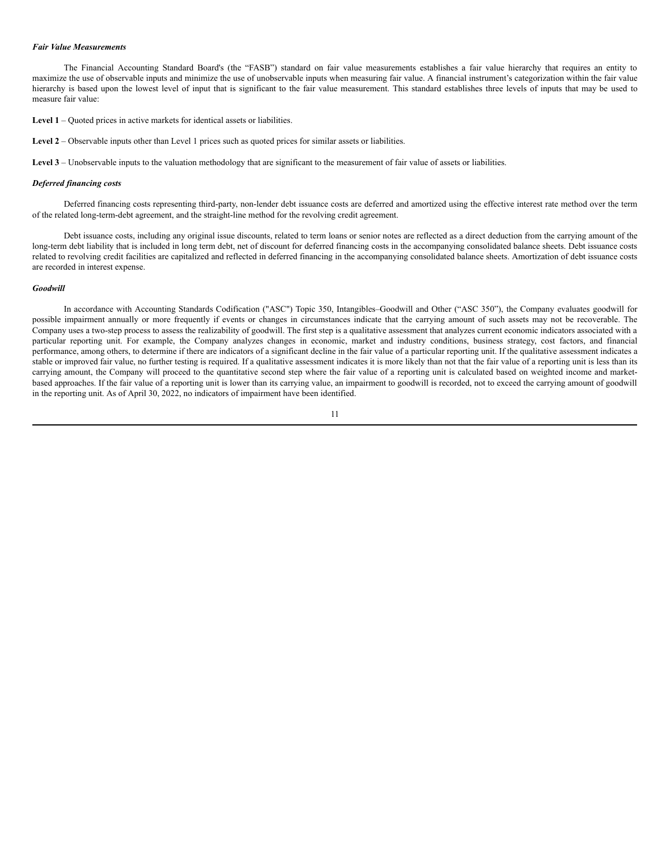### *Fair Value Measurements*

The Financial Accounting Standard Board's (the "FASB") standard on fair value measurements establishes a fair value hierarchy that requires an entity to maximize the use of observable inputs and minimize the use of unobservable inputs when measuring fair value. A financial instrument's categorization within the fair value hierarchy is based upon the lowest level of input that is significant to the fair value measurement. This standard establishes three levels of inputs that may be used to measure fair value:

**Level 1** – Quoted prices in active markets for identical assets or liabilities.

**Level 2** – Observable inputs other than Level 1 prices such as quoted prices for similar assets or liabilities.

Level 3 – Unobservable inputs to the valuation methodology that are significant to the measurement of fair value of assets or liabilities.

#### *Deferred financing costs*

Deferred financing costs representing third-party, non-lender debt issuance costs are deferred and amortized using the effective interest rate method over the term of the related long-term-debt agreement, and the straight-line method for the revolving credit agreement.

Debt issuance costs, including any original issue discounts, related to term loans or senior notes are reflected as a direct deduction from the carrying amount of the long-term debt liability that is included in long term debt, net of discount for deferred financing costs in the accompanying consolidated balance sheets. Debt issuance costs related to revolving credit facilities are capitalized and reflected in deferred financing in the accompanying consolidated balance sheets. Amortization of debt issuance costs are recorded in interest expense.

### *Goodwill*

In accordance with Accounting Standards Codification ("ASC") Topic 350, Intangibles–Goodwill and Other ("ASC 350"), the Company evaluates goodwill for possible impairment annually or more frequently if events or changes in circumstances indicate that the carrying amount of such assets may not be recoverable. The Company uses a two-step process to assess the realizability of goodwill. The first step is a qualitative assessment that analyzes current economic indicators associated with a particular reporting unit. For example, the Company analyzes changes in economic, market and industry conditions, business strategy, cost factors, and financial performance, among others, to determine if there are indicators of a significant decline in the fair value of a particular reporting unit. If the qualitative assessment indicates a stable or improved fair value, no further testing is required. If a qualitative assessment indicates it is more likely than not that the fair value of a reporting unit is less than its carrying amount, the Company will proceed to the quantitative second step where the fair value of a reporting unit is calculated based on weighted income and marketbased approaches. If the fair value of a reporting unit is lower than its carrying value, an impairment to goodwill is recorded, not to exceed the carrying amount of goodwill in the reporting unit. As of April 30, 2022, no indicators of impairment have been identified.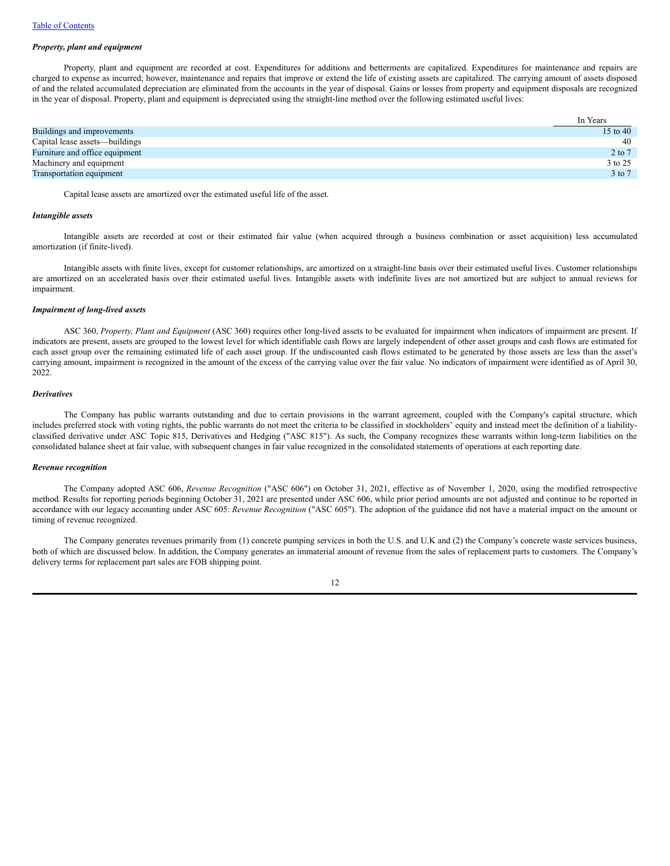### *Property, plant and equipment*

Property, plant and equipment are recorded at cost. Expenditures for additions and betterments are capitalized. Expenditures for maintenance and repairs are charged to expense as incurred; however, maintenance and repairs that improve or extend the life of existing assets are capitalized. The carrying amount of assets disposed of and the related accumulated depreciation are eliminated from the accounts in the year of disposal. Gains or losses from property and equipment disposals are recognized in the year of disposal. Property, plant and equipment is depreciated using the straight-line method over the following estimated useful lives:

|                                | In Years |
|--------------------------------|----------|
| Buildings and improvements     | 15 to 40 |
| Capital lease assets—buildings | 40       |
| Furniture and office equipment | 2 to 7   |
| Machinery and equipment        | 3 to 25  |
| Transportation equipment       | 3 to 7   |

Capital lease assets are amortized over the estimated useful life of the asset.

### *Intangible assets*

Intangible assets are recorded at cost or their estimated fair value (when acquired through a business combination or asset acquisition) less accumulated amortization (if finite-lived).

Intangible assets with finite lives, except for customer relationships, are amortized on a straight-line basis over their estimated useful lives. Customer relationships are amortized on an accelerated basis over their estimated useful lives. Intangible assets with indefinite lives are not amortized but are subject to annual reviews for impairment.

### *Impairment of long-lived assets*

ASC 360, *Property, Plant and Equipment* (ASC 360) requires other long-lived assets to be evaluated for impairment when indicators of impairment are present. If indicators are present, assets are grouped to the lowest level for which identifiable cash flows are largely independent of other asset groups and cash flows are estimated for each asset group over the remaining estimated life of each asset group. If the undiscounted cash flows estimated to be generated by those assets are less than the asset's carrying amount, impairment is recognized in the amount of the excess of the carrying value over the fair value. No indicators of impairment were identified as of April 30, 2022.

### *Derivatives*

The Company has public warrants outstanding and due to certain provisions in the warrant agreement, coupled with the Company's capital structure, which includes preferred stock with voting rights, the public warrants do not meet the criteria to be classified in stockholders' equity and instead meet the definition of a liabilityclassified derivative under ASC Topic 815, Derivatives and Hedging ("ASC 815"). As such, the Company recognizes these warrants within long-term liabilities on the consolidated balance sheet at fair value, with subsequent changes in fair value recognized in the consolidated statements of operations at each reporting date.

### *Revenue recognition*

The Company adopted ASC 606, *Revenue Recognition* ("ASC 606") on October 31, 2021, effective as of November 1, 2020, using the modified retrospective method*.* Results for reporting periods beginning October 31, 2021 are presented under ASC 606, while prior period amounts are not adjusted and continue to be reported in accordance with our legacy accounting under ASC 605: *Revenue Recognition* ("ASC 605"). The adoption of the guidance did not have a material impact on the amount or timing of revenue recognized.

The Company generates revenues primarily from (1) concrete pumping services in both the U.S. and U.K and (2) the Company's concrete waste services business, both of which are discussed below. In addition, the Company generates an immaterial amount of revenue from the sales of replacement parts to customers. The Company's delivery terms for replacement part sales are FOB shipping point.

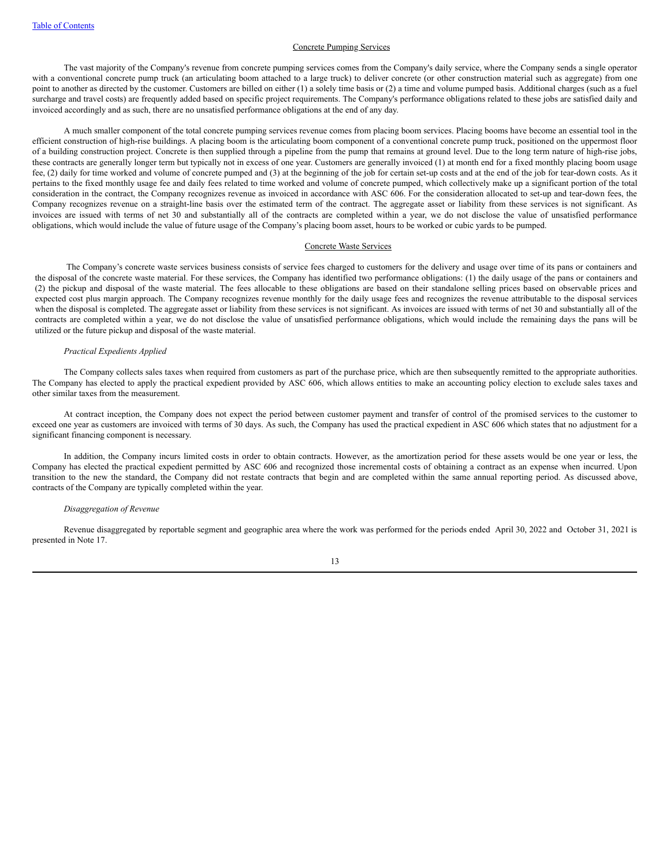### Concrete Pumping Services

The vast majority of the Company's revenue from concrete pumping services comes from the Company's daily service, where the Company sends a single operator with a conventional concrete pump truck (an articulating boom attached to a large truck) to deliver concrete (or other construction material such as aggregate) from one point to another as directed by the customer. Customers are billed on either (1) a solely time basis or (2) a time and volume pumped basis. Additional charges (such as a fuel surcharge and travel costs) are frequently added based on specific project requirements. The Company's performance obligations related to these jobs are satisfied daily and invoiced accordingly and as such, there are no unsatisfied performance obligations at the end of any day.

A much smaller component of the total concrete pumping services revenue comes from placing boom services. Placing booms have become an essential tool in the efficient construction of high-rise buildings. A placing boom is the articulating boom component of a conventional concrete pump truck, positioned on the uppermost floor of a building construction project. Concrete is then supplied through a pipeline from the pump that remains at ground level. Due to the long term nature of high-rise jobs, these contracts are generally longer term but typically not in excess of one year. Customers are generally invoiced (1) at month end for a fixed monthly placing boom usage fee, (2) daily for time worked and volume of concrete pumped and (3) at the beginning of the job for certain set-up costs and at the end of the job for tear-down costs. As it pertains to the fixed monthly usage fee and daily fees related to time worked and volume of concrete pumped, which collectively make up a significant portion of the total consideration in the contract, the Company recognizes revenue as invoiced in accordance with ASC 606. For the consideration allocated to set-up and tear-down fees, the Company recognizes revenue on a straight-line basis over the estimated term of the contract. The aggregate asset or liability from these services is not significant. As invoices are issued with terms of net 30 and substantially all of the contracts are completed within a year, we do not disclose the value of unsatisfied performance obligations, which would include the value of future usage of the Company's placing boom asset, hours to be worked or cubic yards to be pumped.

### Concrete Waste Services

The Company's concrete waste services business consists of service fees charged to customers for the delivery and usage over time of its pans or containers and the disposal of the concrete waste material. For these services, the Company has identified two performance obligations: (1) the daily usage of the pans or containers and (2) the pickup and disposal of the waste material. The fees allocable to these obligations are based on their standalone selling prices based on observable prices and expected cost plus margin approach. The Company recognizes revenue monthly for the daily usage fees and recognizes the revenue attributable to the disposal services when the disposal is completed. The aggregate asset or liability from these services is not significant. As invoices are issued with terms of net 30 and substantially all of the contracts are completed within a year, we do not disclose the value of unsatisfied performance obligations, which would include the remaining days the pans will be utilized or the future pickup and disposal of the waste material.

#### *Practical Expedients Applied*

The Company collects sales taxes when required from customers as part of the purchase price, which are then subsequently remitted to the appropriate authorities. The Company has elected to apply the practical expedient provided by ASC 606, which allows entities to make an accounting policy election to exclude sales taxes and other similar taxes from the measurement.

At contract inception, the Company does not expect the period between customer payment and transfer of control of the promised services to the customer to exceed one year as customers are invoiced with terms of 30 days. As such, the Company has used the practical expedient in ASC 606 which states that no adjustment for a significant financing component is necessary.

In addition, the Company incurs limited costs in order to obtain contracts. However, as the amortization period for these assets would be one year or less, the Company has elected the practical expedient permitted by ASC 606 and recognized those incremental costs of obtaining a contract as an expense when incurred. Upon transition to the new the standard, the Company did not restate contracts that begin and are completed within the same annual reporting period. As discussed above, contracts of the Company are typically completed within the year.

### *Disaggregation of Revenue*

Revenue disaggregated by reportable segment and geographic area where the work was performed for the periods ended April 30, 2022 and October 31, 2021 is presented in Note 17.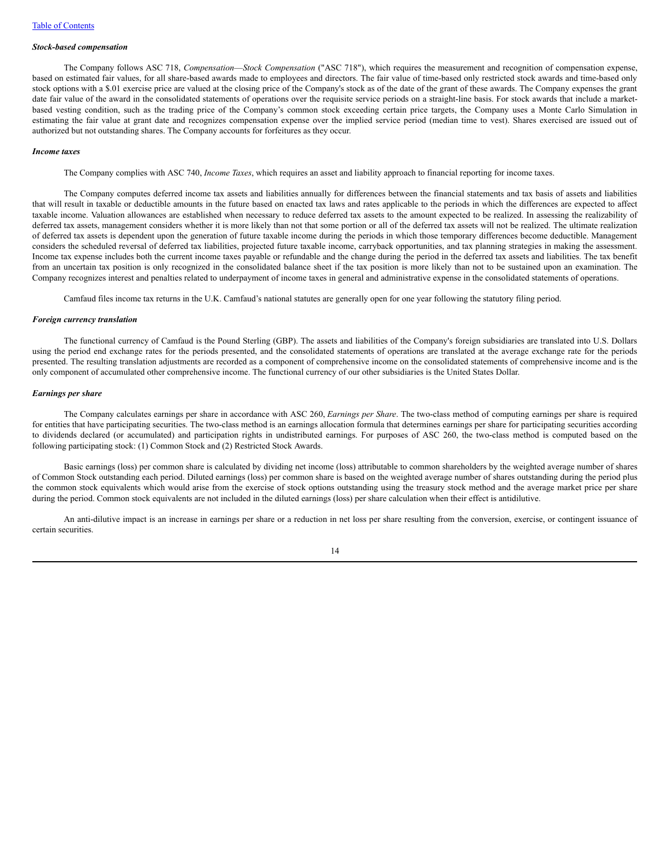### *Stock-based compensation*

The Company follows ASC 718, *Compensation*—*Stock Compensation* ("ASC 718"), which requires the measurement and recognition of compensation expense, based on estimated fair values, for all share-based awards made to employees and directors. The fair value of time-based only restricted stock awards and time-based only stock options with a \$.01 exercise price are valued at the closing price of the Company's stock as of the date of the grant of these awards. The Company expenses the grant date fair value of the award in the consolidated statements of operations over the requisite service periods on a straight-line basis. For stock awards that include a marketbased vesting condition, such as the trading price of the Company's common stock exceeding certain price targets, the Company uses a Monte Carlo Simulation in estimating the fair value at grant date and recognizes compensation expense over the implied service period (median time to vest). Shares exercised are issued out of authorized but not outstanding shares. The Company accounts for forfeitures as they occur.

#### *Income taxes*

The Company complies with ASC 740, *Income Taxes*, which requires an asset and liability approach to financial reporting for income taxes.

The Company computes deferred income tax assets and liabilities annually for differences between the financial statements and tax basis of assets and liabilities that will result in taxable or deductible amounts in the future based on enacted tax laws and rates applicable to the periods in which the differences are expected to affect taxable income. Valuation allowances are established when necessary to reduce deferred tax assets to the amount expected to be realized. In assessing the realizability of deferred tax assets, management considers whether it is more likely than not that some portion or all of the deferred tax assets will not be realized. The ultimate realization of deferred tax assets is dependent upon the generation of future taxable income during the periods in which those temporary differences become deductible. Management considers the scheduled reversal of deferred tax liabilities, projected future taxable income, carryback opportunities, and tax planning strategies in making the assessment. Income tax expense includes both the current income taxes payable or refundable and the change during the period in the deferred tax assets and liabilities. The tax benefit from an uncertain tax position is only recognized in the consolidated balance sheet if the tax position is more likely than not to be sustained upon an examination. The Company recognizes interest and penalties related to underpayment of income taxes in general and administrative expense in the consolidated statements of operations.

Camfaud files income tax returns in the U.K. Camfaud's national statutes are generally open for one year following the statutory filing period.

#### *Foreign currency translation*

The functional currency of Camfaud is the Pound Sterling (GBP). The assets and liabilities of the Company's foreign subsidiaries are translated into U.S. Dollars using the period end exchange rates for the periods presented, and the consolidated statements of operations are translated at the average exchange rate for the periods presented. The resulting translation adjustments are recorded as a component of comprehensive income on the consolidated statements of comprehensive income and is the only component of accumulated other comprehensive income. The functional currency of our other subsidiaries is the United States Dollar.

#### *Earnings per share*

The Company calculates earnings per share in accordance with ASC 260, *Earnings per Share*. The two-class method of computing earnings per share is required for entities that have participating securities. The two-class method is an earnings allocation formula that determines earnings per share for participating securities according to dividends declared (or accumulated) and participation rights in undistributed earnings. For purposes of ASC 260, the two-class method is computed based on the following participating stock: (1) Common Stock and (2) Restricted Stock Awards.

Basic earnings (loss) per common share is calculated by dividing net income (loss) attributable to common shareholders by the weighted average number of shares of Common Stock outstanding each period. Diluted earnings (loss) per common share is based on the weighted average number of shares outstanding during the period plus the common stock equivalents which would arise from the exercise of stock options outstanding using the treasury stock method and the average market price per share during the period. Common stock equivalents are not included in the diluted earnings (loss) per share calculation when their effect is antidilutive.

An anti-dilutive impact is an increase in earnings per share or a reduction in net loss per share resulting from the conversion, exercise, or contingent issuance of certain securities.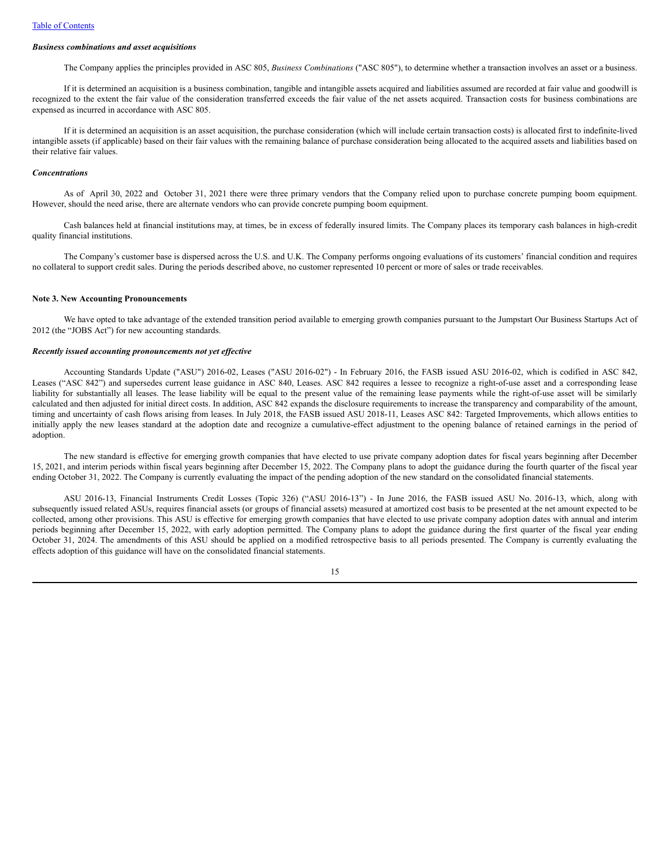### *Business combinations and asset acquisitions*

The Company applies the principles provided in ASC 805, *Business Combinations* ("ASC 805"), to determine whether a transaction involves an asset or a business.

If it is determined an acquisition is a business combination, tangible and intangible assets acquired and liabilities assumed are recorded at fair value and goodwill is recognized to the extent the fair value of the consideration transferred exceeds the fair value of the net assets acquired. Transaction costs for business combinations are expensed as incurred in accordance with ASC 805.

If it is determined an acquisition is an asset acquisition, the purchase consideration (which will include certain transaction costs) is allocated first to indefinite-lived intangible assets (if applicable) based on their fair values with the remaining balance of purchase consideration being allocated to the acquired assets and liabilities based on their relative fair values.

### *Concentrations*

As of April 30, 2022 and October 31, 2021 there were three primary vendors that the Company relied upon to purchase concrete pumping boom equipment. However, should the need arise, there are alternate vendors who can provide concrete pumping boom equipment.

Cash balances held at financial institutions may, at times, be in excess of federally insured limits. The Company places its temporary cash balances in high-credit quality financial institutions.

The Company's customer base is dispersed across the U.S. and U.K. The Company performs ongoing evaluations of its customers' financial condition and requires no collateral to support credit sales. During the periods described above, no customer represented 10 percent or more of sales or trade receivables.

### **Note 3. New Accounting Pronouncements**

We have opted to take advantage of the extended transition period available to emerging growth companies pursuant to the Jumpstart Our Business Startups Act of 2012 (the "JOBS Act") for new accounting standards.

#### *Recently issued accounting pronouncements not yet ef ective*

Accounting Standards Update ("ASU") 2016-02, Leases ("ASU 2016-02") - In February 2016, the FASB issued ASU 2016-02, which is codified in ASC 842, Leases ("ASC 842") and supersedes current lease guidance in ASC 840, Leases. ASC 842 requires a lessee to recognize a right-of-use asset and a corresponding lease liability for substantially all leases. The lease liability will be equal to the present value of the remaining lease payments while the right-of-use asset will be similarly calculated and then adjusted for initial direct costs. In addition, ASC 842 expands the disclosure requirements to increase the transparency and comparability of the amount, timing and uncertainty of cash flows arising from leases. In July 2018, the FASB issued ASU 2018-11, Leases ASC 842: Targeted Improvements, which allows entities to initially apply the new leases standard at the adoption date and recognize a cumulative-effect adjustment to the opening balance of retained earnings in the period of adoption.

The new standard is effective for emerging growth companies that have elected to use private company adoption dates for fiscal years beginning after December 15, 2021, and interim periods within fiscal years beginning after December 15, 2022. The Company plans to adopt the guidance during the fourth quarter of the fiscal year ending October 31, 2022. The Company is currently evaluating the impact of the pending adoption of the new standard on the consolidated financial statements.

ASU 2016-13, Financial Instruments Credit Losses (Topic 326) ("ASU 2016-13") - In June 2016, the FASB issued ASU No. 2016-13, which, along with subsequently issued related ASUs, requires financial assets (or groups of financial assets) measured at amortized cost basis to be presented at the net amount expected to be collected, among other provisions. This ASU is effective for emerging growth companies that have elected to use private company adoption dates with annual and interim periods beginning after December 15, 2022, with early adoption permitted. The Company plans to adopt the guidance during the first quarter of the fiscal year ending October 31, 2024. The amendments of this ASU should be applied on a modified retrospective basis to all periods presented. The Company is currently evaluating the effects adoption of this guidance will have on the consolidated financial statements.

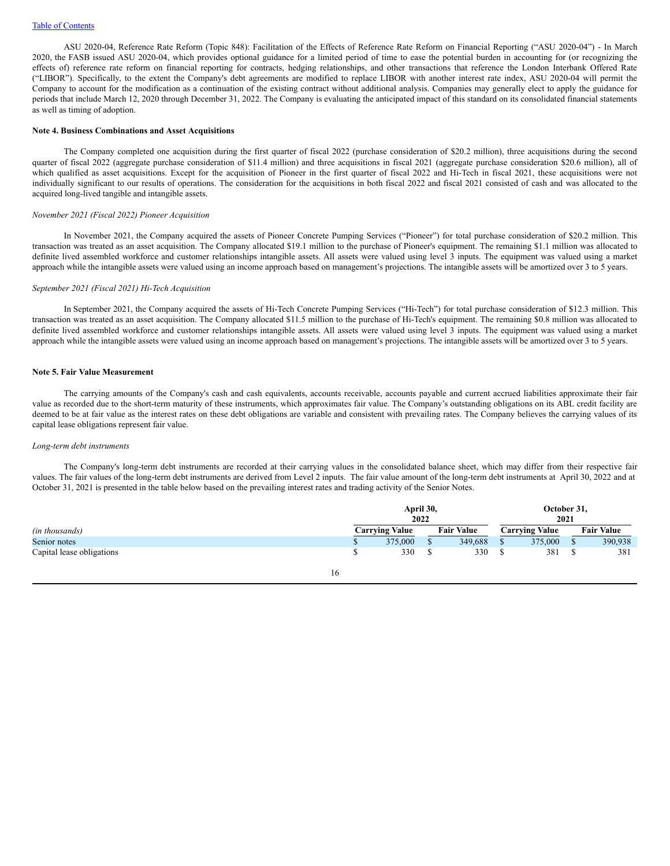ASU 2020-04, Reference Rate Reform (Topic 848): Facilitation of the Effects of Reference Rate Reform on Financial Reporting ("ASU 2020-04") - In March 2020, the FASB issued ASU 2020-04, which provides optional guidance for a limited period of time to ease the potential burden in accounting for (or recognizing the effects of) reference rate reform on financial reporting for contracts, hedging relationships, and other transactions that reference the London Interbank Offered Rate ("LIBOR"). Specifically, to the extent the Company's debt agreements are modified to replace LIBOR with another interest rate index, ASU 2020-04 will permit the Company to account for the modification as a continuation of the existing contract without additional analysis. Companies may generally elect to apply the guidance for periods that include March 12, 2020 through December 31, 2022. The Company is evaluating the anticipated impact of this standard on its consolidated financial statements as well as timing of adoption.

### **Note 4. Business Combinations and Asset Acquisitions**

The Company completed one acquisition during the first quarter of fiscal 2022 (purchase consideration of \$20.2 million), three acquisitions during the second quarter of fiscal 2022 (aggregate purchase consideration of \$11.4 million) and three acquisitions in fiscal 2021 (aggregate purchase consideration \$20.6 million), all of which qualified as asset acquisitions. Except for the acquisition of Pioneer in the first quarter of fiscal 2022 and Hi-Tech in fiscal 2021, these acquisitions were not individually significant to our results of operations. The consideration for the acquisitions in both fiscal 2022 and fiscal 2021 consisted of cash and was allocated to the acquired long-lived tangible and intangible assets.

### *November 2021 (Fiscal 2022) Pioneer Acquisition*

In November 2021, the Company acquired the assets of Pioneer Concrete Pumping Services ("Pioneer") for total purchase consideration of \$20.2 million. This transaction was treated as an asset acquisition. The Company allocated \$19.1 million to the purchase of Pioneer's equipment. The remaining \$1.1 million was allocated to definite lived assembled workforce and customer relationships intangible assets. All assets were valued using level 3 inputs. The equipment was valued using a market approach while the intangible assets were valued using an income approach based on management's projections. The intangible assets will be amortized over 3 to 5 years.

### *September 2021 (Fiscal 2021) Hi-Tech Acquisition*

In September 2021, the Company acquired the assets of Hi-Tech Concrete Pumping Services ("Hi-Tech") for total purchase consideration of \$12.3 million. This transaction was treated as an asset acquisition. The Company allocated \$11.5 million to the purchase of Hi-Tech's equipment. The remaining \$0.8 million was allocated to definite lived assembled workforce and customer relationships intangible assets. All assets were valued using level 3 inputs. The equipment was valued using a market approach while the intangible assets were valued using an income approach based on management's projections. The intangible assets will be amortized over 3 to 5 years.

### **Note 5. Fair Value Measurement**

The carrying amounts of the Company's cash and cash equivalents, accounts receivable, accounts payable and current accrued liabilities approximate their fair value as recorded due to the short-term maturity of these instruments, which approximates fair value. The Company's outstanding obligations on its ABL credit facility are deemed to be at fair value as the interest rates on these debt obligations are variable and consistent with prevailing rates. The Company believes the carrying values of its capital lease obligations represent fair value.

### *Long-term debt instruments*

The Company's long-term debt instruments are recorded at their carrying values in the consolidated balance sheet, which may differ from their respective fair values. The fair values of the long-term debt instruments are derived from Level 2 inputs. The fair value amount of the long-term debt instruments at April 30, 2022 and at October 31, 2021 is presented in the table below based on the prevailing interest rates and trading activity of the Senior Notes.

|                           |  |                | April 30, | 2022 |                   | October 31,<br>2021    |         |                   |         |  |
|---------------------------|--|----------------|-----------|------|-------------------|------------------------|---------|-------------------|---------|--|
| (in thousands)            |  | Carrving Value |           |      | <b>Fair Value</b> | C <b>arrving Value</b> |         | <b>Fair Value</b> |         |  |
| Senior notes              |  |                | 375,000   |      | 349,688           |                        | 375,000 |                   | 390,938 |  |
| Capital lease obligations |  |                | 330       |      | 330               |                        | 381     |                   | 381     |  |
|                           |  |                |           |      |                   |                        |         |                   |         |  |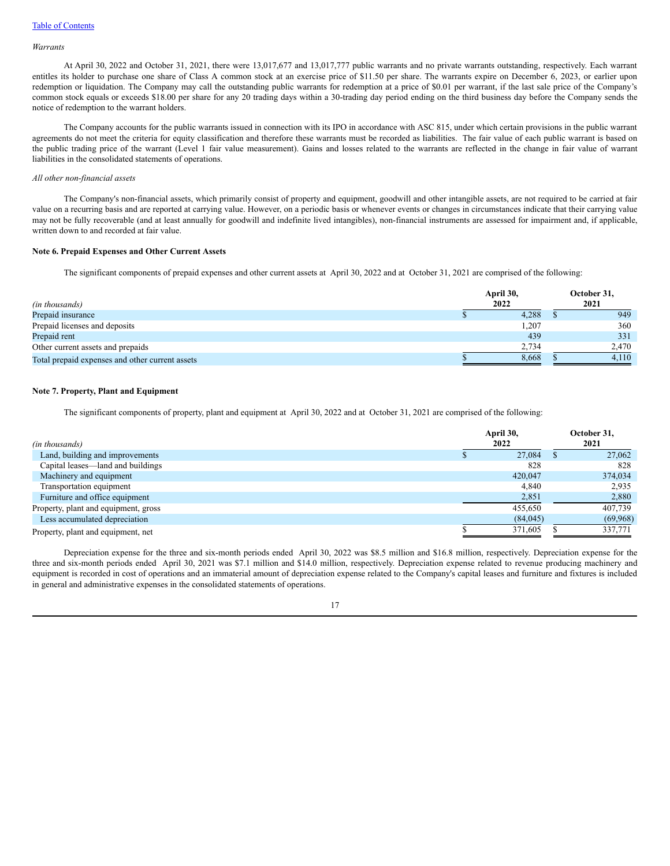### *Warrants*

At April 30, 2022 and October 31, 2021, there were 13,017,677 and 13,017,777 public warrants and no private warrants outstanding, respectively. Each warrant entitles its holder to purchase one share of Class A common stock at an exercise price of \$11.50 per share. The warrants expire on December 6, 2023, or earlier upon redemption or liquidation. The Company may call the outstanding public warrants for redemption at a price of \$0.01 per warrant, if the last sale price of the Company's common stock equals or exceeds \$18.00 per share for any 20 trading days within a 30-trading day period ending on the third business day before the Company sends the notice of redemption to the warrant holders.

The Company accounts for the public warrants issued in connection with its IPO in accordance with ASC 815, under which certain provisions in the public warrant agreements do not meet the criteria for equity classification and therefore these warrants must be recorded as liabilities. The fair value of each public warrant is based on the public trading price of the warrant (Level 1 fair value measurement). Gains and losses related to the warrants are reflected in the change in fair value of warrant liabilities in the consolidated statements of operations.

### *All other non-financial assets*

The Company's non-financial assets, which primarily consist of property and equipment, goodwill and other intangible assets, are not required to be carried at fair value on a recurring basis and are reported at carrying value. However, on a periodic basis or whenever events or changes in circumstances indicate that their carrying value may not be fully recoverable (and at least annually for goodwill and indefinite lived intangibles), non-financial instruments are assessed for impairment and, if applicable, written down to and recorded at fair value.

### **Note 6. Prepaid Expenses and Other Current Assets**

The significant components of prepaid expenses and other current assets at April 30, 2022 and at October 31, 2021 are comprised of the following:

| (in thousands)                                  | April 30,<br>2022 | October 31,<br>2021 |
|-------------------------------------------------|-------------------|---------------------|
| Prepaid insurance                               | 4.288             | 949                 |
| Prepaid licenses and deposits                   | 1,207             | 360                 |
| Prepaid rent                                    | 439               | 331                 |
| Other current assets and prepaids               | 2.734             | 2,470               |
| Total prepaid expenses and other current assets | 8.668             | 4.110               |

#### **Note 7. Property, Plant and Equipment**

The significant components of property, plant and equipment at April 30, 2022 and at October 31, 2021 are comprised of the following:

| <i>(in thousands)</i>                | April 30,<br>2022 | October 31,<br>2021 |  |  |
|--------------------------------------|-------------------|---------------------|--|--|
| Land, building and improvements      | 27.084            | 27,062              |  |  |
| Capital leases—land and buildings    | 828               | 828                 |  |  |
| Machinery and equipment              | 420,047           | 374,034             |  |  |
| Transportation equipment             | 4,840             | 2,935               |  |  |
| Furniture and office equipment       | 2,851             | 2,880               |  |  |
| Property, plant and equipment, gross | 455.650           | 407.739             |  |  |
| Less accumulated depreciation        | (84,045)          | (69,968)            |  |  |
| Property, plant and equipment, net   | 371,605           | 337,771             |  |  |

Depreciation expense for the three and six-month periods ended April 30, 2022 was \$8.5 million and \$16.8 million, respectively. Depreciation expense for the three and six-month periods ended April 30, 2021 was \$7.1 million and \$14.0 million, respectively. Depreciation expense related to revenue producing machinery and equipment is recorded in cost of operations and an immaterial amount of depreciation expense related to the Company's capital leases and furniture and fixtures is included in general and administrative expenses in the consolidated statements of operations.

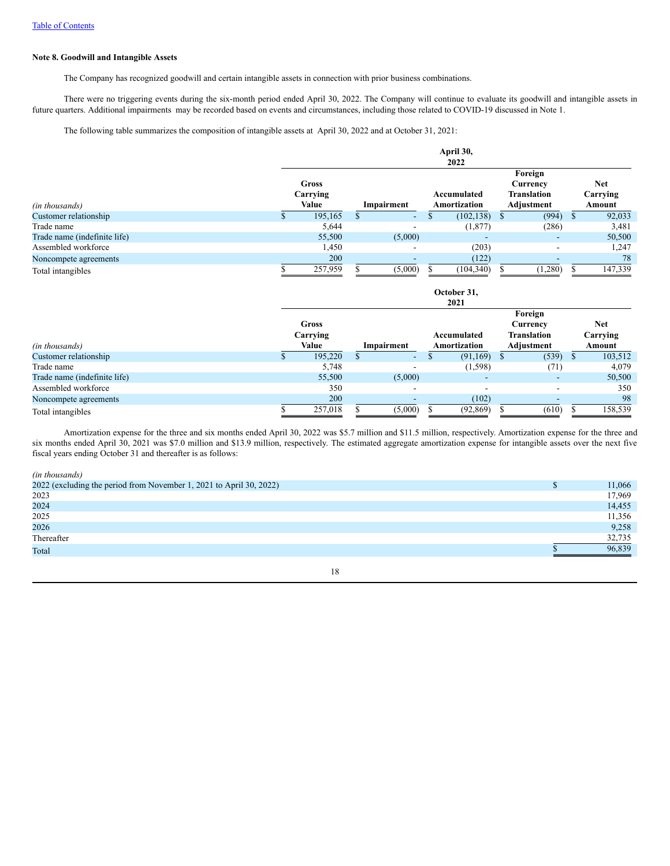### **Note 8. Goodwill and Intangible Assets**

The Company has recognized goodwill and certain intangible assets in connection with prior business combinations.

There were no triggering events during the six-month period ended April 30, 2022. The Company will continue to evaluate its goodwill and intangible assets in future quarters. Additional impairments may be recorded based on events and circumstances, including those related to COVID-19 discussed in Note 1.

The following table summarizes the composition of intangible assets at April 30, 2022 and at October 31, 2021:

|                              |  | April 30,<br>2022          |            |                          |                             |  |                                                         |  |                                  |  |  |
|------------------------------|--|----------------------------|------------|--------------------------|-----------------------------|--|---------------------------------------------------------|--|----------------------------------|--|--|
| (in thousands)               |  | Gross<br>Carrying<br>Value | Impairment |                          | Accumulated<br>Amortization |  | Foreign<br>Currency<br><b>Translation</b><br>Adjustment |  | <b>Net</b><br>Carrying<br>Amount |  |  |
| Customer relationship        |  | 195,165                    |            | $\sim$                   | (102, 138)                  |  | (994)                                                   |  | 92,033                           |  |  |
| Trade name                   |  | 5,644                      |            | $\overline{\phantom{a}}$ | (1, 877)                    |  | (286)                                                   |  | 3,481                            |  |  |
| Trade name (indefinite life) |  | 55,500                     |            | (5,000)                  |                             |  |                                                         |  | 50,500                           |  |  |
| Assembled workforce          |  | 1,450                      |            |                          | (203)                       |  | ۰                                                       |  | 1,247                            |  |  |
| Noncompete agreements        |  | 200                        |            | ٠                        | (122)                       |  | ٠                                                       |  | 78                               |  |  |
| Total intangibles            |  | 257,959                    |            | (5,000)                  | (104, 340)                  |  | (1, 280)                                                |  | 147,339                          |  |  |

|                              |                            |                          | October 31,<br>2021         |                          |                                                         |                          |  |                                         |
|------------------------------|----------------------------|--------------------------|-----------------------------|--------------------------|---------------------------------------------------------|--------------------------|--|-----------------------------------------|
| (in thousands)               | Gross<br>Carrying<br>Value | Impairment               | Accumulated<br>Amortization |                          | Foreign<br>Currency<br><b>Translation</b><br>Adjustment |                          |  | <b>Net</b><br>Carrying<br><b>Amount</b> |
| Customer relationship        | 195,220                    | ٠                        | ٠D                          | (91,169)                 |                                                         | (539)                    |  | 103,512                                 |
| Trade name                   | 5,748                      | $\overline{\phantom{a}}$ |                             | (1, 598)                 |                                                         | (71)                     |  | 4,079                                   |
| Trade name (indefinite life) | 55,500                     | (5,000)                  |                             | $\overline{\phantom{a}}$ |                                                         | $\overline{\phantom{0}}$ |  | 50,500                                  |
| Assembled workforce          | 350                        | $\overline{\phantom{a}}$ |                             | $\overline{\phantom{a}}$ |                                                         | $\overline{\phantom{0}}$ |  | 350                                     |
| Noncompete agreements        | 200                        | $\overline{\phantom{a}}$ |                             | (102)                    |                                                         | $\overline{\phantom{0}}$ |  | 98                                      |
| Total intangibles            | 257,018                    | (5,000)                  |                             | (92, 869)                |                                                         | (610)                    |  | 158,539                                 |

Amortization expense for the three and six months ended April 30, 2022 was \$5.7 million and \$11.5 million, respectively. Amortization expense for the three and six months ended April 30, 2021 was \$7.0 million and \$13.9 million, respectively. The estimated aggregate amortization expense for intangible assets over the next five fiscal years ending October 31 and thereafter is as follows:

| (in thousands)                                                      |        |
|---------------------------------------------------------------------|--------|
| 2022 (excluding the period from November 1, 2021 to April 30, 2022) | 11,066 |
| 2023                                                                | 17,969 |
| 2024                                                                | 14,455 |
| 2025                                                                | 11,356 |
| 2026                                                                | 9,258  |
| Thereafter                                                          | 32,735 |
| Total                                                               | 96.839 |

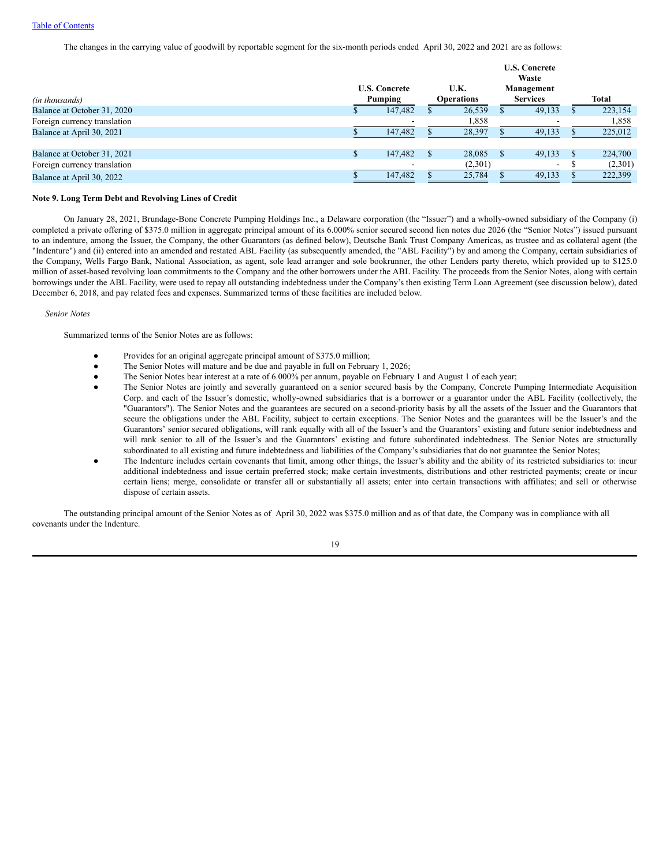The changes in the carrying value of goodwill by reportable segment for the six-month periods ended April 30, 2022 and 2021 are as follows:

|                              | <b>U.S. Concrete</b> |     | U.K.              |                 | Management |  |              |
|------------------------------|----------------------|-----|-------------------|-----------------|------------|--|--------------|
| (in thousands)               | Pumping              |     | <b>Operations</b> | <b>Services</b> |            |  | <b>Total</b> |
| Balance at October 31, 2020  | 147,482              |     | 26,539            |                 | 49,133     |  | 223,154      |
| Foreign currency translation |                      |     | 1,858             |                 |            |  | 1,858        |
| Balance at April 30, 2021    | 147,482              |     | 28,397            |                 | 49,133     |  | 225,012      |
| Balance at October 31, 2021  | 147,482              | \$. | 28,085            |                 | 49,133     |  | 224,700      |
| Foreign currency translation |                      |     | (2,301)           |                 | $\sim$     |  | (2,301)      |
| Balance at April 30, 2022    | 147,482              |     | 25,784            |                 | 49,133     |  | 222,399      |

### **Note 9. Long Term Debt and Revolving Lines of Credit**

On January 28, 2021, Brundage-Bone Concrete Pumping Holdings Inc., a Delaware corporation (the "Issuer") and a wholly-owned subsidiary of the Company (i) completed a private offering of \$375.0 million in aggregate principal amount of its 6.000% senior secured second lien notes due 2026 (the "Senior Notes") issued pursuant to an indenture, among the Issuer, the Company, the other Guarantors (as defined below), Deutsche Bank Trust Company Americas, as trustee and as collateral agent (the "Indenture") and (ii) entered into an amended and restated ABL Facility (as subsequently amended, the "ABL Facility") by and among the Company, certain subsidiaries of the Company, Wells Fargo Bank, National Association, as agent, sole lead arranger and sole bookrunner, the other Lenders party thereto, which provided up to \$125.0 million of asset-based revolving loan commitments to the Company and the other borrowers under the ABL Facility. The proceeds from the Senior Notes, along with certain borrowings under the ABL Facility, were used to repay all outstanding indebtedness under the Company's then existing Term Loan Agreement (see discussion below), dated December 6, 2018, and pay related fees and expenses. Summarized terms of these facilities are included below.

### *Senior Notes*

Summarized terms of the Senior Notes are as follows:

- Provides for an original aggregate principal amount of \$375.0 million;
- The Senior Notes will mature and be due and payable in full on February 1, 2026;
- The Senior Notes bear interest at a rate of 6.000% per annum, payable on February 1 and August 1 of each year;
- The Senior Notes are jointly and severally guaranteed on a senior secured basis by the Company, Concrete Pumping Intermediate Acquisition Corp. and each of the Issuer's domestic, wholly-owned subsidiaries that is a borrower or a guarantor under the ABL Facility (collectively, the "Guarantors"). The Senior Notes and the guarantees are secured on a second-priority basis by all the assets of the Issuer and the Guarantors that secure the obligations under the ABL Facility, subject to certain exceptions. The Senior Notes and the guarantees will be the Issuer's and the Guarantors' senior secured obligations, will rank equally with all of the Issuer's and the Guarantors' existing and future senior indebtedness and will rank senior to all of the Issuer's and the Guarantors' existing and future subordinated indebtedness. The Senior Notes are structurally subordinated to all existing and future indebtedness and liabilities of the Company's subsidiaries that do not guarantee the Senior Notes;
- The Indenture includes certain covenants that limit, among other things, the Issuer's ability and the ability of its restricted subsidiaries to: incur additional indebtedness and issue certain preferred stock; make certain investments, distributions and other restricted payments; create or incur certain liens; merge, consolidate or transfer all or substantially all assets; enter into certain transactions with affiliates; and sell or otherwise dispose of certain assets.

The outstanding principal amount of the Senior Notes as of April 30, 2022 was \$375.0 million and as of that date, the Company was in compliance with all covenants under the Indenture.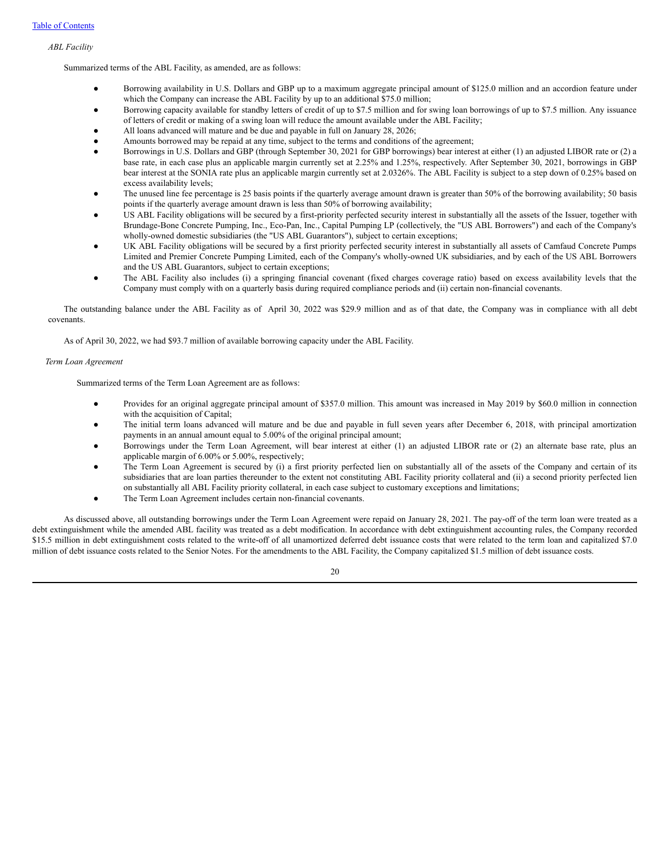### *ABL Facility*

Summarized terms of the ABL Facility, as amended, are as follows:

- Borrowing availability in U.S. Dollars and GBP up to a maximum aggregate principal amount of \$125.0 million and an accordion feature under which the Company can increase the ABL Facility by up to an additional \$75.0 million;
- Borrowing capacity available for standby letters of credit of up to \$7.5 million and for swing loan borrowings of up to \$7.5 million. Any issuance of letters of credit or making of a swing loan will reduce the amount available under the ABL Facility;
- All loans advanced will mature and be due and payable in full on January 28, 2026;
- Amounts borrowed may be repaid at any time, subject to the terms and conditions of the agreement;
- Borrowings in U.S. Dollars and GBP (through September 30, 2021 for GBP borrowings) bear interest at either (1) an adjusted LIBOR rate or (2) a base rate, in each case plus an applicable margin currently set at 2.25% and 1.25%, respectively. After September 30, 2021, borrowings in GBP bear interest at the SONIA rate plus an applicable margin currently set at 2.0326%. The ABL Facility is subject to a step down of 0.25% based on excess availability levels;
- The unused line fee percentage is 25 basis points if the quarterly average amount drawn is greater than 50% of the borrowing availability; 50 basis points if the quarterly average amount drawn is less than 50% of borrowing availability;
- US ABL Facility obligations will be secured by a first-priority perfected security interest in substantially all the assets of the Issuer, together with Brundage-Bone Concrete Pumping, Inc., Eco-Pan, Inc., Capital Pumping LP (collectively, the "US ABL Borrowers") and each of the Company's wholly-owned domestic subsidiaries (the "US ABL Guarantors"), subject to certain exceptions;
- UK ABL Facility obligations will be secured by a first priority perfected security interest in substantially all assets of Camfaud Concrete Pumps Limited and Premier Concrete Pumping Limited, each of the Company's wholly-owned UK subsidiaries, and by each of the US ABL Borrowers and the US ABL Guarantors, subject to certain exceptions;
- The ABL Facility also includes (i) a springing financial covenant (fixed charges coverage ratio) based on excess availability levels that the Company must comply with on a quarterly basis during required compliance periods and (ii) certain non-financial covenants.

The outstanding balance under the ABL Facility as of April 30, 2022 was \$29.9 million and as of that date, the Company was in compliance with all debt covenants.

As of April 30, 2022, we had \$93.7 million of available borrowing capacity under the ABL Facility.

### *Term Loan Agreement*

Summarized terms of the Term Loan Agreement are as follows:

- Provides for an original aggregate principal amount of \$357.0 million. This amount was increased in May 2019 by \$60.0 million in connection with the acquisition of Capital;
- The initial term loans advanced will mature and be due and payable in full seven years after December 6, 2018, with principal amortization payments in an annual amount equal to 5.00% of the original principal amount;
- Borrowings under the Term Loan Agreement, will bear interest at either (1) an adjusted LIBOR rate or (2) an alternate base rate, plus an applicable margin of 6.00% or 5.00%, respectively;
- The Term Loan Agreement is secured by (i) a first priority perfected lien on substantially all of the assets of the Company and certain of its subsidiaries that are loan parties thereunder to the extent not constituting ABL Facility priority collateral and (ii) a second priority perfected lien on substantially all ABL Facility priority collateral, in each case subject to customary exceptions and limitations;
- The Term Loan Agreement includes certain non-financial covenants.

As discussed above, all outstanding borrowings under the Term Loan Agreement were repaid on January 28, 2021. The pay-off of the term loan were treated as a debt extinguishment while the amended ABL facility was treated as a debt modification. In accordance with debt extinguishment accounting rules, the Company recorded \$15.5 million in debt extinguishment costs related to the write-off of all unamortized deferred debt issuance costs that were related to the term loan and capitalized \$7.0 million of debt issuance costs related to the Senior Notes. For the amendments to the ABL Facility, the Company capitalized \$1.5 million of debt issuance costs.

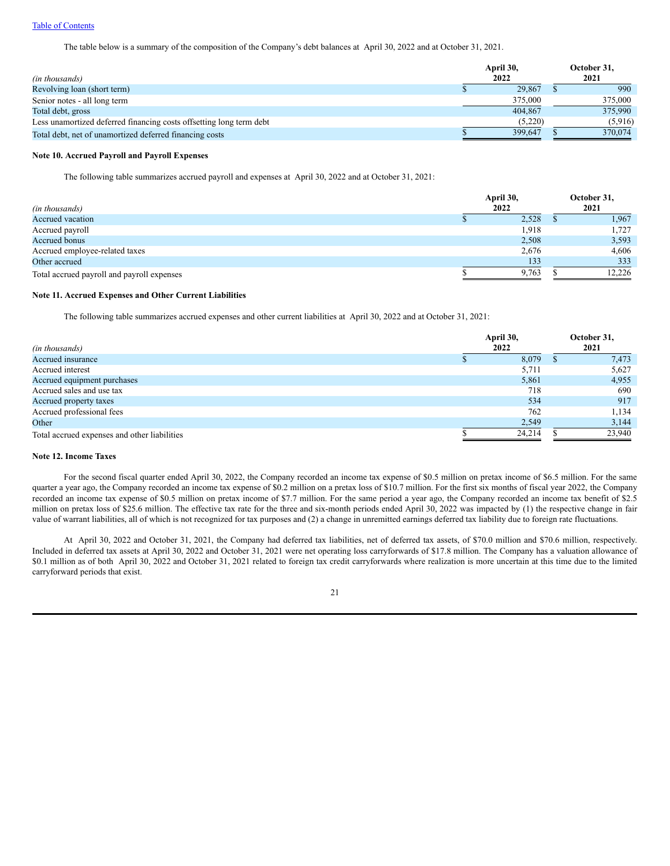The table below is a summary of the composition of the Company's debt balances at April 30, 2022 and at October 31, 2021.

| (in thousands)                                                      | April 30,<br>2022 |         | October 31,<br>2021 |
|---------------------------------------------------------------------|-------------------|---------|---------------------|
| Revolving loan (short term)                                         |                   | 29,867  | 990                 |
| Senior notes - all long term                                        |                   | 375,000 | 375,000             |
| Total debt, gross                                                   |                   | 404.867 | 375,990             |
| Less unamortized deferred financing costs offsetting long term debt |                   | (5,220) | (5,916)             |
| Total debt, net of unamortized deferred financing costs             |                   | 399.647 | 370.074             |

### **Note 10. Accrued Payroll and Payroll Expenses**

The following table summarizes accrued payroll and expenses at April 30, 2022 and at October 31, 2021:

| (in thousands)                             |  | April 30,<br>2022 | October 31,<br>2021 |
|--------------------------------------------|--|-------------------|---------------------|
| Accrued vacation                           |  | 2,528             | 1,967               |
| Accrued payroll                            |  | 1,918             | 1,727               |
| Accrued bonus                              |  | 2,508             | 3,593               |
| Accrued employee-related taxes             |  | 2,676             | 4,606               |
| Other accrued                              |  | 133               | 333                 |
| Total accrued payroll and payroll expenses |  | 9,763             | 12.226              |

### **Note 11. Accrued Expenses and Other Current Liabilities**

The following table summarizes accrued expenses and other current liabilities at April 30, 2022 and at October 31, 2021:

| (in thousands)                               | April 30,<br>2022 | October 31,<br>2021 |  |  |
|----------------------------------------------|-------------------|---------------------|--|--|
| Accrued insurance                            | 8,079             | 7,473               |  |  |
| Accrued interest                             | 5,711             | 5,627               |  |  |
| Accrued equipment purchases                  | 5,861             | 4,955               |  |  |
| Accrued sales and use tax                    | 718               | 690                 |  |  |
| Accrued property taxes                       | 534               | 917                 |  |  |
| Accrued professional fees                    | 762               | 1,134               |  |  |
| Other                                        | 2,549             | 3,144               |  |  |
| Total accrued expenses and other liabilities | 24,214            | 23,940              |  |  |

### **Note 12. Income Taxes**

For the second fiscal quarter ended April 30, 2022, the Company recorded an income tax expense of \$0.5 million on pretax income of \$6.5 million. For the same quarter a year ago, the Company recorded an income tax expense of \$0.2 million on a pretax loss of \$10.7 million. For the first six months of fiscal year 2022, the Company recorded an income tax expense of \$0.5 million on pretax income of \$7.7 million. For the same period a year ago, the Company recorded an income tax benefit of \$2.5 million on pretax loss of \$25.6 million. The effective tax rate for the three and six-month periods ended April 30, 2022 was impacted by (1) the respective change in fair value of warrant liabilities, all of which is not recognized for tax purposes and (2) a change in unremitted earnings deferred tax liability due to foreign rate fluctuations.

At April 30, 2022 and October 31, 2021, the Company had deferred tax liabilities, net of deferred tax assets, of \$70.0 million and \$70.6 million, respectively. Included in deferred tax assets at April 30, 2022 and October 31, 2021 were net operating loss carryforwards of \$17.8 million. The Company has a valuation allowance of \$0.1 million as of both April 30, 2022 and October 31, 2021 related to foreign tax credit carryforwards where realization is more uncertain at this time due to the limited carryforward periods that exist.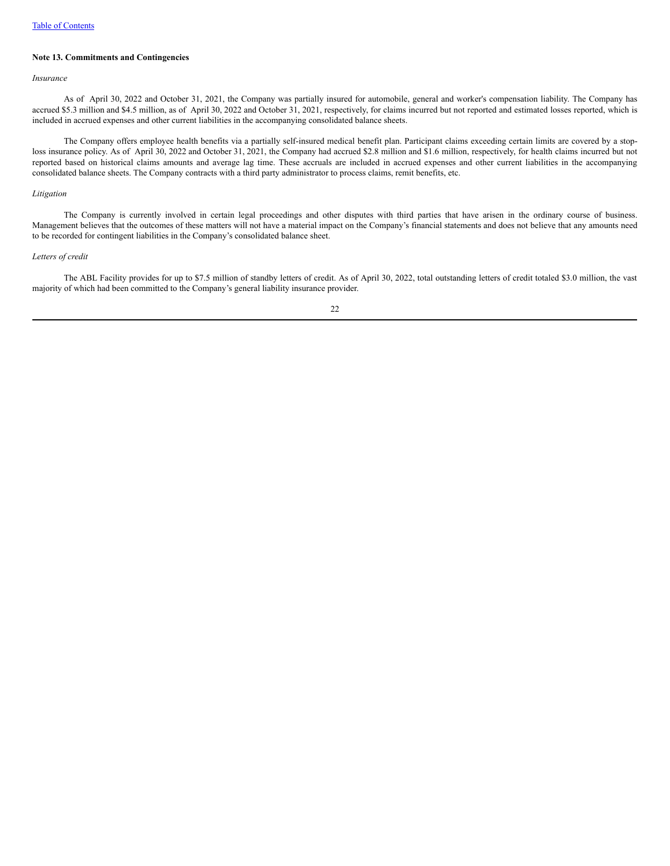### **Note 13. Commitments and Contingencies**

### *Insurance*

As of April 30, 2022 and October 31, 2021, the Company was partially insured for automobile, general and worker's compensation liability. The Company has accrued \$5.3 million and \$4.5 million, as of April 30, 2022 and October 31, 2021, respectively, for claims incurred but not reported and estimated losses reported, which is included in accrued expenses and other current liabilities in the accompanying consolidated balance sheets.

The Company offers employee health benefits via a partially self-insured medical benefit plan. Participant claims exceeding certain limits are covered by a stoploss insurance policy. As of April 30, 2022 and October 31, 2021, the Company had accrued \$2.8 million and \$1.6 million, respectively, for health claims incurred but not reported based on historical claims amounts and average lag time. These accruals are included in accrued expenses and other current liabilities in the accompanying consolidated balance sheets. The Company contracts with a third party administrator to process claims, remit benefits, etc.

# *Litigation*

The Company is currently involved in certain legal proceedings and other disputes with third parties that have arisen in the ordinary course of business. Management believes that the outcomes of these matters will not have a material impact on the Company's financial statements and does not believe that any amounts need to be recorded for contingent liabilities in the Company's consolidated balance sheet.

### *Letters of credit*

The ABL Facility provides for up to \$7.5 million of standby letters of credit. As of April 30, 2022, total outstanding letters of credit totaled \$3.0 million, the vast majority of which had been committed to the Company's general liability insurance provider.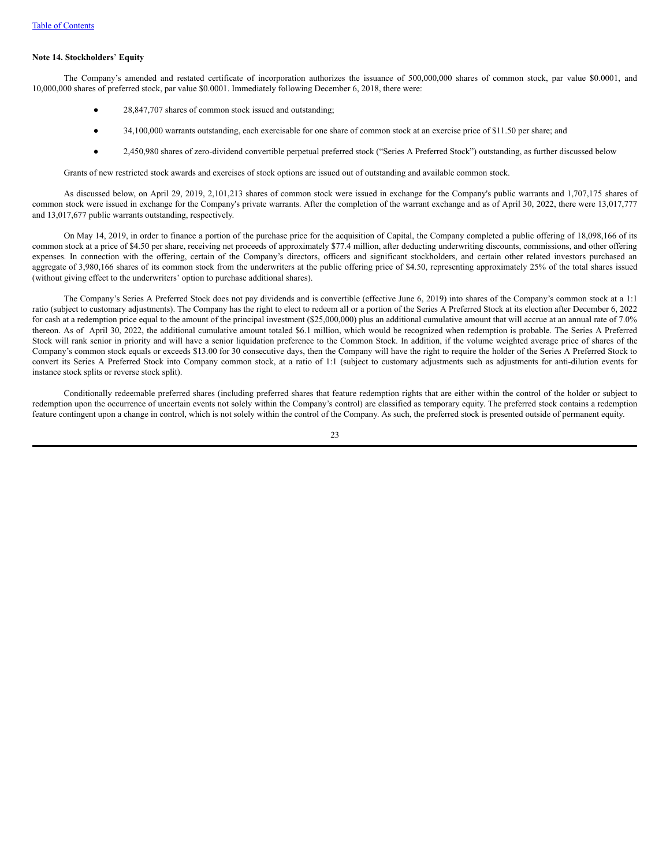#### **Note 14. Stockholders**' **Equity**

The Company's amended and restated certificate of incorporation authorizes the issuance of 500,000,000 shares of common stock, par value \$0.0001, and 10,000,000 shares of preferred stock, par value \$0.0001. Immediately following December 6, 2018, there were:

- 28,847,707 shares of common stock issued and outstanding;
- 34,100,000 warrants outstanding, each exercisable for one share of common stock at an exercise price of \$11.50 per share; and
- 2,450,980 shares of zero-dividend convertible perpetual preferred stock ("Series A Preferred Stock") outstanding, as further discussed below

Grants of new restricted stock awards and exercises of stock options are issued out of outstanding and available common stock.

As discussed below, on April 29, 2019, 2,101,213 shares of common stock were issued in exchange for the Company's public warrants and 1,707,175 shares of common stock were issued in exchange for the Company's private warrants. After the completion of the warrant exchange and as of April 30, 2022, there were 13,017,777 and 13,017,677 public warrants outstanding, respectively.

On May 14, 2019, in order to finance a portion of the purchase price for the acquisition of Capital, the Company completed a public offering of 18,098,166 of its common stock at a price of \$4.50 per share, receiving net proceeds of approximately \$77.4 million, after deducting underwriting discounts, commissions, and other offering expenses. In connection with the offering, certain of the Company's directors, officers and significant stockholders, and certain other related investors purchased an aggregate of 3,980,166 shares of its common stock from the underwriters at the public offering price of \$4.50, representing approximately 25% of the total shares issued (without giving effect to the underwriters' option to purchase additional shares).

The Company's Series A Preferred Stock does not pay dividends and is convertible (effective June 6, 2019) into shares of the Company's common stock at a 1:1 ratio (subject to customary adjustments). The Company has the right to elect to redeem all or a portion of the Series A Preferred Stock at its election after December 6, 2022 for cash at a redemption price equal to the amount of the principal investment (\$25,000,000) plus an additional cumulative amount that will accrue at an annual rate of 7.0% thereon. As of April 30, 2022, the additional cumulative amount totaled \$6.1 million, which would be recognized when redemption is probable. The Series A Preferred Stock will rank senior in priority and will have a senior liquidation preference to the Common Stock. In addition, if the volume weighted average price of shares of the Company's common stock equals or exceeds \$13.00 for 30 consecutive days, then the Company will have the right to require the holder of the Series A Preferred Stock to convert its Series A Preferred Stock into Company common stock, at a ratio of 1:1 (subject to customary adjustments such as adjustments for anti-dilution events for instance stock splits or reverse stock split).

Conditionally redeemable preferred shares (including preferred shares that feature redemption rights that are either within the control of the holder or subject to redemption upon the occurrence of uncertain events not solely within the Company's control) are classified as temporary equity. The preferred stock contains a redemption feature contingent upon a change in control, which is not solely within the control of the Company. As such, the preferred stock is presented outside of permanent equity.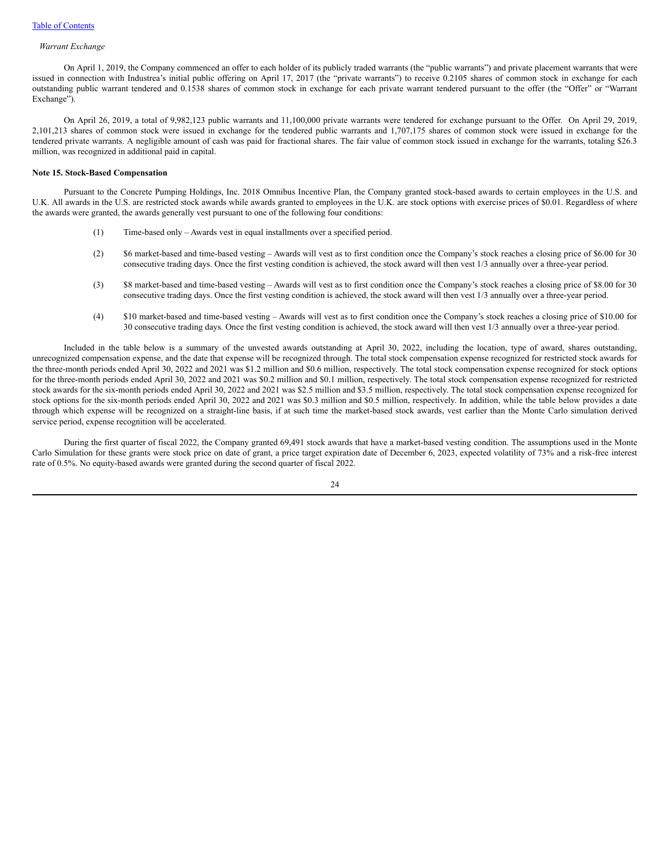### *Warrant Exchange*

On April 1, 2019, the Company commenced an offer to each holder of its publicly traded warrants (the "public warrants") and private placement warrants that were issued in connection with Industrea's initial public offering on April 17, 2017 (the "private warrants") to receive 0.2105 shares of common stock in exchange for each outstanding public warrant tendered and 0.1538 shares of common stock in exchange for each private warrant tendered pursuant to the offer (the "Offer" or "Warrant Exchange").

On April 26, 2019, a total of 9,982,123 public warrants and 11,100,000 private warrants were tendered for exchange pursuant to the Offer. On April 29, 2019, 2,101,213 shares of common stock were issued in exchange for the tendered public warrants and 1,707,175 shares of common stock were issued in exchange for the tendered private warrants. A negligible amount of cash was paid for fractional shares. The fair value of common stock issued in exchange for the warrants, totaling \$26.3 million, was recognized in additional paid in capital.

### **Note 15. Stock-Based Compensation**

Pursuant to the Concrete Pumping Holdings, Inc. 2018 Omnibus Incentive Plan, the Company granted stock-based awards to certain employees in the U.S. and U.K. All awards in the U.S. are restricted stock awards while awards granted to employees in the U.K. are stock options with exercise prices of \$0.01. Regardless of where the awards were granted, the awards generally vest pursuant to one of the following four conditions:

- (1) Time-based only Awards vest in equal installments over a specified period.
- (2) \$6 market-based and time-based vesting Awards will vest as to first condition once the Company's stock reaches a closing price of \$6.00 for 30 consecutive trading days. Once the first vesting condition is achieved, the stock award will then vest 1/3 annually over a three-year period.
- (3) \$8 market-based and time-based vesting Awards will vest as to first condition once the Company's stock reaches a closing price of \$8.00 for 30 consecutive trading days. Once the first vesting condition is achieved, the stock award will then vest 1/3 annually over a three-year period.
- (4) \$10 market-based and time-based vesting Awards will vest as to first condition once the Company's stock reaches a closing price of \$10.00 for 30 consecutive trading days. Once the first vesting condition is achieved, the stock award will then vest 1/3 annually over a three-year period.

Included in the table below is a summary of the unvested awards outstanding at April 30, 2022, including the location, type of award, shares outstanding, unrecognized compensation expense, and the date that expense will be recognized through. The total stock compensation expense recognized for restricted stock awards for the three-month periods ended April 30, 2022 and 2021 was \$1.2 million and \$0.6 million, respectively. The total stock compensation expense recognized for stock options for the three-month periods ended April 30, 2022 and 2021 was \$0.2 million and \$0.1 million, respectively. The total stock compensation expense recognized for restricted stock awards for the six-month periods ended April 30, 2022 and 2021 was \$2.5 million and \$3.5 million, respectively. The total stock compensation expense recognized for stock options for the six-month periods ended April 30, 2022 and 2021 was \$0.3 million and \$0.5 million, respectively. In addition, while the table below provides a date through which expense will be recognized on a straight-line basis, if at such time the market-based stock awards, vest earlier than the Monte Carlo simulation derived service period, expense recognition will be accelerated.

During the first quarter of fiscal 2022, the Company granted 69,491 stock awards that have a market-based vesting condition. The assumptions used in the Monte Carlo Simulation for these grants were stock price on date of grant, a price target expiration date of December 6, 2023, expected volatility of 73% and a risk-free interest rate of 0.5%. No equity-based awards were granted during the second quarter of fiscal 2022.

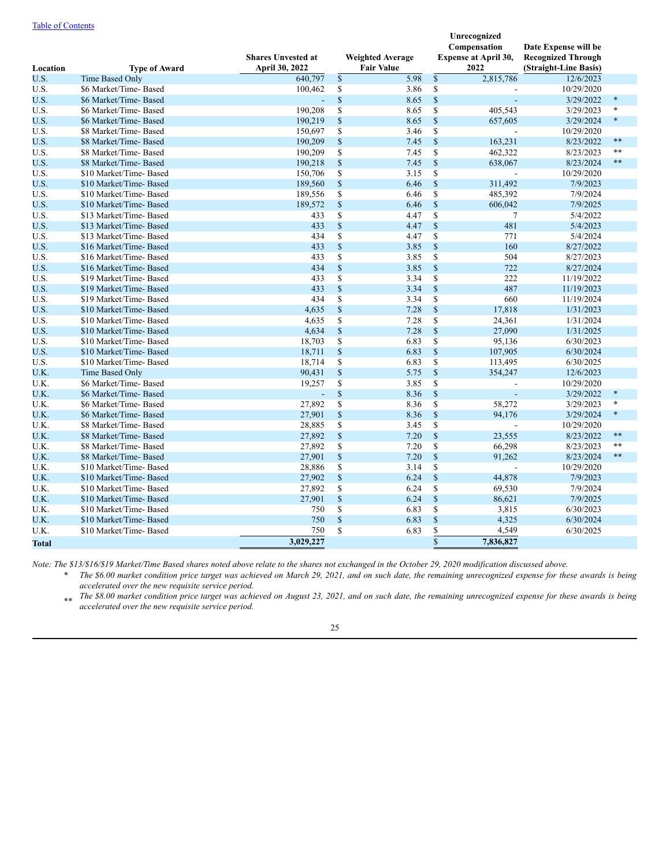|                  |                                          |                                  | Unrecognized<br>Compensation                 |                           |                         |                             |                                    |        |
|------------------|------------------------------------------|----------------------------------|----------------------------------------------|---------------------------|-------------------------|-----------------------------|------------------------------------|--------|
|                  |                                          |                                  |                                              |                           | Date Expense will be    |                             |                                    |        |
|                  |                                          | <b>Shares Unvested at</b>        |                                              | <b>Weighted Average</b>   |                         | <b>Expense at April 30,</b> | <b>Recognized Through</b>          |        |
| Location<br>U.S. | <b>Type of Award</b>                     | <b>April 30, 2022</b><br>640,797 | $\mathbb{S}$                                 | <b>Fair Value</b><br>5.98 | $\mathbb{S}$            | 2022                        | (Straight-Line Basis)<br>12/6/2023 |        |
| U.S.             | Time Based Only<br>\$6 Market/Time-Based | 100,462                          | \$                                           | 3.86                      | $\mathbf S$             | 2,815,786                   | 10/29/2020                         |        |
| U.S.             | \$6 Market/Time-Based                    |                                  | $\sqrt{\frac{2}{3}}$                         | 8.65                      | $\mathbb S$             |                             | 3/29/2022                          | $\ast$ |
| U.S.             | \$6 Market/Time-Based                    | 190,208                          | \$                                           | 8.65                      | \$                      | 405,543                     | 3/29/2023                          | $\ast$ |
| U.S.             | \$6 Market/Time-Based                    | 190,219                          | \$                                           | 8.65                      | $\mathbb{S}$            | 657,605                     | 3/29/2024                          | $\ast$ |
| U.S.             | \$8 Market/Time-Based                    |                                  | \$                                           | 3.46                      | \$                      |                             | 10/29/2020                         |        |
| U.S.             | \$8 Market/Time-Based                    | 150,697<br>190,209               | $\mathbb S$                                  | 7.45                      | $\mathbb{S}$            | 163,231                     | 8/23/2022                          | $***$  |
| U.S.             | \$8 Market/Time-Based                    | 190,209                          | $\mathbb{S}$                                 | 7.45                      | $\mathbf S$             | 462,322                     | 8/23/2023                          | **     |
| U.S.             | \$8 Market/Time-Based                    | 190,218                          | $\mathbb S$                                  | 7.45                      | $\mathbb{S}$            | 638,067                     | 8/23/2024                          | $***$  |
| U.S.             | \$10 Market/Time-Based                   | 150,706                          | $\mathbb{S}$                                 | 3.15                      | \$                      |                             | 10/29/2020                         |        |
| U.S.             | \$10 Market/Time-Based                   | 189,560                          | $\sqrt{\frac{2}{3}}$                         | 6.46                      | $\mathbb{S}$            | 311,492                     | 7/9/2023                           |        |
| U.S.             | \$10 Market/Time-Based                   | 189,556                          | $\overline{\mathbb{S}}$                      | 6.46                      | $\mathbf S$             | 485,392                     | 7/9/2024                           |        |
| U.S.             | \$10 Market/Time-Based                   | 189,572                          | $\mathbb S$                                  | 6.46                      | $\mathbb{S}$            | 606,042                     | 7/9/2025                           |        |
| U.S.             | \$13 Market/Time-Based                   | 433                              | $\mathbb{S}$                                 | 4.47                      | \$                      | $\overline{7}$              | 5/4/2022                           |        |
| U.S.             | \$13 Market/Time-Based                   | 433                              | \$                                           | 4.47                      | $\mathbf S$             | 481                         | 5/4/2023                           |        |
|                  | \$13 Market/Time-Based                   | 434                              | \$                                           | 4.47                      | \$                      | 771                         | 5/4/2024                           |        |
| U.S.<br>U.S.     | \$16 Market/Time-Based                   | 433                              | \$                                           | 3.85                      | $\mathbb{S}$            | 160                         | 8/27/2022                          |        |
| U.S.             | \$16 Market/Time-Based                   | 433                              | \$                                           | 3.85                      | $\mathbf S$             | 504                         | 8/27/2023                          |        |
|                  | \$16 Market/Time-Based                   | 434                              | $\mathbb S$                                  | 3.85                      | $\mathbb{S}$            | 722                         | 8/27/2024                          |        |
| U.S.<br>U.S.     | \$19 Market/Time-Based                   | 433                              | \$                                           | 3.34                      | \$                      | 222                         |                                    |        |
| U.S.             | \$19 Market/Time-Based                   | 433                              | \$                                           | 3.34                      | $\mathbb{S}$            | 487                         | 11/19/2022                         |        |
|                  | \$19 Market/Time-Based                   | 434                              | \$                                           | 3.34                      | \$                      | 660                         | 11/19/2023                         |        |
| U.S.             | \$10 Market/Time-Based                   |                                  |                                              | 7.28                      | $\mathbb{S}$            |                             | 11/19/2024                         |        |
| U.S.             | \$10 Market/Time-Based                   | 4,635<br>4,635                   | $\mathbb{S}% _{n}^{X\left( t\right) }$<br>\$ | 7.28                      | \$                      | 17,818<br>24,361            | 1/31/2023                          |        |
| U.S.             | \$10 Market/Time-Based                   | 4,634                            | \$                                           | 7.28                      | $\$$                    | 27,090                      | 1/31/2024                          |        |
| U.S.<br>U.S.     | \$10 Market/Time-Based                   | 18,703                           | \$                                           | 6.83                      | \$                      | 95,136                      | 1/31/2025<br>6/30/2023             |        |
| U.S.             | \$10 Market/Time-Based                   | 18,711                           | $\mathbb{S}$                                 | 6.83                      | $\mathbb{S}$            | 107,905                     | 6/30/2024                          |        |
| U.S.             | \$10 Market/Time-Based                   | 18.714                           | $\overline{\mathbf{s}}$                      | 6.83                      | $\overline{\mathbf{s}}$ |                             | 6/30/2025                          |        |
| U.K.             |                                          | 90,431                           | \$                                           | 5.75                      | $\mathbb{S}$            | 113,495                     | 12/6/2023                          |        |
| U.K.             | Time Based Only<br>\$6 Market/Time-Based | 19,257                           | \$                                           | 3.85                      | $\mathbf S$             | 354,247                     | 10/29/2020                         |        |
| U.K.             | \$6 Market/Time-Based                    | ÷,                               | \$                                           | 8.36                      | $\mathbf S$             | L,                          | 3/29/2022                          | $\ast$ |
| U.K.             | \$6 Market/Time-Based                    | 27,892                           | \$                                           | 8.36                      | \$                      | 58,272                      | 3/29/2023                          | $\ast$ |
| U.K.             | \$6 Market/Time-Based                    | 27,901                           | \$                                           | 8.36                      | $\mathbb{S}$            | 94,176                      | 3/29/2024                          | $\ast$ |
| U.K.             | \$8 Market/Time-Based                    | 28,885                           | \$                                           | 3.45                      | $\mathbb{S}$            |                             | 10/29/2020                         |        |
| U.K.             | \$8 Market/Time-Based                    | 27,892                           | \$                                           | 7.20                      | $\mathbb{S}$            | 23,555                      | 8/23/2022                          | $***$  |
| U.K.             | \$8 Market/Time-Based                    | 27,892                           | $\mathbb{S}$                                 | 7.20                      | $\mathbb{S}$            | 66,298                      | 8/23/2023                          | $***$  |
| U.K.             | \$8 Market/Time-Based                    | 27,901                           | \$                                           | 7.20                      | $\mathbb{S}$            | 91,262                      | 8/23/2024                          | $***$  |
| U.K.             | \$10 Market/Time-Based                   | 28,886                           | \$                                           | 3.14                      | $\mathbb{S}$            |                             | 10/29/2020                         |        |
|                  | \$10 Market/Time-Based                   | 27,902                           | \$                                           | 6.24                      | $\mathbb{S}$            | 44,878                      | 7/9/2023                           |        |
| U.K.<br>U.K.     | \$10 Market/Time-Based                   | 27,892                           | $\mathbb{S}$                                 | 6.24                      | \$                      | 69,530                      | 7/9/2024                           |        |
| U.K.             | \$10 Market/Time-Based                   | 27,901                           | $\mathbb S$                                  | 6.24                      | $\mathbb{S}$            | 86,621                      | 7/9/2025                           |        |
| U.K.             | \$10 Market/Time-Based                   | 750                              | $\mathbb{S}$                                 | 6.83                      | \$                      | 3,815                       | 6/30/2023                          |        |
| U.K.             | \$10 Market/Time-Based                   | 750                              | \$                                           | 6.83                      | $\mathbf S$             | 4,325                       | 6/30/2024                          |        |
|                  | \$10 Market/Time-Based                   | 750                              | \$                                           | 6.83                      | \$                      | 4,549                       |                                    |        |
| U.K.             |                                          |                                  |                                              |                           | $\overline{\mathbb{S}}$ |                             | 6/30/2025                          |        |
| Total            |                                          | 3,029,227                        |                                              |                           |                         | 7,836,827                   |                                    |        |

Note: The \$13/\$16/\$19 Market/Time Based shares noted above relate to the shares not exchanged in the October 29, 2020 modification discussed above.

\* The \$6.00 market condition price target was achieved on March 29, 2021, and on such date, the remaining unrecognized expense for these awards is being *accelerated over the new requisite service period.*

 $**$  The \$8.00 market condition price target was achieved on August 23, 2021, and on such date, the remaining unrecognized expense for these awards is being *accelerated over the new requisite service period.*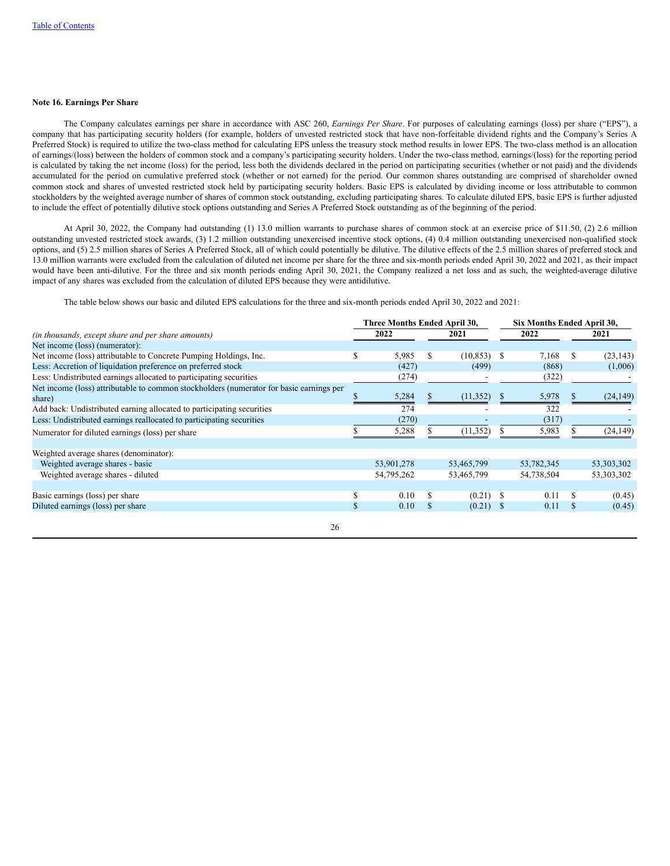### **Note 16. Earnings Per Share**

The Company calculates earnings per share in accordance with ASC 260, *Earnings Per Share*. For purposes of calculating earnings (loss) per share ("EPS"), a company that has participating security holders (for example, holders of unvested restricted stock that have non-forfeitable dividend rights and the Company's Series A Preferred Stock) is required to utilize the two-class method for calculating EPS unless the treasury stock method results in lower EPS. The two-class method is an allocation of earnings/(loss) between the holders of common stock and a company's participating security holders. Under the two-class method, earnings/(loss) for the reporting period is calculated by taking the net income (loss) for the period, less both the dividends declared in the period on participating securities (whether or not paid) and the dividends accumulated for the period on cumulative preferred stock (whether or not earned) for the period. Our common shares outstanding are comprised of shareholder owned common stock and shares of unvested restricted stock held by participating security holders. Basic EPS is calculated by dividing income or loss attributable to common stockholders by the weighted average number of shares of common stock outstanding, excluding participating shares. To calculate diluted EPS, basic EPS is further adjusted to include the effect of potentially dilutive stock options outstanding and Series A Preferred Stock outstanding as of the beginning of the period.

At April 30, 2022, the Company had outstanding (1) 13.0 million warrants to purchase shares of common stock at an exercise price of \$11.50, (2) 2.6 million outstanding unvested restricted stock awards, (3) 1.2 million outstanding unexercised incentive stock options, (4) 0.4 million outstanding unexercised non-qualified stock options, and (5) 2.5 million shares of Series A Preferred Stock, all of which could potentially be dilutive. The dilutive effects of the 2.5 million shares of preferred stock and 13.0 million warrants were excluded from the calculation of diluted net income per share for the three and six-month periods ended April 30, 2022 and 2021, as their impact would have been anti-dilutive. For the three and six month periods ending April 30, 2021, the Company realized a net loss and as such, the weighted-average dilutive impact of any shares was excluded from the calculation of diluted EPS because they were antidilutive.

The table below shows our basic and diluted EPS calculations for the three and six-month periods ended April 30, 2022 and 2021:

|                                                                                         |      | Three Months Ended April 30, |      |             |               | Six Months Ended April 30, |          |            |  |
|-----------------------------------------------------------------------------------------|------|------------------------------|------|-------------|---------------|----------------------------|----------|------------|--|
| (in thousands, except share and per share amounts)                                      | 2022 |                              | 2021 |             |               | 2022                       |          | 2021       |  |
| Net income (loss) (numerator):                                                          |      |                              |      |             |               |                            |          |            |  |
| Net income (loss) attributable to Concrete Pumping Holdings, Inc.                       |      | 5,985                        | S    | (10, 853)   | <sup>\$</sup> | 7,168                      |          | (23, 143)  |  |
| Less: Accretion of liquidation preference on preferred stock                            |      | (427)                        |      | (499)       |               | (868)                      |          | (1,006)    |  |
| Less: Undistributed earnings allocated to participating securities                      |      | (274)                        |      |             |               | (322)                      |          |            |  |
| Net income (loss) attributable to common stockholders (numerator for basic earnings per |      |                              |      |             |               |                            |          |            |  |
| share)                                                                                  |      | 5,284                        |      | (11, 352)   |               | 5,978                      |          | (24, 149)  |  |
| Add back: Undistributed earning allocated to participating securities                   |      | 274                          |      |             |               | 322                        |          |            |  |
| Less: Undistributed earnings reallocated to participating securities                    |      | (270)                        |      |             |               | (317)                      |          |            |  |
| Numerator for diluted earnings (loss) per share                                         |      | 5,288                        |      | (11,352)    |               | 5,983                      |          | (24, 149)  |  |
|                                                                                         |      |                              |      |             |               |                            |          |            |  |
| Weighted average shares (denominator):                                                  |      |                              |      |             |               |                            |          |            |  |
| Weighted average shares - basic                                                         |      | 53,901,278                   |      | 53,465,799  |               | 53,782,345                 |          | 53,303,302 |  |
| Weighted average shares - diluted                                                       |      | 54,795,262                   |      | 53,465,799  |               | 54,738,504                 |          | 53,303,302 |  |
|                                                                                         |      |                              |      |             |               |                            |          |            |  |
| Basic earnings (loss) per share                                                         | \$   | 0.10                         | \$   | (0.21)      | -S            | 0.11                       |          | (0.45)     |  |
| Diluted earnings (loss) per share                                                       | \$   | 0.10                         | S    | $(0.21)$ \$ |               | 0.11                       | <b>S</b> | (0.45)     |  |
| 26                                                                                      |      |                              |      |             |               |                            |          |            |  |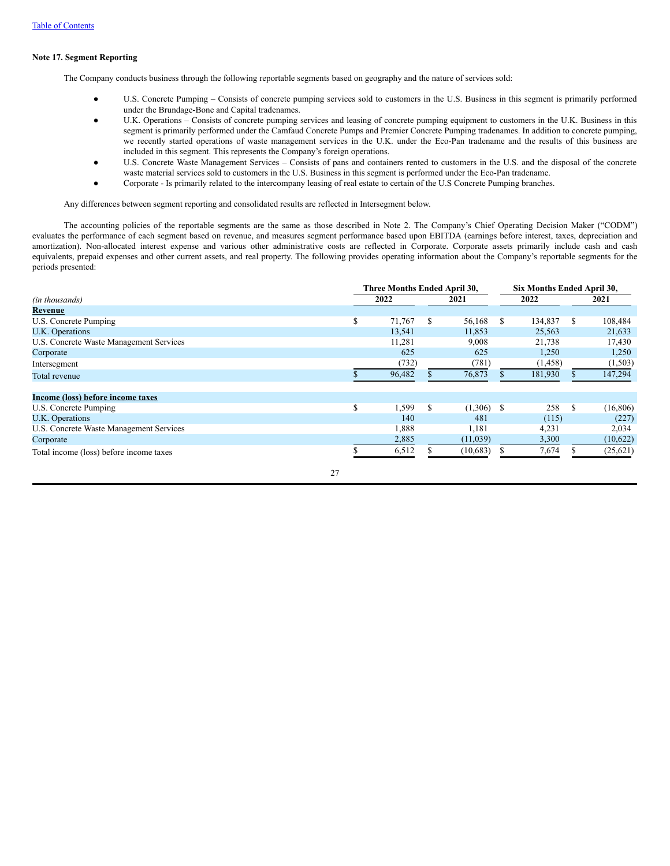### **Note 17. Segment Reporting**

The Company conducts business through the following reportable segments based on geography and the nature of services sold:

- U.S. Concrete Pumping Consists of concrete pumping services sold to customers in the U.S. Business in this segment is primarily performed under the Brundage-Bone and Capital tradenames.
- U.K. Operations Consists of concrete pumping services and leasing of concrete pumping equipment to customers in the U.K. Business in this segment is primarily performed under the Camfaud Concrete Pumps and Premier Concrete Pumping tradenames. In addition to concrete pumping, we recently started operations of waste management services in the U.K. under the Eco-Pan tradename and the results of this business are included in this segment. This represents the Company's foreign operations.
- U.S. Concrete Waste Management Services Consists of pans and containers rented to customers in the U.S. and the disposal of the concrete waste material services sold to customers in the U.S. Business in this segment is performed under the Eco-Pan tradename.
- Corporate Is primarily related to the intercompany leasing of real estate to certain of the U.S Concrete Pumping branches.

Any differences between segment reporting and consolidated results are reflected in Intersegment below.

The accounting policies of the reportable segments are the same as those described in Note 2. The Company's Chief Operating Decision Maker ("CODM") evaluates the performance of each segment based on revenue, and measures segment performance based upon EBITDA (earnings before interest, taxes, depreciation and amortization). Non-allocated interest expense and various other administrative costs are reflected in Corporate. Corporate assets primarily include cash and cash equivalents, prepaid expenses and other current assets, and real property. The following provides operating information about the Company's reportable segments for the periods presented:

|                                         | Three Months Ended April 30, |        |               |          | Six Months Ended April 30, |          |      |           |
|-----------------------------------------|------------------------------|--------|---------------|----------|----------------------------|----------|------|-----------|
| (in thousands)                          | 2022                         |        | 2021          |          | 2022                       |          | 2021 |           |
| <b>Revenue</b>                          |                              |        |               |          |                            |          |      |           |
| U.S. Concrete Pumping                   | P.                           | 71,767 | <sup>\$</sup> | 56,168   | \$.                        | 134,837  | S    | 108,484   |
| U.K. Operations                         |                              | 13,541 |               | 11,853   |                            | 25,563   |      | 21,633    |
| U.S. Concrete Waste Management Services |                              | 11,281 |               | 9,008    |                            | 21,738   |      | 17,430    |
| Corporate                               |                              | 625    |               | 625      |                            | 1,250    |      | 1,250     |
| Intersegment                            |                              | (732)  |               | (781)    |                            | (1, 458) |      | (1,503)   |
| Total revenue                           |                              | 96,482 |               | 76,873   |                            | 181,930  |      | 147,294   |
| Income (loss) before income taxes       |                              |        |               |          |                            |          |      |           |
| U.S. Concrete Pumping                   | \$                           | 1,599  | S             | (1,306)  | -S                         | 258      |      | (16, 806) |
| U.K. Operations                         |                              | 140    |               | 481      |                            | (115)    |      | (227)     |
| U.S. Concrete Waste Management Services |                              | 1,888  |               | 1,181    |                            | 4,231    |      | 2,034     |
| Corporate                               |                              | 2,885  |               | (11,039) |                            | 3,300    |      | (10,622)  |
| Total income (loss) before income taxes |                              | 6,512  |               | (10,683) | S                          | 7,674    |      | (25, 621) |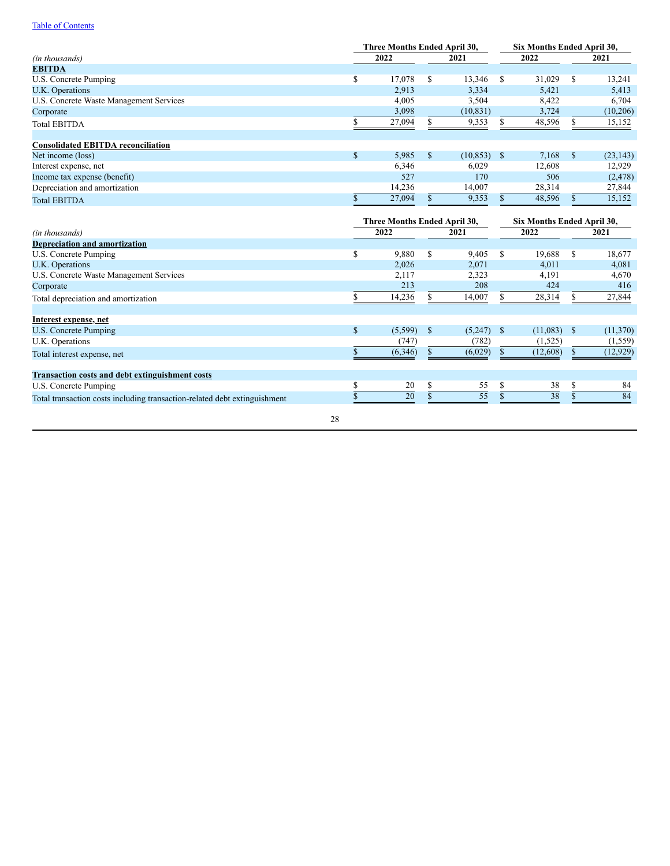# Table of [Contents](#page-1-0)

|                                                                           | Three Months Ended April 30, |                              |                         |                 |                         | Six Months Ended April 30, |                         |           |  |  |
|---------------------------------------------------------------------------|------------------------------|------------------------------|-------------------------|-----------------|-------------------------|----------------------------|-------------------------|-----------|--|--|
| (in thousands)                                                            |                              | 2022                         |                         | 2021            |                         | 2022                       |                         | 2021      |  |  |
| <b>EBITDA</b>                                                             |                              |                              |                         |                 |                         |                            |                         |           |  |  |
| U.S. Concrete Pumping                                                     | \$                           | 17,078                       | \$                      | 13,346          | \$                      | 31,029                     | \$                      | 13,241    |  |  |
| U.K. Operations                                                           |                              | 2,913                        |                         | 3,334           |                         | 5,421                      |                         | 5,413     |  |  |
| U.S. Concrete Waste Management Services                                   |                              | 4,005                        |                         | 3,504           |                         | 8,422                      |                         | 6,704     |  |  |
| Corporate                                                                 |                              | 3,098                        |                         | (10, 831)       |                         | 3,724                      |                         | (10, 206) |  |  |
| <b>Total EBITDA</b>                                                       | \$                           | 27,094                       | \$                      | 9,353           | \$                      | 48,596                     | \$                      | 15,152    |  |  |
| <b>Consolidated EBITDA reconciliation</b>                                 |                              |                              |                         |                 |                         |                            |                         |           |  |  |
| Net income (loss)                                                         | $\mathbb{S}$                 | 5,985                        | $\mathcal{S}$           | $(10, 853)$ \$  |                         | 7.168                      | $\mathbb{S}$            | (23, 143) |  |  |
| Interest expense, net                                                     |                              | 6,346                        |                         | 6,029           |                         | 12,608                     |                         | 12,929    |  |  |
| Income tax expense (benefit)                                              |                              | 527                          |                         | 170             |                         | 506                        |                         | (2, 478)  |  |  |
| Depreciation and amortization                                             |                              | 14,236                       |                         | 14,007          |                         | 28,314                     |                         | 27,844    |  |  |
| <b>Total EBITDA</b>                                                       | \$                           | 27,094                       | <sup>\$</sup>           | 9,353           | $\mathbb{S}$            | 48,596                     | $\mathbb{S}$            | 15,152    |  |  |
|                                                                           |                              | Three Months Ended April 30, |                         |                 |                         | Six Months Ended April 30, |                         |           |  |  |
| (in thousands)                                                            |                              | 2022                         |                         | 2021            |                         | 2022                       |                         | 2021      |  |  |
| <b>Depreciation and amortization</b>                                      |                              |                              |                         |                 |                         |                            |                         |           |  |  |
| U.S. Concrete Pumping                                                     | \$                           | 9.880                        | \$                      | 9,405           | \$                      | 19.688                     | \$                      | 18.677    |  |  |
| U.K. Operations                                                           |                              | 2,026                        |                         | 2,071           |                         | 4,011                      |                         | 4,081     |  |  |
| U.S. Concrete Waste Management Services                                   |                              | 2,117                        |                         | 2,323           |                         | 4,191                      |                         | 4,670     |  |  |
| Corporate                                                                 |                              | 213                          |                         | 208             |                         | 424                        |                         | 416       |  |  |
| Total depreciation and amortization                                       | \$                           | 14,236                       | \$                      | 14,007          | \$                      | 28,314                     | \$                      | 27,844    |  |  |
| Interest expense, net                                                     |                              |                              |                         |                 |                         |                            |                         |           |  |  |
| U.S. Concrete Pumping                                                     | $\mathbb{S}$                 | (5,599)                      | $\mathsf{\$}$           | (5,247)         | $\mathbb{S}$            | $(11,083)$ \$              |                         | (11,370)  |  |  |
| U.K. Operations                                                           |                              | (747)                        |                         | (782)           |                         | (1,525)                    |                         | (1, 559)  |  |  |
| Total interest expense, net                                               | \$                           | (6,346)                      | $\mathbb{S}$            | (6,029)         | $\mathbb{S}$            | (12,608)                   | $\mathbb{S}$            | (12, 929) |  |  |
| <b>Transaction costs and debt extinguishment costs</b>                    |                              |                              |                         |                 |                         |                            |                         |           |  |  |
| U.S. Concrete Pumping                                                     | \$                           | 20                           | \$                      | 55              | \$                      | 38                         | \$                      | 84        |  |  |
| Total transaction costs including transaction-related debt extinguishment | $\overline{\mathbb{S}}$      | $\overline{20}$              | $\overline{\mathbb{S}}$ | $\overline{55}$ | $\overline{\mathbb{S}}$ | $\overline{38}$            | $\overline{\mathbb{S}}$ | 84        |  |  |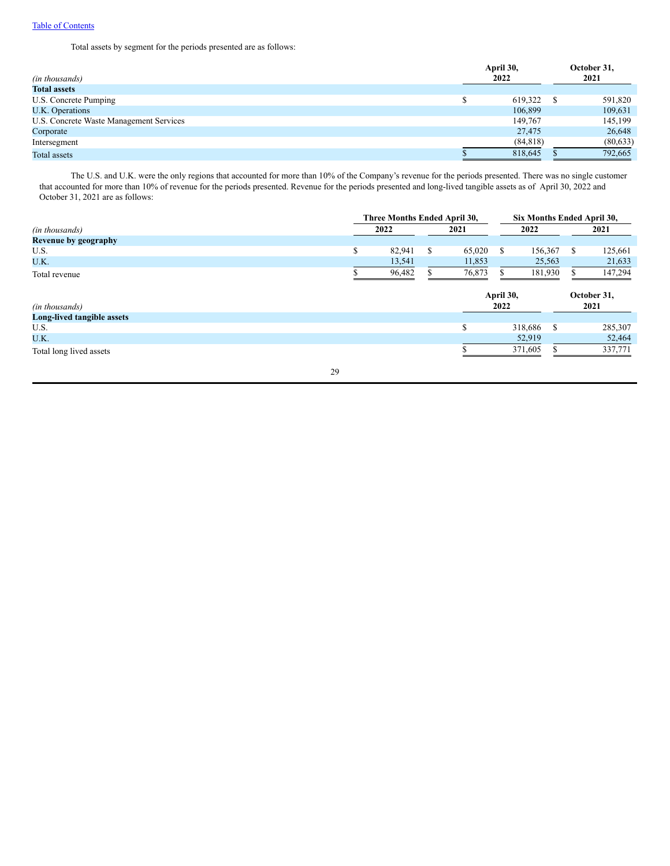Total assets by segment for the periods presented are as follows:

|                                         | April 30, | October 31, |  |
|-----------------------------------------|-----------|-------------|--|
| (in thousands)                          | 2022      | 2021        |  |
| <b>Total assets</b>                     |           |             |  |
| U.S. Concrete Pumping                   | 619,322   | 591,820     |  |
| U.K. Operations                         | 106,899   | 109,631     |  |
| U.S. Concrete Waste Management Services | 149,767   | 145,199     |  |
| Corporate                               | 27,475    | 26,648      |  |
| Intersegment                            | (84, 818) | (80, 633)   |  |
| Total assets                            | 818.645   | 792.665     |  |

The U.S. and U.K. were the only regions that accounted for more than 10% of the Company's revenue for the periods presented. There was no single customer that accounted for more than 10% of revenue for the periods presented. Revenue for the periods presented and long-lived tangible assets as of April 30, 2022 and October 31, 2021 are as follows:

|                            | Three Months Ended April 30, |     |        |               | Six Months Ended April 30, |             |         |  |  |
|----------------------------|------------------------------|-----|--------|---------------|----------------------------|-------------|---------|--|--|
| (in thousands)             | 2022                         |     | 2021   |               | 2022                       | 2021        |         |  |  |
| Revenue by geography       |                              |     |        |               |                            |             |         |  |  |
| U.S.                       | \$<br>82,941                 | \$. | 65,020 | <sup>\$</sup> | 156,367                    |             | 125,661 |  |  |
| U.K.                       | 13,541                       |     | 11,853 |               | 25,563                     |             | 21,633  |  |  |
| Total revenue              | 96,482                       |     | 76,873 |               | 181,930                    |             | 147,294 |  |  |
|                            |                              |     |        | April 30,     |                            | October 31, |         |  |  |
| (in thousands)             |                              |     |        | 2022          |                            |             | 2021    |  |  |
| Long-lived tangible assets |                              |     |        |               |                            |             |         |  |  |
|                            |                              |     | э      | 318,686       | - \$                       |             | 285,307 |  |  |
| U.S.                       |                              |     |        |               |                            |             |         |  |  |
| U.K.                       |                              |     |        | 52,919        |                            |             | 52,464  |  |  |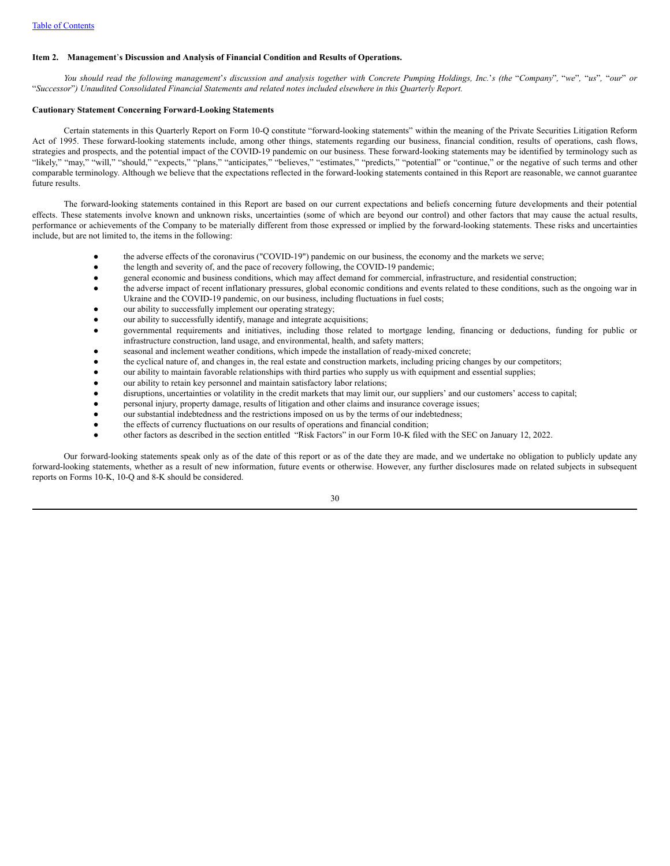### <span id="page-29-0"></span>**Item 2. Management**'**s Discussion and Analysis of Financial Condition and Results of Operations.**

You should read the following management's discussion and analysis together with Concrete Pumping Holdings, Inc.'s (the "Company", "we", "us", "our" or "*Successor*"*) Unaudited Consolidated Financial Statements and related notes included elsewhere in this Quarterly Report.*

### **Cautionary Statement Concerning Forward-Looking Statements**

Certain statements in this Quarterly Report on Form 10-Q constitute "forward-looking statements" within the meaning of the Private Securities Litigation Reform Act of 1995. These forward-looking statements include, among other things, statements regarding our business, financial condition, results of operations, cash flows, strategies and prospects, and the potential impact of the COVID-19 pandemic on our business. These forward-looking statements may be identified by terminology such as "likely," "may," "will," "should," "expects," "plans," "anticipates," "believes," "estimates," "predicts," "potential" or "continue," or the negative of such terms and other comparable terminology. Although we believe that the expectations reflected in the forward-looking statements contained in this Report are reasonable, we cannot guarantee future results.

The forward-looking statements contained in this Report are based on our current expectations and beliefs concerning future developments and their potential effects. These statements involve known and unknown risks, uncertainties (some of which are beyond our control) and other factors that may cause the actual results, performance or achievements of the Company to be materially different from those expressed or implied by the forward-looking statements. These risks and uncertainties include, but are not limited to, the items in the following:

- the adverse effects of the coronavirus ("COVID-19") pandemic on our business, the economy and the markets we serve;
- the length and severity of, and the pace of recovery following, the COVID-19 pandemic;
- general economic and business conditions, which may affect demand for commercial, infrastructure, and residential construction;
- the adverse impact of recent inflationary pressures, global economic conditions and events related to these conditions, such as the ongoing war in Ukraine and the COVID-19 pandemic, on our business, including fluctuations in fuel costs;
- our ability to successfully implement our operating strategy;
- our ability to successfully identify, manage and integrate acquisitions;
- governmental requirements and initiatives, including those related to mortgage lending, financing or deductions, funding for public or infrastructure construction, land usage, and environmental, health, and safety matters;
- seasonal and inclement weather conditions, which impede the installation of ready-mixed concrete;
- the cyclical nature of, and changes in, the real estate and construction markets, including pricing changes by our competitors;
- our ability to maintain favorable relationships with third parties who supply us with equipment and essential supplies;
- our ability to retain key personnel and maintain satisfactory labor relations;
- disruptions, uncertainties or volatility in the credit markets that may limit our, our suppliers' and our customers' access to capital;
- personal injury, property damage, results of litigation and other claims and insurance coverage issues;
- our substantial indebtedness and the restrictions imposed on us by the terms of our indebtedness;
- the effects of currency fluctuations on our results of operations and financial condition;
- other factors as described in the section entitled "Risk Factors" in our Form 10-K filed with the SEC on January 12, 2022.

Our forward-looking statements speak only as of the date of this report or as of the date they are made, and we undertake no obligation to publicly update any forward-looking statements, whether as a result of new information, future events or otherwise. However, any further disclosures made on related subjects in subsequent reports on Forms 10-K, 10-Q and 8-K should be considered.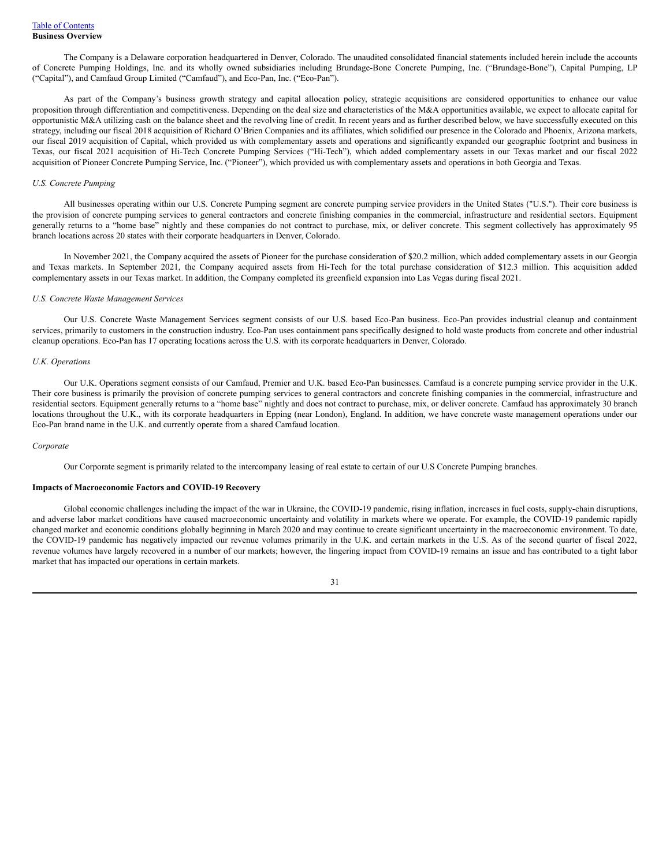The Company is a Delaware corporation headquartered in Denver, Colorado. The unaudited consolidated financial statements included herein include the accounts of Concrete Pumping Holdings, Inc. and its wholly owned subsidiaries including Brundage-Bone Concrete Pumping, Inc. ("Brundage-Bone"), Capital Pumping, LP ("Capital"), and Camfaud Group Limited ("Camfaud"), and Eco-Pan, Inc. ("Eco-Pan").

As part of the Company's business growth strategy and capital allocation policy, strategic acquisitions are considered opportunities to enhance our value proposition through differentiation and competitiveness. Depending on the deal size and characteristics of the M&A opportunities available, we expect to allocate capital for opportunistic M&A utilizing cash on the balance sheet and the revolving line of credit. In recent years and as further described below, we have successfully executed on this strategy, including our fiscal 2018 acquisition of Richard O'Brien Companies and its affiliates, which solidified our presence in the Colorado and Phoenix, Arizona markets, our fiscal 2019 acquisition of Capital, which provided us with complementary assets and operations and significantly expanded our geographic footprint and business in Texas, our fiscal 2021 acquisition of Hi-Tech Concrete Pumping Services ("Hi-Tech"), which added complementary assets in our Texas market and our fiscal 2022 acquisition of Pioneer Concrete Pumping Service, Inc. ("Pioneer"), which provided us with complementary assets and operations in both Georgia and Texas.

### *U.S. Concrete Pumping*

All businesses operating within our U.S. Concrete Pumping segment are concrete pumping service providers in the United States ("U.S."). Their core business is the provision of concrete pumping services to general contractors and concrete finishing companies in the commercial, infrastructure and residential sectors. Equipment generally returns to a "home base" nightly and these companies do not contract to purchase, mix, or deliver concrete. This segment collectively has approximately 95 branch locations across 20 states with their corporate headquarters in Denver, Colorado.

In November 2021, the Company acquired the assets of Pioneer for the purchase consideration of \$20.2 million, which added complementary assets in our Georgia and Texas markets. In September 2021, the Company acquired assets from Hi-Tech for the total purchase consideration of \$12.3 million. This acquisition added complementary assets in our Texas market. In addition, the Company completed its greenfield expansion into Las Vegas during fiscal 2021.

### *U.S. Concrete Waste Management Services*

Our U.S. Concrete Waste Management Services segment consists of our U.S. based Eco-Pan business. Eco-Pan provides industrial cleanup and containment services, primarily to customers in the construction industry. Eco-Pan uses containment pans specifically designed to hold waste products from concrete and other industrial cleanup operations. Eco-Pan has 17 operating locations across the U.S. with its corporate headquarters in Denver, Colorado.

### *U.K. Operations*

Our U.K. Operations segment consists of our Camfaud, Premier and U.K. based Eco-Pan businesses. Camfaud is a concrete pumping service provider in the U.K. Their core business is primarily the provision of concrete pumping services to general contractors and concrete finishing companies in the commercial, infrastructure and residential sectors. Equipment generally returns to a "home base" nightly and does not contract to purchase, mix, or deliver concrete. Camfaud has approximately 30 branch locations throughout the U.K., with its corporate headquarters in Epping (near London), England. In addition, we have concrete waste management operations under our Eco-Pan brand name in the U.K. and currently operate from a shared Camfaud location.

### *Corporate*

Our Corporate segment is primarily related to the intercompany leasing of real estate to certain of our U.S Concrete Pumping branches.

### **Impacts of Macroeconomic Factors and COVID-19 Recovery**

Global economic challenges including the impact of the war in Ukraine, the COVID-19 pandemic, rising inflation, increases in fuel costs, supply-chain disruptions, and adverse labor market conditions have caused macroeconomic uncertainty and volatility in markets where we operate. For example, the COVID-19 pandemic rapidly changed market and economic conditions globally beginning in March 2020 and may continue to create significant uncertainty in the macroeconomic environment. To date, the COVID-19 pandemic has negatively impacted our revenue volumes primarily in the U.K. and certain markets in the U.S. As of the second quarter of fiscal 2022, revenue volumes have largely recovered in a number of our markets; however, the lingering impact from COVID-19 remains an issue and has contributed to a tight labor market that has impacted our operations in certain markets.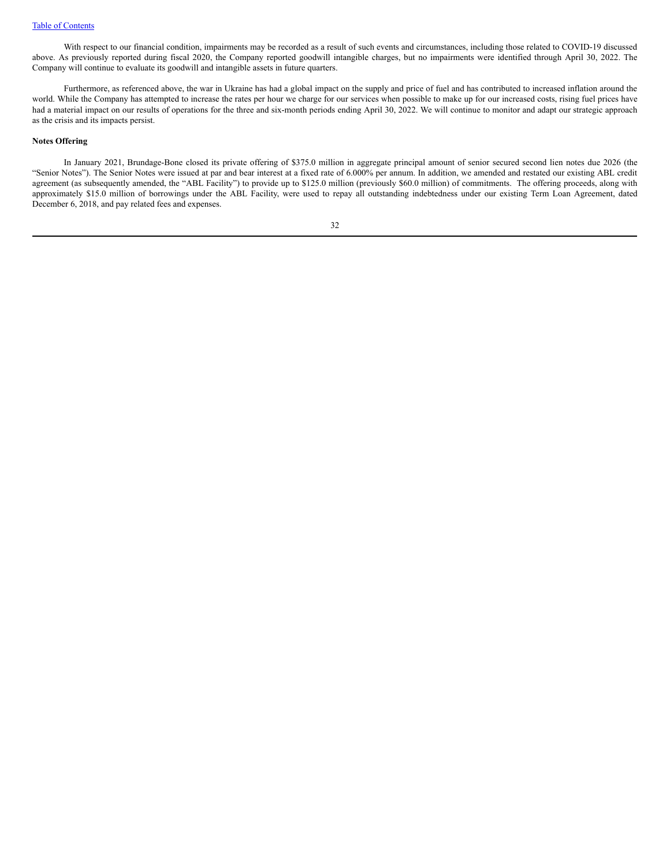With respect to our financial condition, impairments may be recorded as a result of such events and circumstances, including those related to COVID-19 discussed above. As previously reported during fiscal 2020, the Company reported goodwill intangible charges, but no impairments were identified through April 30, 2022. The Company will continue to evaluate its goodwill and intangible assets in future quarters.

Furthermore, as referenced above, the war in Ukraine has had a global impact on the supply and price of fuel and has contributed to increased inflation around the world. While the Company has attempted to increase the rates per hour we charge for our services when possible to make up for our increased costs, rising fuel prices have had a material impact on our results of operations for the three and six-month periods ending April 30, 2022. We will continue to monitor and adapt our strategic approach as the crisis and its impacts persist.

### **Notes Offering**

In January 2021, Brundage-Bone closed its private offering of \$375.0 million in aggregate principal amount of senior secured second lien notes due 2026 (the "Senior Notes"). The Senior Notes were issued at par and bear interest at a fixed rate of 6.000% per annum. In addition, we amended and restated our existing ABL credit agreement (as subsequently amended, the "ABL Facility") to provide up to \$125.0 million (previously \$60.0 million) of commitments. The offering proceeds, along with approximately \$15.0 million of borrowings under the ABL Facility, were used to repay all outstanding indebtedness under our existing Term Loan Agreement, dated December 6, 2018, and pay related fees and expenses.

|             | ٠ |
|-------------|---|
| ×<br>×<br>v |   |
|             |   |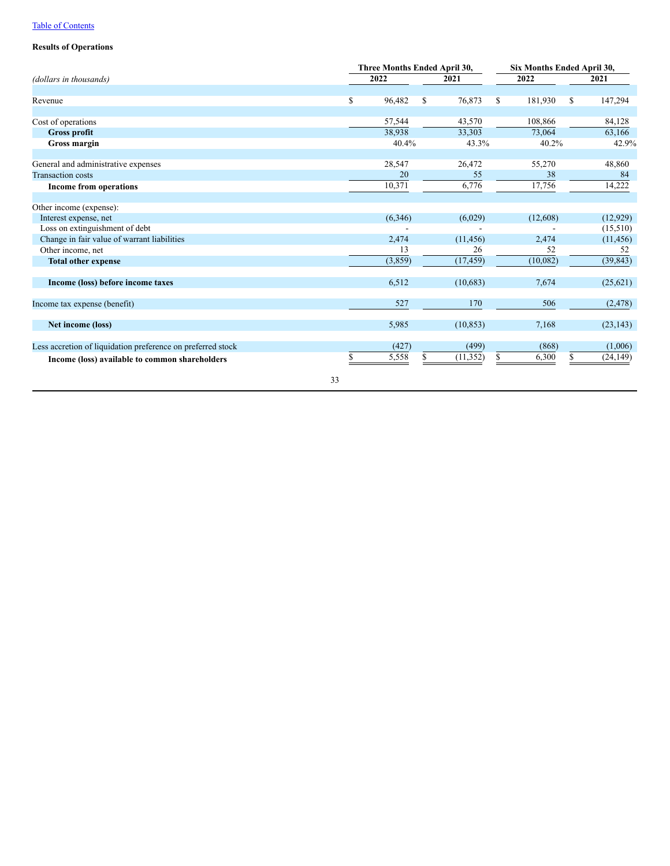# Table of [Contents](#page-1-0)

# **Results of Operations**

|                                                             |    | Three Months Ended April 30, |    | <b>Six Months Ended April 30,</b> |    |          |    |           |  |
|-------------------------------------------------------------|----|------------------------------|----|-----------------------------------|----|----------|----|-----------|--|
| (dollars in thousands)                                      |    | 2022                         |    | 2021                              |    | 2022     |    | 2021      |  |
| Revenue                                                     | S  | 96,482                       | \$ | 76,873                            | \$ | 181,930  | \$ | 147,294   |  |
| Cost of operations                                          |    | 57,544                       |    | 43,570                            |    | 108,866  |    | 84,128    |  |
| <b>Gross profit</b>                                         |    | 38,938                       |    | 33,303                            |    | 73,064   |    | 63,166    |  |
| Gross margin                                                |    | 40.4%                        |    | 43.3%                             |    | 40.2%    |    | 42.9%     |  |
| General and administrative expenses                         |    | 28,547                       |    | 26,472                            |    | 55,270   |    | 48,860    |  |
| <b>Transaction</b> costs                                    |    | 20                           |    | 55                                |    | 38       |    | 84        |  |
| <b>Income from operations</b>                               |    | 10,371                       |    | 6,776                             |    | 17,756   |    | 14,222    |  |
| Other income (expense):                                     |    |                              |    |                                   |    |          |    |           |  |
| Interest expense, net                                       |    | (6,346)                      |    | (6,029)                           |    | (12,608) |    | (12,929)  |  |
| Loss on extinguishment of debt                              |    |                              |    |                                   |    |          |    | (15,510)  |  |
| Change in fair value of warrant liabilities                 |    | 2,474                        |    | (11, 456)                         |    | 2,474    |    | (11, 456) |  |
| Other income, net                                           |    | 13                           |    | 26                                |    | 52       |    | 52        |  |
| <b>Total other expense</b>                                  |    | (3,859)                      |    | (17, 459)                         |    | (10,082) |    | (39, 843) |  |
| Income (loss) before income taxes                           |    | 6,512                        |    | (10,683)                          |    | 7,674    |    | (25,621)  |  |
| Income tax expense (benefit)                                |    | 527                          |    | 170                               |    | 506      |    | (2, 478)  |  |
| Net income (loss)                                           |    | 5,985                        |    | (10, 853)                         |    | 7,168    |    | (23, 143) |  |
| Less accretion of liquidation preference on preferred stock |    | (427)                        |    | (499)                             |    | (868)    |    | (1,006)   |  |
| Income (loss) available to common shareholders              |    | 5,558                        | S  | (11, 352)                         | \$ | 6,300    | S  | (24, 149) |  |
|                                                             | 33 |                              |    |                                   |    |          |    |           |  |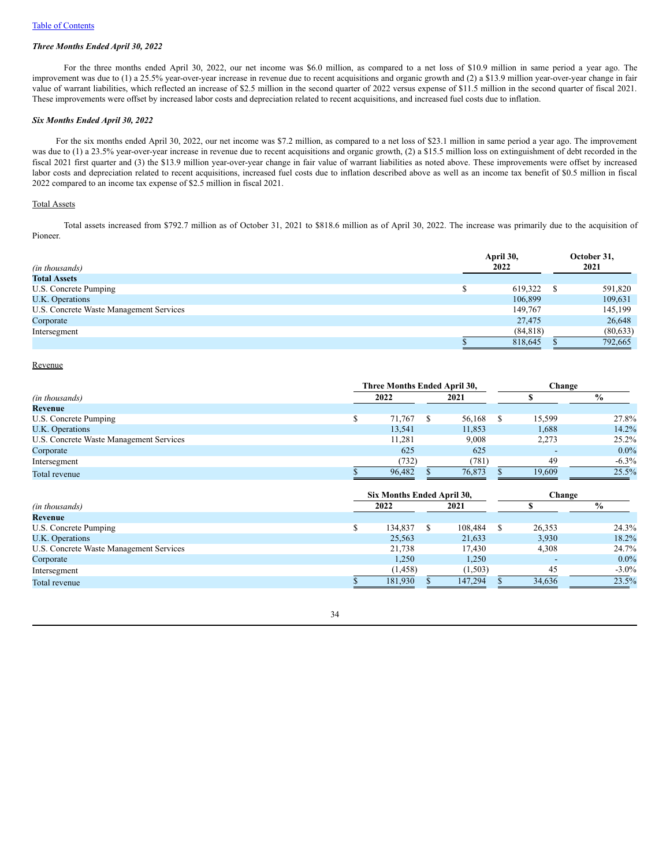## *Three Months Ended April 30, 2022*

For the three months ended April 30, 2022, our net income was \$6.0 million, as compared to a net loss of \$10.9 million in same period a year ago. The improvement was due to (1) a 25.5% year-over-year increase in revenue due to recent acquisitions and organic growth and (2) a \$13.9 million year-over-year change in fair value of warrant liabilities, which reflected an increase of \$2.5 million in the second quarter of 2022 versus expense of \$11.5 million in the second quarter of fiscal 2021. These improvements were offset by increased labor costs and depreciation related to recent acquisitions, and increased fuel costs due to inflation.

### *Six Months Ended April 30, 2022*

For the six months ended April 30, 2022, our net income was \$7.2 million, as compared to a net loss of \$23.1 million in same period a year ago. The improvement was due to (1) a 23.5% year-over-year increase in revenue due to recent acquisitions and organic growth, (2) a \$15.5 million loss on extinguishment of debt recorded in the fiscal 2021 first quarter and (3) the \$13.9 million year-over-year change in fair value of warrant liabilities as noted above. These improvements were offset by increased labor costs and depreciation related to recent acquisitions, increased fuel costs due to inflation described above as well as an income tax benefit of \$0.5 million in fiscal 2022 compared to an income tax expense of \$2.5 million in fiscal 2021.

### Total Assets

Total assets increased from \$792.7 million as of October 31, 2021 to \$818.6 million as of April 30, 2022. The increase was primarily due to the acquisition of Pioneer.

| (in thousands)                          | April 30,<br>2022 | October 31,<br>2021 |  |  |
|-----------------------------------------|-------------------|---------------------|--|--|
| <b>Total Assets</b>                     |                   |                     |  |  |
| U.S. Concrete Pumping                   | 619,322 \$        | 591,820             |  |  |
| U.K. Operations                         | 106,899           | 109,631             |  |  |
| U.S. Concrete Waste Management Services | 149,767           | 145,199             |  |  |
| Corporate                               | 27,475            | 26,648              |  |  |
| Intersegment                            | (84, 818)         | (80, 633)           |  |  |
|                                         | 818,645           | 792,665             |  |  |

#### Revenue

|                                         |  | Three Months Ended April 30, |        | Change |        |               |  |  |
|-----------------------------------------|--|------------------------------|--------|--------|--------|---------------|--|--|
| (in thousands)                          |  | 2022                         | 2021   |        |        | $\frac{6}{9}$ |  |  |
| Revenue                                 |  |                              |        |        |        |               |  |  |
| U.S. Concrete Pumping                   |  | 71.767                       | 56,168 |        | 15,599 | 27.8%         |  |  |
| U.K. Operations                         |  | 13,541                       | 11,853 |        | 1,688  | 14.2%         |  |  |
| U.S. Concrete Waste Management Services |  | 11,281                       | 9.008  |        | 2,273  | 25.2%         |  |  |
| Corporate                               |  | 625                          | 625    |        |        | $0.0\%$       |  |  |
| Intersegment                            |  | (732)                        | (781)  |        | 49     | $-6.3\%$      |  |  |
| Total revenue                           |  | 96,482                       | 76,873 |        | 19.609 | 25.5%         |  |  |

|                                         |  | Six Months Ended April 30, |         | Change |                          |               |  |  |
|-----------------------------------------|--|----------------------------|---------|--------|--------------------------|---------------|--|--|
| (in thousands)                          |  | 2022                       | 2021    |        |                          | $\frac{6}{9}$ |  |  |
| Revenue                                 |  |                            |         |        |                          |               |  |  |
| U.S. Concrete Pumping                   |  | 134,837                    | 108,484 |        | 26,353                   | 24.3%         |  |  |
| U.K. Operations                         |  | 25,563                     | 21,633  |        | 3,930                    | 18.2%         |  |  |
| U.S. Concrete Waste Management Services |  | 21.738                     | 17.430  |        | 4,308                    | 24.7%         |  |  |
| Corporate                               |  | 1,250                      | 1,250   |        | $\overline{\phantom{0}}$ | $0.0\%$       |  |  |
| Intersegment                            |  | (1, 458)                   | (1,503) |        | 45                       | $-3.0\%$      |  |  |
| Total revenue                           |  | 181.930                    | 147.294 |        | 34,636                   | 23.5%         |  |  |

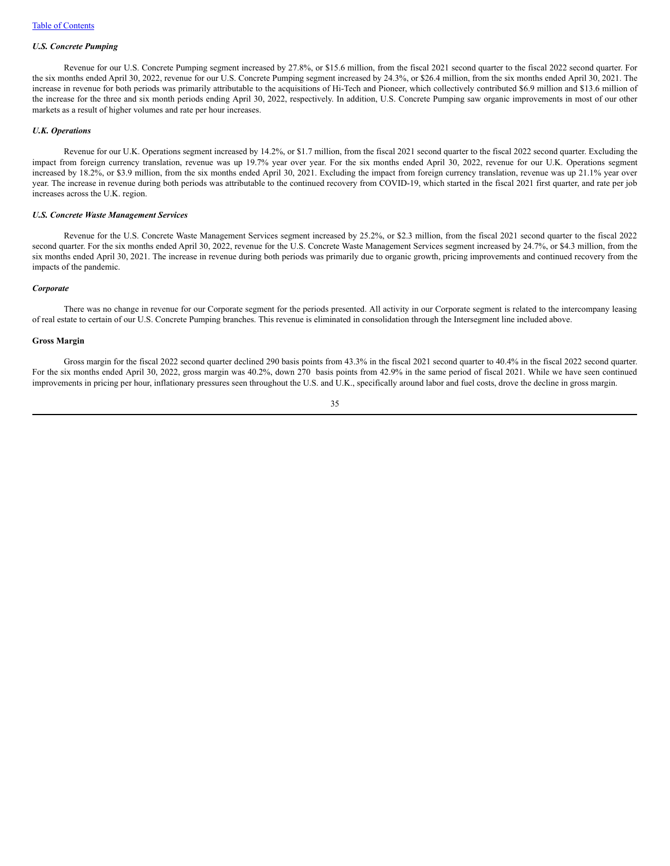### *U.S. Concrete Pumping*

Revenue for our U.S. Concrete Pumping segment increased by 27.8%, or \$15.6 million, from the fiscal 2021 second quarter to the fiscal 2022 second quarter. For the six months ended April 30, 2022, revenue for our U.S. Concrete Pumping segment increased by 24.3%, or \$26.4 million, from the six months ended April 30, 2021. The increase in revenue for both periods was primarily attributable to the acquisitions of Hi-Tech and Pioneer, which collectively contributed \$6.9 million and \$13.6 million of the increase for the three and six month periods ending April 30, 2022, respectively. In addition, U.S. Concrete Pumping saw organic improvements in most of our other markets as a result of higher volumes and rate per hour increases.

### *U.K. Operations*

Revenue for our U.K. Operations segment increased by 14.2%, or \$1.7 million, from the fiscal 2021 second quarter to the fiscal 2022 second quarter. Excluding the impact from foreign currency translation, revenue was up 19.7% year over year. For the six months ended April 30, 2022, revenue for our U.K. Operations segment increased by 18.2%, or \$3.9 million, from the six months ended April 30, 2021. Excluding the impact from foreign currency translation, revenue was up 21.1% year over year. The increase in revenue during both periods was attributable to the continued recovery from COVID-19, which started in the fiscal 2021 first quarter, and rate per job increases across the U.K. region.

### *U.S. Concrete Waste Management Services*

Revenue for the U.S. Concrete Waste Management Services segment increased by 25.2%, or \$2.3 million, from the fiscal 2021 second quarter to the fiscal 2022 second quarter. For the six months ended April 30, 2022, revenue for the U.S. Concrete Waste Management Services segment increased by 24.7%, or \$4.3 million, from the six months ended April 30, 2021. The increase in revenue during both periods was primarily due to organic growth, pricing improvements and continued recovery from the impacts of the pandemic.

### *Corporate*

There was no change in revenue for our Corporate segment for the periods presented. All activity in our Corporate segment is related to the intercompany leasing of real estate to certain of our U.S. Concrete Pumping branches. This revenue is eliminated in consolidation through the Intersegment line included above.

### **Gross Margin**

Gross margin for the fiscal 2022 second quarter declined 290 basis points from 43.3% in the fiscal 2021 second quarter to 40.4% in the fiscal 2022 second quarter. For the six months ended April 30, 2022, gross margin was 40.2%, down 270 basis points from 42.9% in the same period of fiscal 2021. While we have seen continued improvements in pricing per hour, inflationary pressures seen throughout the U.S. and U.K., specifically around labor and fuel costs, drove the decline in gross margin.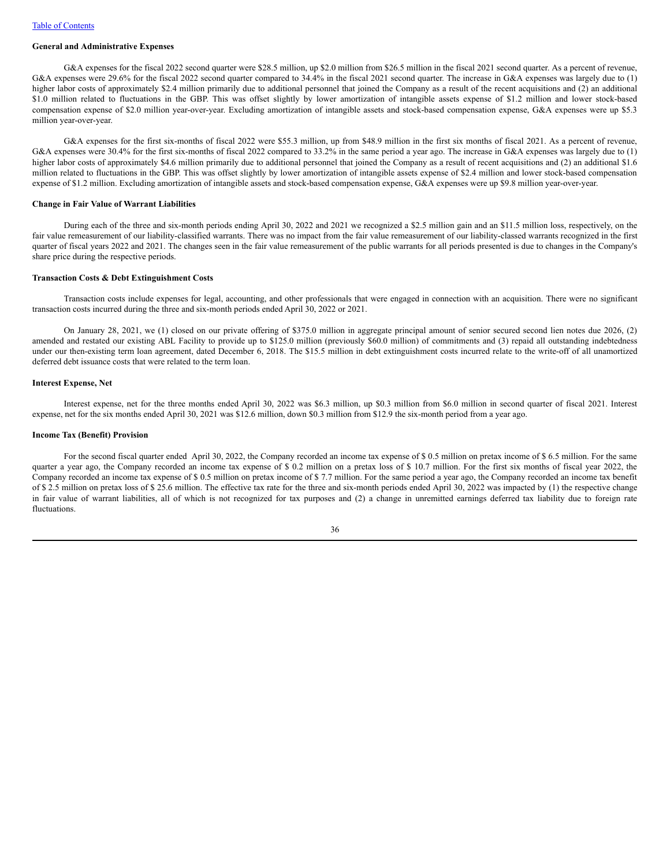### **General and Administrative Expenses**

G&A expenses for the fiscal 2022 second quarter were \$28.5 million, up \$2.0 million from \$26.5 million in the fiscal 2021 second quarter. As a percent of revenue, G&A expenses were 29.6% for the fiscal 2022 second quarter compared to 34.4% in the fiscal 2021 second quarter. The increase in G&A expenses was largely due to (1) higher labor costs of approximately \$2.4 million primarily due to additional personnel that joined the Company as a result of the recent acquisitions and (2) an additional \$1.0 million related to fluctuations in the GBP. This was offset slightly by lower amortization of intangible assets expense of \$1.2 million and lower stock-based compensation expense of \$2.0 million year-over-year. Excluding amortization of intangible assets and stock-based compensation expense, G&A expenses were up \$5.3 million year-over-year.

G&A expenses for the first six-months of fiscal 2022 were \$55.3 million, up from \$48.9 million in the first six months of fiscal 2021. As a percent of revenue, G&A expenses were 30.4% for the first six-months of fiscal 2022 compared to 33.2% in the same period a year ago. The increase in G&A expenses was largely due to (1) higher labor costs of approximately \$4.6 million primarily due to additional personnel that joined the Company as a result of recent acquisitions and (2) an additional \$1.6 million related to fluctuations in the GBP. This was offset slightly by lower amortization of intangible assets expense of \$2.4 million and lower stock-based compensation expense of \$1.2 million. Excluding amortization of intangible assets and stock-based compensation expense, G&A expenses were up \$9.8 million year-over-year.

### **Change in Fair Value of Warrant Liabilities**

During each of the three and six-month periods ending April 30, 2022 and 2021 we recognized a \$2.5 million gain and an \$11.5 million loss, respectively, on the fair value remeasurement of our liability-classified warrants. There was no impact from the fair value remeasurement of our liability-classed warrants recognized in the first quarter of fiscal years 2022 and 2021. The changes seen in the fair value remeasurement of the public warrants for all periods presented is due to changes in the Company's share price during the respective periods.

#### **Transaction Costs & Debt Extinguishment Costs**

Transaction costs include expenses for legal, accounting, and other professionals that were engaged in connection with an acquisition. There were no significant transaction costs incurred during the three and six-month periods ended April 30, 2022 or 2021.

On January 28, 2021, we (1) closed on our private offering of \$375.0 million in aggregate principal amount of senior secured second lien notes due 2026, (2) amended and restated our existing ABL Facility to provide up to \$125.0 million (previously \$60.0 million) of commitments and (3) repaid all outstanding indebtedness under our then-existing term loan agreement, dated December 6, 2018. The \$15.5 million in debt extinguishment costs incurred relate to the write-off of all unamortized deferred debt issuance costs that were related to the term loan.

#### **Interest Expense, Net**

Interest expense, net for the three months ended April 30, 2022 was \$6.3 million, up \$0.3 million from \$6.0 million in second quarter of fiscal 2021. Interest expense, net for the six months ended April 30, 2021 was \$12.6 million, down \$0.3 million from \$12.9 the six-month period from a year ago.

#### **Income Tax (Benefit) Provision**

For the second fiscal quarter ended April 30, 2022, the Company recorded an income tax expense of \$ 0.5 million on pretax income of \$ 6.5 million. For the same quarter a year ago, the Company recorded an income tax expense of \$ 0.2 million on a pretax loss of \$ 10.7 million. For the first six months of fiscal year 2022, the Company recorded an income tax expense of \$ 0.5 million on pretax income of \$ 7.7 million. For the same period a year ago, the Company recorded an income tax benefit of \$ 2.5 million on pretax loss of \$ 25.6 million. The effective tax rate for the three and six-month periods ended April 30, 2022 was impacted by (1) the respective change in fair value of warrant liabilities, all of which is not recognized for tax purposes and (2) a change in unremitted earnings deferred tax liability due to foreign rate fluctuations.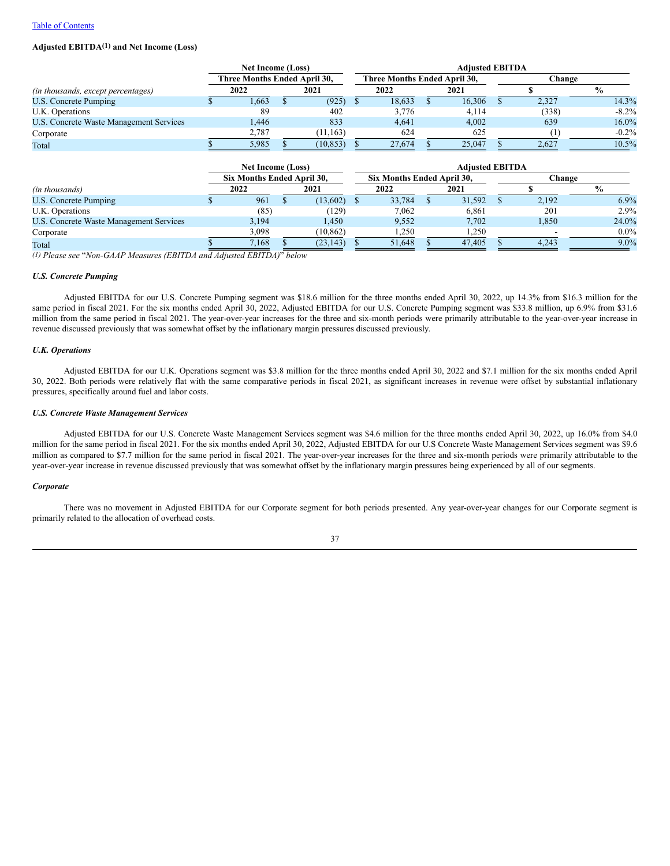# **Adjusted EBITDA(1) and Net Income (Loss)**

|                                                | <b>Net Income (Loss)</b>     |           | <b>Adjusted EBITDA</b> |                              |  |        |  |        |               |
|------------------------------------------------|------------------------------|-----------|------------------------|------------------------------|--|--------|--|--------|---------------|
|                                                | Three Months Ended April 30, |           |                        | Three Months Ended April 30, |  |        |  | Change |               |
| (in thousands, except percentages)             | 2022                         | 2021      |                        | 2022                         |  | 2021   |  |        | $\frac{0}{0}$ |
| U.S. Concrete Pumping                          | 1,663                        | (925)     |                        | 18,633                       |  | 16,306 |  | 2,327  | 14.3%         |
| U.K. Operations                                | 89                           | 402       |                        | 3,776                        |  | 4,114  |  | (338)  | $-8.2\%$      |
| <b>U.S. Concrete Waste Management Services</b> | 1.446                        | 833       |                        | 4,641                        |  | 4,002  |  | 639    | $16.0\%$      |
| Corporate                                      | 2,787                        | (11, 163) |                        | 624                          |  | 625    |  | (1     | $-0.2\%$      |
| Total                                          | 5,985                        | (10, 853) |                        | 27,674                       |  | 25,047 |  | 2,627  | 10.5%         |
|                                                | <b>Net Income (Loss)</b>     |           | <b>Adjusted EBITDA</b> |                              |  |        |  |        |               |
|                                                | Six Months Ended April 30,   |           |                        | Six Months Ended April 30,   |  |        |  | Change |               |
| (in thousands)                                 | 2022                         | 2021      |                        | 2022                         |  | 2021   |  |        | $\frac{0}{0}$ |
| U.S. Concrete Pumping                          | 961                          | (13,602)  |                        | 33,784                       |  | 31,592 |  | 2,192  | $6.9\%$       |
| U.K. Operations                                | (85)                         | (129)     |                        | 7,062                        |  | 6,861  |  | 201    | 2.9%          |
| U.S. Concrete Waste Management Services        | 3,194                        | 1,450     |                        | 9,552                        |  | 7,702  |  | 1,850  | 24.0%         |
| Cornorate                                      | 3.098                        | (10.862)  |                        | .250                         |  | .250   |  |        | $0.0\%$       |

Total  $\frac{\$}{5}$  7,168  $\frac{\$}{5}$  (23,143)  $\frac{\$}{5}$  51,648  $\frac{\$}{5}$  47,405  $\frac{\$}{5}$  4,243 9.0% *(1) Please see* "*Non-GAAP Measures (EBITDA and Adjusted EBITDA)*" *below*

### *U.S. Concrete Pumping*

Adjusted EBITDA for our U.S. Concrete Pumping segment was \$18.6 million for the three months ended April 30, 2022, up 14.3% from \$16.3 million for the same period in fiscal 2021. For the six months ended April 30, 2022, Adjusted EBITDA for our U.S. Concrete Pumping segment was \$33.8 million, up 6.9% from \$31.6 million from the same period in fiscal 2021. The year-over-year increases for the three and six-month periods were primarily attributable to the year-over-year increase in revenue discussed previously that was somewhat offset by the inflationary margin pressures discussed previously.

Corporate 2008 (10,862) 1,250 1,250 - 0.0%

### *U.K. Operations*

Adjusted EBITDA for our U.K. Operations segment was \$3.8 million for the three months ended April 30, 2022 and \$7.1 million for the six months ended April 30, 2022. Both periods were relatively flat with the same comparative periods in fiscal 2021, as significant increases in revenue were offset by substantial inflationary pressures, specifically around fuel and labor costs.

### *U.S. Concrete Waste Management Services*

Adjusted EBITDA for our U.S. Concrete Waste Management Services segment was \$4.6 million for the three months ended April 30, 2022, up 16.0% from \$4.0 million for the same period in fiscal 2021. For the six months ended April 30, 2022, Adjusted EBITDA for our U.S Concrete Waste Management Services segment was \$9.6 million as compared to \$7.7 million for the same period in fiscal 2021. The year-over-year increases for the three and six-month periods were primarily attributable to the year-over-year increase in revenue discussed previously that was somewhat offset by the inflationary margin pressures being experienced by all of our segments.

### *Corporate*

There was no movement in Adjusted EBITDA for our Corporate segment for both periods presented. Any year-over-year changes for our Corporate segment is primarily related to the allocation of overhead costs.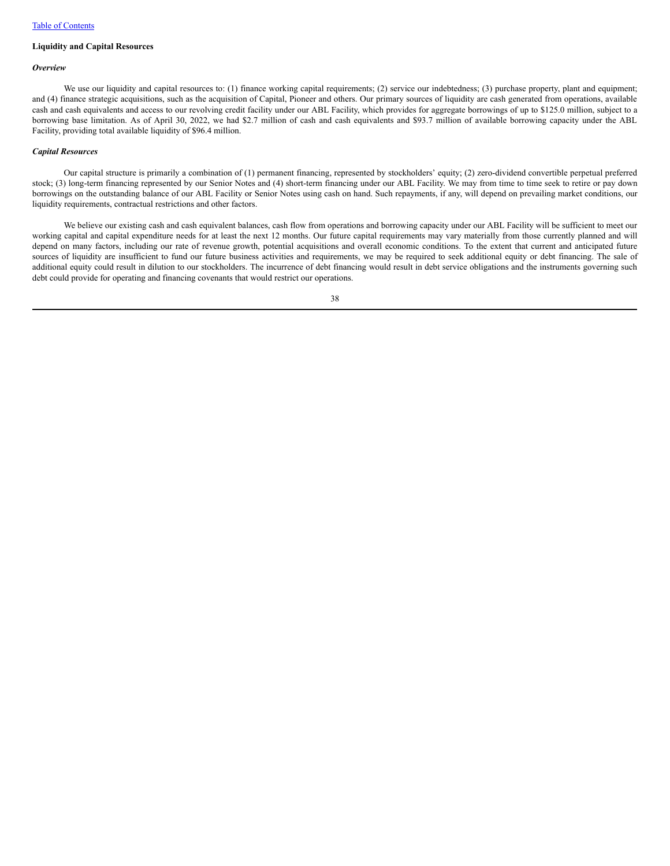# **Liquidity and Capital Resources**

### *Overview*

We use our liquidity and capital resources to: (1) finance working capital requirements; (2) service our indebtedness; (3) purchase property, plant and equipment; and (4) finance strategic acquisitions, such as the acquisition of Capital, Pioneer and others. Our primary sources of liquidity are cash generated from operations, available cash and cash equivalents and access to our revolving credit facility under our ABL Facility, which provides for aggregate borrowings of up to \$125.0 million, subject to a borrowing base limitation. As of April 30, 2022, we had \$2.7 million of cash and cash equivalents and \$93.7 million of available borrowing capacity under the ABL Facility, providing total available liquidity of \$96.4 million.

### *Capital Resources*

Our capital structure is primarily a combination of (1) permanent financing, represented by stockholders' equity; (2) zero-dividend convertible perpetual preferred stock; (3) long-term financing represented by our Senior Notes and (4) short-term financing under our ABL Facility. We may from time to time seek to retire or pay down borrowings on the outstanding balance of our ABL Facility or Senior Notes using cash on hand. Such repayments, if any, will depend on prevailing market conditions, our liquidity requirements, contractual restrictions and other factors.

We believe our existing cash and cash equivalent balances, cash flow from operations and borrowing capacity under our ABL Facility will be sufficient to meet our working capital and capital expenditure needs for at least the next 12 months. Our future capital requirements may vary materially from those currently planned and will depend on many factors, including our rate of revenue growth, potential acquisitions and overall economic conditions. To the extent that current and anticipated future sources of liquidity are insufficient to fund our future business activities and requirements, we may be required to seek additional equity or debt financing. The sale of additional equity could result in dilution to our stockholders. The incurrence of debt financing would result in debt service obligations and the instruments governing such debt could provide for operating and financing covenants that would restrict our operations.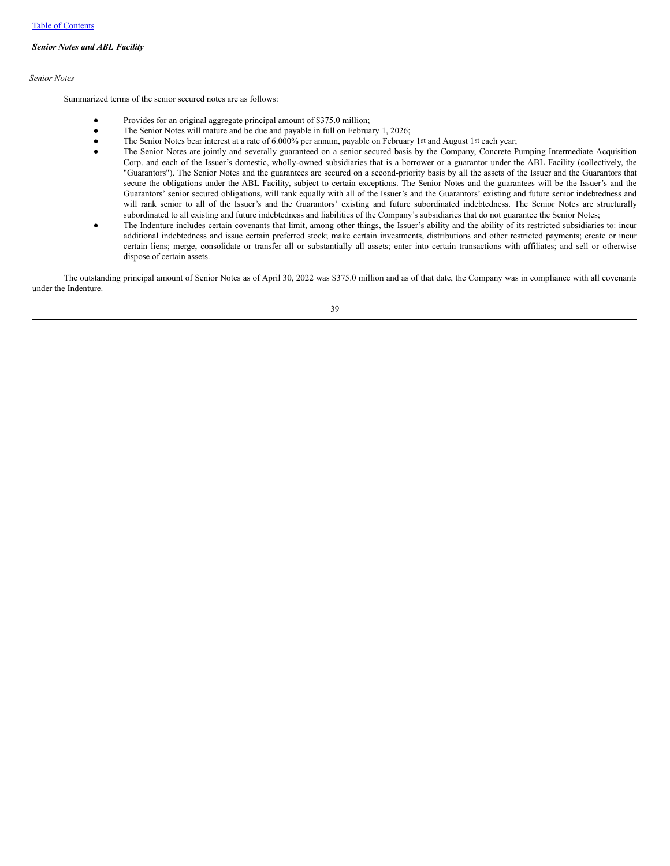# *Senior Notes and ABL Facility*

### *Senior Notes*

Summarized terms of the senior secured notes are as follows:

- Provides for an original aggregate principal amount of \$375.0 million;
- The Senior Notes will mature and be due and payable in full on February 1, 2026;
- The Senior Notes bear interest at a rate of 6.000% per annum, payable on February 1st and August 1st each year;
- The Senior Notes are jointly and severally guaranteed on a senior secured basis by the Company, Concrete Pumping Intermediate Acquisition Corp. and each of the Issuer's domestic, wholly-owned subsidiaries that is a borrower or a guarantor under the ABL Facility (collectively, the "Guarantors"). The Senior Notes and the guarantees are secured on a second-priority basis by all the assets of the Issuer and the Guarantors that secure the obligations under the ABL Facility, subject to certain exceptions. The Senior Notes and the guarantees will be the Issuer's and the Guarantors' senior secured obligations, will rank equally with all of the Issuer's and the Guarantors' existing and future senior indebtedness and will rank senior to all of the Issuer's and the Guarantors' existing and future subordinated indebtedness. The Senior Notes are structurally subordinated to all existing and future indebtedness and liabilities of the Company's subsidiaries that do not guarantee the Senior Notes;
- The Indenture includes certain covenants that limit, among other things, the Issuer's ability and the ability of its restricted subsidiaries to: incur additional indebtedness and issue certain preferred stock; make certain investments, distributions and other restricted payments; create or incur certain liens; merge, consolidate or transfer all or substantially all assets; enter into certain transactions with affiliates; and sell or otherwise dispose of certain assets.

The outstanding principal amount of Senior Notes as of April 30, 2022 was \$375.0 million and as of that date, the Company was in compliance with all covenants under the Indenture.

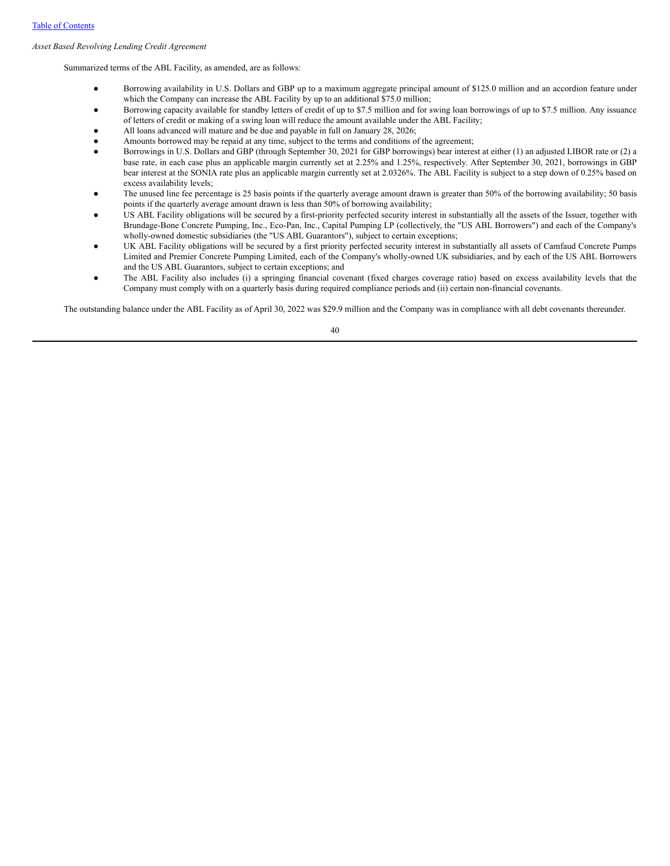### *Asset Based Revolving Lending Credit Agreement*

Summarized terms of the ABL Facility, as amended, are as follows:

- Borrowing availability in U.S. Dollars and GBP up to a maximum aggregate principal amount of \$125.0 million and an accordion feature under which the Company can increase the ABL Facility by up to an additional \$75.0 million;
- Borrowing capacity available for standby letters of credit of up to \$7.5 million and for swing loan borrowings of up to \$7.5 million. Any issuance of letters of credit or making of a swing loan will reduce the amount available under the ABL Facility;
- All loans advanced will mature and be due and payable in full on January 28, 2026;
- Amounts borrowed may be repaid at any time, subject to the terms and conditions of the agreement;
- Borrowings in U.S. Dollars and GBP (through September 30, 2021 for GBP borrowings) bear interest at either (1) an adjusted LIBOR rate or (2) a base rate, in each case plus an applicable margin currently set at 2.25% and 1.25%, respectively. After September 30, 2021, borrowings in GBP bear interest at the SONIA rate plus an applicable margin currently set at 2.0326%. The ABL Facility is subject to a step down of 0.25% based on excess availability levels;
- The unused line fee percentage is 25 basis points if the quarterly average amount drawn is greater than 50% of the borrowing availability; 50 basis points if the quarterly average amount drawn is less than 50% of borrowing availability;
- US ABL Facility obligations will be secured by a first-priority perfected security interest in substantially all the assets of the Issuer, together with Brundage-Bone Concrete Pumping, Inc., Eco-Pan, Inc., Capital Pumping LP (collectively, the "US ABL Borrowers") and each of the Company's wholly-owned domestic subsidiaries (the "US ABL Guarantors"), subject to certain exceptions;
- UK ABL Facility obligations will be secured by a first priority perfected security interest in substantially all assets of Camfaud Concrete Pumps Limited and Premier Concrete Pumping Limited, each of the Company's wholly-owned UK subsidiaries, and by each of the US ABL Borrowers and the US ABL Guarantors, subject to certain exceptions; and
- The ABL Facility also includes (i) a springing financial covenant (fixed charges coverage ratio) based on excess availability levels that the Company must comply with on a quarterly basis during required compliance periods and (ii) certain non-financial covenants.

The outstanding balance under the ABL Facility as of April 30, 2022 was \$29.9 million and the Company was in compliance with all debt covenants thereunder.

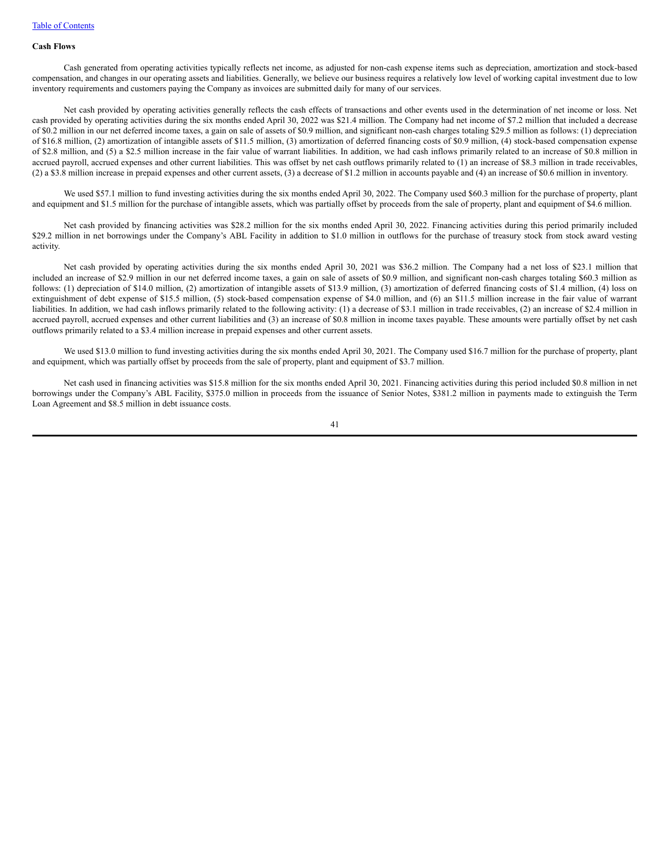# **Cash Flows**

Cash generated from operating activities typically reflects net income, as adjusted for non-cash expense items such as depreciation, amortization and stock-based compensation, and changes in our operating assets and liabilities. Generally, we believe our business requires a relatively low level of working capital investment due to low inventory requirements and customers paying the Company as invoices are submitted daily for many of our services.

Net cash provided by operating activities generally reflects the cash effects of transactions and other events used in the determination of net income or loss. Net cash provided by operating activities during the six months ended April 30, 2022 was \$21.4 million. The Company had net income of \$7.2 million that included a decrease of \$0.2 million in our net deferred income taxes, a gain on sale of assets of \$0.9 million, and significant non-cash charges totaling \$29.5 million as follows: (1) depreciation of \$16.8 million, (2) amortization of intangible assets of \$11.5 million, (3) amortization of deferred financing costs of \$0.9 million, (4) stock-based compensation expense of \$2.8 million, and (5) a \$2.5 million increase in the fair value of warrant liabilities. In addition, we had cash inflows primarily related to an increase of \$0.8 million in accrued payroll, accrued expenses and other current liabilities. This was offset by net cash outflows primarily related to (1) an increase of \$8.3 million in trade receivables, (2) a \$3.8 million increase in prepaid expenses and other current assets, (3) a decrease of \$1.2 million in accounts payable and (4) an increase of \$0.6 million in inventory.

We used \$57.1 million to fund investing activities during the six months ended April 30, 2022. The Company used \$60.3 million for the purchase of property, plant and equipment and \$1.5 million for the purchase of intangible assets, which was partially offset by proceeds from the sale of property, plant and equipment of \$4.6 million.

Net cash provided by financing activities was \$28.2 million for the six months ended April 30, 2022. Financing activities during this period primarily included \$29.2 million in net borrowings under the Company's ABL Facility in addition to \$1.0 million in outflows for the purchase of treasury stock from stock award vesting activity.

Net cash provided by operating activities during the six months ended April 30, 2021 was \$36.2 million. The Company had a net loss of \$23.1 million that included an increase of \$2.9 million in our net deferred income taxes, a gain on sale of assets of \$0.9 million, and significant non-cash charges totaling \$60.3 million as follows: (1) depreciation of \$14.0 million, (2) amortization of intangible assets of \$13.9 million, (3) amortization of deferred financing costs of \$1.4 million, (4) loss on extinguishment of debt expense of \$15.5 million, (5) stock-based compensation expense of \$4.0 million, and (6) an \$11.5 million increase in the fair value of warrant liabilities. In addition, we had cash inflows primarily related to the following activity: (1) a decrease of \$3.1 million in trade receivables, (2) an increase of \$2.4 million in accrued payroll, accrued expenses and other current liabilities and (3) an increase of \$0.8 million in income taxes payable. These amounts were partially offset by net cash outflows primarily related to a \$3.4 million increase in prepaid expenses and other current assets.

We used \$13.0 million to fund investing activities during the six months ended April 30, 2021. The Company used \$16.7 million for the purchase of property, plant and equipment, which was partially offset by proceeds from the sale of property, plant and equipment of \$3.7 million.

Net cash used in financing activities was \$15.8 million for the six months ended April 30, 2021. Financing activities during this period included \$0.8 million in net borrowings under the Company's ABL Facility, \$375.0 million in proceeds from the issuance of Senior Notes, \$381.2 million in payments made to extinguish the Term Loan Agreement and \$8.5 million in debt issuance costs.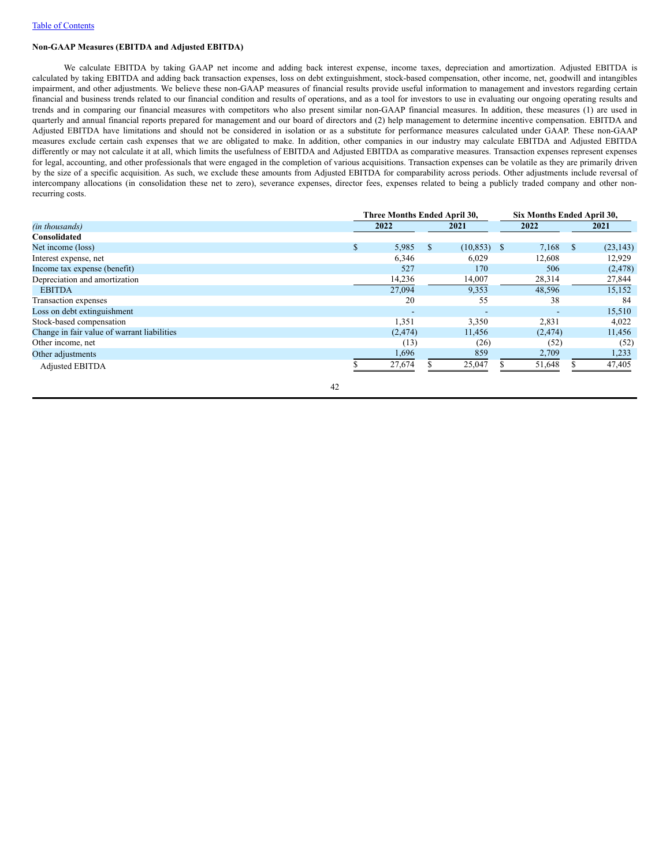# **Non-GAAP Measures (EBITDA and Adjusted EBITDA)**

We calculate EBITDA by taking GAAP net income and adding back interest expense, income taxes, depreciation and amortization. Adjusted EBITDA is calculated by taking EBITDA and adding back transaction expenses, loss on debt extinguishment, stock-based compensation, other income, net, goodwill and intangibles impairment, and other adjustments. We believe these non-GAAP measures of financial results provide useful information to management and investors regarding certain financial and business trends related to our financial condition and results of operations, and as a tool for investors to use in evaluating our ongoing operating results and trends and in comparing our financial measures with competitors who also present similar non-GAAP financial measures. In addition, these measures (1) are used in quarterly and annual financial reports prepared for management and our board of directors and (2) help management to determine incentive compensation. EBITDA and Adjusted EBITDA have limitations and should not be considered in isolation or as a substitute for performance measures calculated under GAAP. These non-GAAP measures exclude certain cash expenses that we are obligated to make. In addition, other companies in our industry may calculate EBITDA and Adjusted EBITDA differently or may not calculate it at all, which limits the usefulness of EBITDA and Adjusted EBITDA as comparative measures. Transaction expenses represent expenses for legal, accounting, and other professionals that were engaged in the completion of various acquisitions. Transaction expenses can be volatile as they are primarily driven by the size of a specific acquisition. As such, we exclude these amounts from Adjusted EBITDA for comparability across periods. Other adjustments include reversal of intercompany allocations (in consolidation these net to zero), severance expenses, director fees, expenses related to being a publicly traded company and other nonrecurring costs.

|                                             |      | Three Months Ended April 30, |               | Six Months Ended April 30, |          |               |           |
|---------------------------------------------|------|------------------------------|---------------|----------------------------|----------|---------------|-----------|
| <i>(in thousands)</i>                       | 2022 |                              | 2021          |                            | 2022     |               | 2021      |
| Consolidated                                |      |                              |               |                            |          |               |           |
| Net income (loss)                           | S.   | 5,985                        | <sup>\$</sup> | $(10, 853)$ \$             | 7,168    | <sup>\$</sup> | (23, 143) |
| Interest expense, net                       |      | 6,346                        |               | 6,029                      | 12,608   |               | 12,929    |
| Income tax expense (benefit)                |      | 527                          |               | 170                        | 506      |               | (2, 478)  |
| Depreciation and amortization               |      | 14,236                       |               | 14,007                     | 28,314   |               | 27,844    |
| <b>EBITDA</b>                               |      | 27,094                       |               | 9,353                      | 48,596   |               | 15,152    |
| Transaction expenses                        |      | 20                           |               | 55                         | 38       |               | 84        |
| Loss on debt extinguishment                 |      | -                            |               | $\overline{\phantom{0}}$   |          |               | 15,510    |
| Stock-based compensation                    |      | 1,351                        |               | 3,350                      | 2,831    |               | 4,022     |
| Change in fair value of warrant liabilities |      | (2, 474)                     |               | 11,456                     | (2, 474) |               | 11,456    |
| Other income, net                           |      | (13)                         |               | (26)                       | (52)     |               | (52)      |
| Other adjustments                           |      | 1,696                        |               | 859                        | 2,709    |               | 1,233     |
| <b>Adjusted EBITDA</b>                      |      | 27,674                       |               | 25,047                     | 51,648   |               | 47,405    |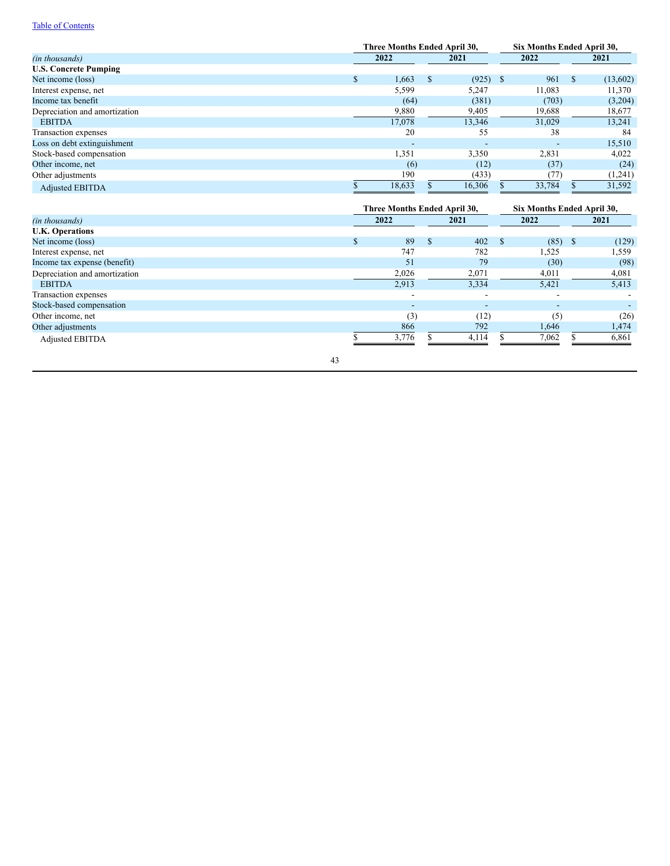### [Ta](#page-1-0)ble of Contents

|                               | Three Months Ended April 30, |   | Six Months Ended April 30, |  |        |               |          |
|-------------------------------|------------------------------|---|----------------------------|--|--------|---------------|----------|
| (in thousands)                | 2022                         |   | 2021                       |  | 2022   |               | 2021     |
| <b>U.S. Concrete Pumping</b>  |                              |   |                            |  |        |               |          |
| Net income (loss)             | \$<br>1,663                  | S | $(925)$ \$                 |  | 961    | <sup>\$</sup> | (13,602) |
| Interest expense, net         | 5,599                        |   | 5,247                      |  | 11,083 |               | 11,370   |
| Income tax benefit            | (64)                         |   | (381)                      |  | (703)  |               | (3,204)  |
| Depreciation and amortization | 9,880                        |   | 9,405                      |  | 19,688 |               | 18,677   |
| <b>EBITDA</b>                 | 17.078                       |   | 13,346                     |  | 31.029 |               | 13,241   |
| Transaction expenses          | 20                           |   | 55                         |  | 38     |               | 84       |
| Loss on debt extinguishment   |                              |   |                            |  |        |               | 15,510   |
| Stock-based compensation      | 1,351                        |   | 3,350                      |  | 2,831  |               | 4,022    |
| Other income, net             | (6)                          |   | (12)                       |  | (37)   |               | (24)     |
| Other adjustments             | 190                          |   | (433)                      |  | (77)   |               | (1,241)  |
| <b>Adjusted EBITDA</b>        | 18,633                       |   | 16,306                     |  | 33,784 |               | 31,592   |

|                               |    | Three Months Ended April 30, |               |       |  | Six Months Ended April 30, |      |       |  |
|-------------------------------|----|------------------------------|---------------|-------|--|----------------------------|------|-------|--|
| <i>(in thousands)</i>         |    | 2022                         |               | 2021  |  | 2022                       |      | 2021  |  |
| <b>U.K. Operations</b>        |    |                              |               |       |  |                            |      |       |  |
| Net income (loss)             | .D | 89                           | <sup>\$</sup> | 402   |  | (85)                       | - \$ | (129) |  |
| Interest expense, net         |    | 747                          |               | 782   |  | 1,525                      |      | 1,559 |  |
| Income tax expense (benefit)  |    | 51                           |               | 79    |  | (30)                       |      | (98)  |  |
| Depreciation and amortization |    | 2,026                        |               | 2,071 |  | 4,011                      |      | 4,081 |  |
| <b>EBITDA</b>                 |    | 2,913                        |               | 3,334 |  | 5,421                      |      | 5,413 |  |
| Transaction expenses          |    |                              |               |       |  |                            |      |       |  |
| Stock-based compensation      |    |                              |               | ٠     |  |                            |      |       |  |
| Other income, net             |    | (3)                          |               | (12)  |  | (5)                        |      | (26)  |  |
| Other adjustments             |    | 866                          |               | 792   |  | 1,646                      |      | 1,474 |  |
| Adjusted EBITDA               |    | 3,776                        |               | 4,114 |  | 7,062                      |      | 6,861 |  |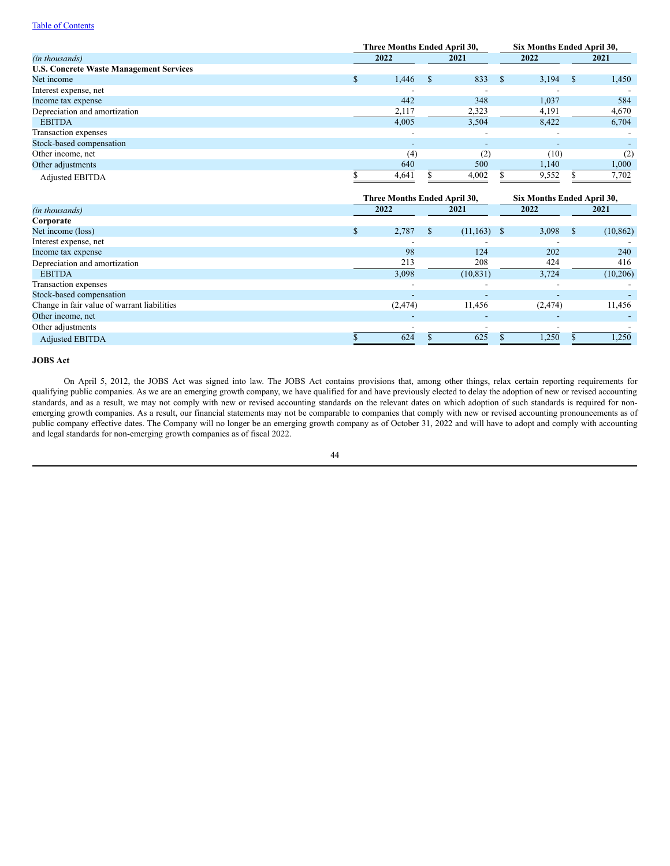### Table of [Contents](#page-1-0)

|                                                | Three Months Ended April 30, |       |          |                          | Six Months Ended April 30, |       |     |       |  |
|------------------------------------------------|------------------------------|-------|----------|--------------------------|----------------------------|-------|-----|-------|--|
| (in thousands)                                 |                              | 2022  |          | 2021                     |                            | 2022  |     | 2021  |  |
| <b>U.S. Concrete Waste Management Services</b> |                              |       |          |                          |                            |       |     |       |  |
| Net income                                     |                              | 1,446 | <b>S</b> | 833                      | - \$                       | 3,194 | - 8 | 1,450 |  |
| Interest expense, net                          |                              |       |          |                          |                            |       |     |       |  |
| Income tax expense                             |                              | 442   |          | 348                      |                            | 1,037 |     | 584   |  |
| Depreciation and amortization                  |                              | 2,117 |          | 2,323                    |                            | 4,191 |     | 4,670 |  |
| <b>EBITDA</b>                                  |                              | 4,005 |          | 3,504                    |                            | 8.422 |     | 6,704 |  |
| Transaction expenses                           |                              |       |          | -                        |                            |       |     |       |  |
| Stock-based compensation                       |                              |       |          | $\overline{\phantom{0}}$ |                            |       |     |       |  |
| Other income, net                              |                              | (4)   |          | (2)                      |                            | (10)  |     | (2)   |  |
| Other adjustments                              |                              | 640   |          | 500                      |                            | 1,140 |     | 1,000 |  |
| Adjusted EBITDA                                |                              | 4,641 |          | 4,002                    |                            | 9,552 |     | 7,702 |  |

|                                             | Three Months Ended April 30, |     |                          |  | Six Months Ended April 30, |   |           |  |
|---------------------------------------------|------------------------------|-----|--------------------------|--|----------------------------|---|-----------|--|
| <i>(in thousands)</i>                       | 2022                         |     | 2021                     |  | 2022                       |   | 2021      |  |
| Corporate                                   |                              |     |                          |  |                            |   |           |  |
| Net income (loss)                           | \$<br>2,787                  | \$. | $(11,163)$ \$            |  | 3,098                      | S | (10, 862) |  |
| Interest expense, net                       |                              |     |                          |  |                            |   |           |  |
| Income tax expense                          | 98                           |     | 124                      |  | 202                        |   | 240       |  |
| Depreciation and amortization               | 213                          |     | 208                      |  | 424                        |   | 416       |  |
| <b>EBITDA</b>                               | 3,098                        |     | (10, 831)                |  | 3,724                      |   | (10, 206) |  |
| Transaction expenses                        |                              |     | -                        |  |                            |   |           |  |
| Stock-based compensation                    | -                            |     | $\overline{\phantom{a}}$ |  | -                          |   |           |  |
| Change in fair value of warrant liabilities | (2, 474)                     |     | 11,456                   |  | (2, 474)                   |   | 11,456    |  |
| Other income, net                           |                              |     | $\overline{\phantom{a}}$ |  |                            |   |           |  |
| Other adjustments                           |                              |     |                          |  |                            |   |           |  |
| <b>Adjusted EBITDA</b>                      | 624                          |     | 625                      |  | 1,250                      |   | 1,250     |  |

### **JOBS Act**

On April 5, 2012, the JOBS Act was signed into law. The JOBS Act contains provisions that, among other things, relax certain reporting requirements for qualifying public companies. As we are an emerging growth company, we have qualified for and have previously elected to delay the adoption of new or revised accounting standards, and as a result, we may not comply with new or revised accounting standards on the relevant dates on which adoption of such standards is required for nonemerging growth companies. As a result, our financial statements may not be comparable to companies that comply with new or revised accounting pronouncements as of public company effective dates. The Company will no longer be an emerging growth company as of October 31, 2022 and will have to adopt and comply with accounting and legal standards for non-emerging growth companies as of fiscal 2022.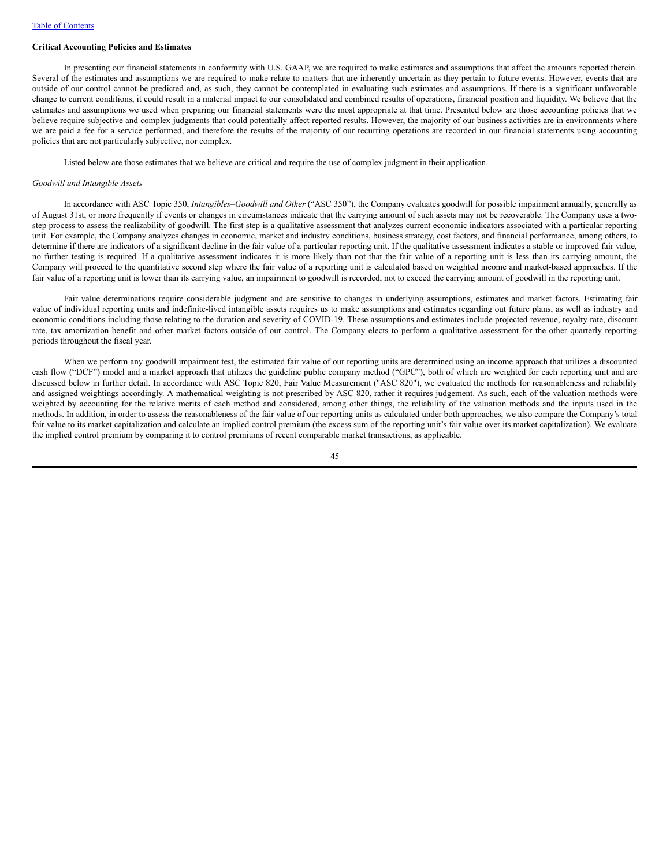# **Critical Accounting Policies and Estimates**

In presenting our financial statements in conformity with U.S. GAAP, we are required to make estimates and assumptions that affect the amounts reported therein. Several of the estimates and assumptions we are required to make relate to matters that are inherently uncertain as they pertain to future events. However, events that are outside of our control cannot be predicted and, as such, they cannot be contemplated in evaluating such estimates and assumptions. If there is a significant unfavorable change to current conditions, it could result in a material impact to our consolidated and combined results of operations, financial position and liquidity. We believe that the estimates and assumptions we used when preparing our financial statements were the most appropriate at that time. Presented below are those accounting policies that we believe require subjective and complex judgments that could potentially affect reported results. However, the majority of our business activities are in environments where we are paid a fee for a service performed, and therefore the results of the majority of our recurring operations are recorded in our financial statements using accounting policies that are not particularly subjective, nor complex.

Listed below are those estimates that we believe are critical and require the use of complex judgment in their application.

#### *Goodwill and Intangible Assets*

In accordance with ASC Topic 350, *Intangibles–Goodwill and Other* ("ASC 350"), the Company evaluates goodwill for possible impairment annually, generally as of August 31st, or more frequently if events or changes in circumstances indicate that the carrying amount of such assets may not be recoverable. The Company uses a twostep process to assess the realizability of goodwill. The first step is a qualitative assessment that analyzes current economic indicators associated with a particular reporting unit. For example, the Company analyzes changes in economic, market and industry conditions, business strategy, cost factors, and financial performance, among others, to determine if there are indicators of a significant decline in the fair value of a particular reporting unit. If the qualitative assessment indicates a stable or improved fair value, no further testing is required. If a qualitative assessment indicates it is more likely than not that the fair value of a reporting unit is less than its carrying amount, the Company will proceed to the quantitative second step where the fair value of a reporting unit is calculated based on weighted income and market-based approaches. If the fair value of a reporting unit is lower than its carrying value, an impairment to goodwill is recorded, not to exceed the carrying amount of goodwill in the reporting unit.

Fair value determinations require considerable judgment and are sensitive to changes in underlying assumptions, estimates and market factors. Estimating fair value of individual reporting units and indefinite-lived intangible assets requires us to make assumptions and estimates regarding out future plans, as well as industry and economic conditions including those relating to the duration and severity of COVID-19. These assumptions and estimates include projected revenue, royalty rate, discount rate, tax amortization benefit and other market factors outside of our control. The Company elects to perform a qualitative assessment for the other quarterly reporting periods throughout the fiscal year.

When we perform any goodwill impairment test, the estimated fair value of our reporting units are determined using an income approach that utilizes a discounted cash flow ("DCF") model and a market approach that utilizes the guideline public company method ("GPC"), both of which are weighted for each reporting unit and are discussed below in further detail. In accordance with ASC Topic 820, Fair Value Measurement ("ASC 820"), we evaluated the methods for reasonableness and reliability and assigned weightings accordingly. A mathematical weighting is not prescribed by ASC 820, rather it requires judgement. As such, each of the valuation methods were weighted by accounting for the relative merits of each method and considered, among other things, the reliability of the valuation methods and the inputs used in the methods. In addition, in order to assess the reasonableness of the fair value of our reporting units as calculated under both approaches, we also compare the Company's total fair value to its market capitalization and calculate an implied control premium (the excess sum of the reporting unit's fair value over its market capitalization). We evaluate the implied control premium by comparing it to control premiums of recent comparable market transactions, as applicable.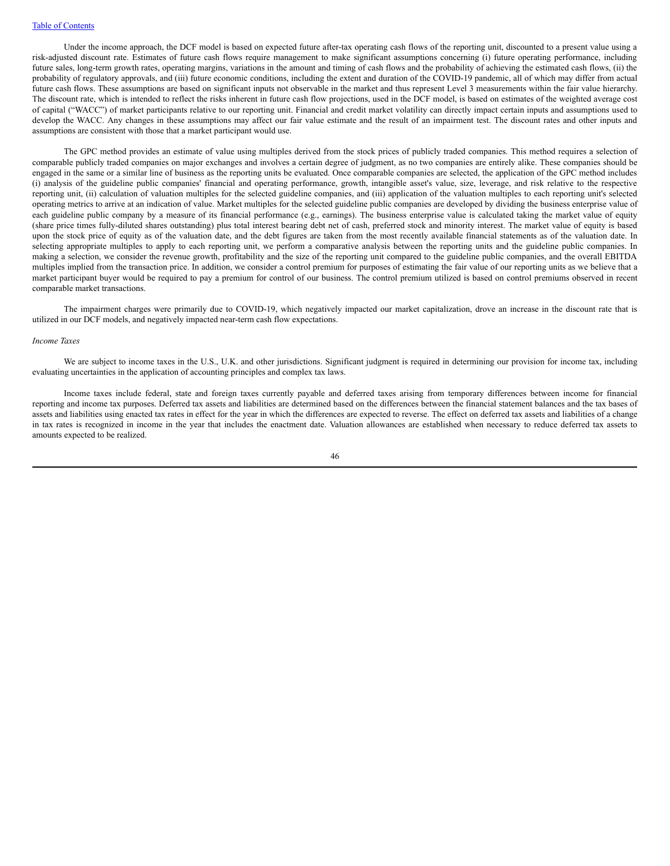Under the income approach, the DCF model is based on expected future after-tax operating cash flows of the reporting unit, discounted to a present value using a risk-adjusted discount rate. Estimates of future cash flows require management to make significant assumptions concerning (i) future operating performance, including future sales, long-term growth rates, operating margins, variations in the amount and timing of cash flows and the probability of achieving the estimated cash flows, (ii) the probability of regulatory approvals, and (iii) future economic conditions, including the extent and duration of the COVID-19 pandemic, all of which may differ from actual future cash flows. These assumptions are based on significant inputs not observable in the market and thus represent Level 3 measurements within the fair value hierarchy. The discount rate, which is intended to reflect the risks inherent in future cash flow projections, used in the DCF model, is based on estimates of the weighted average cost of capital ("WACC") of market participants relative to our reporting unit. Financial and credit market volatility can directly impact certain inputs and assumptions used to develop the WACC. Any changes in these assumptions may affect our fair value estimate and the result of an impairment test. The discount rates and other inputs and assumptions are consistent with those that a market participant would use.

The GPC method provides an estimate of value using multiples derived from the stock prices of publicly traded companies. This method requires a selection of comparable publicly traded companies on major exchanges and involves a certain degree of judgment, as no two companies are entirely alike. These companies should be engaged in the same or a similar line of business as the reporting units be evaluated. Once comparable companies are selected, the application of the GPC method includes (i) analysis of the guideline public companies' financial and operating performance, growth, intangible asset's value, size, leverage, and risk relative to the respective reporting unit, (ii) calculation of valuation multiples for the selected guideline companies, and (iii) application of the valuation multiples to each reporting unit's selected operating metrics to arrive at an indication of value. Market multiples for the selected guideline public companies are developed by dividing the business enterprise value of each guideline public company by a measure of its financial performance (e.g., earnings). The business enterprise value is calculated taking the market value of equity (share price times fully-diluted shares outstanding) plus total interest bearing debt net of cash, preferred stock and minority interest. The market value of equity is based upon the stock price of equity as of the valuation date, and the debt figures are taken from the most recently available financial statements as of the valuation date. In selecting appropriate multiples to apply to each reporting unit, we perform a comparative analysis between the reporting units and the guideline public companies. In making a selection, we consider the revenue growth, profitability and the size of the reporting unit compared to the guideline public companies, and the overall EBITDA multiples implied from the transaction price. In addition, we consider a control premium for purposes of estimating the fair value of our reporting units as we believe that a market participant buyer would be required to pay a premium for control of our business. The control premium utilized is based on control premiums observed in recent comparable market transactions.

The impairment charges were primarily due to COVID-19, which negatively impacted our market capitalization, drove an increase in the discount rate that is utilized in our DCF models, and negatively impacted near-term cash flow expectations.

### *Income Taxes*

We are subject to income taxes in the U.S., U.K. and other jurisdictions. Significant judgment is required in determining our provision for income tax, including evaluating uncertainties in the application of accounting principles and complex tax laws.

Income taxes include federal, state and foreign taxes currently payable and deferred taxes arising from temporary differences between income for financial reporting and income tax purposes. Deferred tax assets and liabilities are determined based on the differences between the financial statement balances and the tax bases of assets and liabilities using enacted tax rates in effect for the year in which the differences are expected to reverse. The effect on deferred tax assets and liabilities of a change in tax rates is recognized in income in the year that includes the enactment date. Valuation allowances are established when necessary to reduce deferred tax assets to amounts expected to be realized.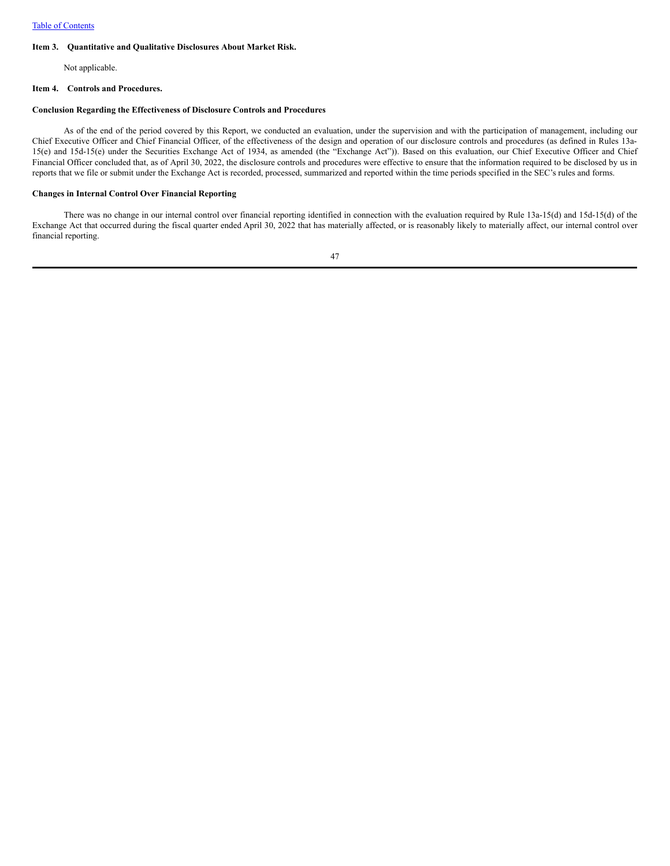### <span id="page-46-0"></span>**Item 3. Quantitative and Qualitative Disclosures About Market Risk.**

Not applicable.

## <span id="page-46-1"></span>**Item 4. Controls and Procedures.**

### **Conclusion Regarding the Effectiveness of Disclosure Controls and Procedures**

As of the end of the period covered by this Report, we conducted an evaluation, under the supervision and with the participation of management, including our Chief Executive Officer and Chief Financial Officer, of the effectiveness of the design and operation of our disclosure controls and procedures (as defined in Rules 13a-15(e) and 15d-15(e) under the Securities Exchange Act of 1934, as amended (the "Exchange Act")). Based on this evaluation, our Chief Executive Officer and Chief Financial Officer concluded that, as of April 30, 2022, the disclosure controls and procedures were effective to ensure that the information required to be disclosed by us in reports that we file or submit under the Exchange Act is recorded, processed, summarized and reported within the time periods specified in the SEC's rules and forms.

### **Changes in Internal Control Over Financial Reporting**

There was no change in our internal control over financial reporting identified in connection with the evaluation required by Rule 13a-15(d) and 15d-15(d) of the Exchange Act that occurred during the fiscal quarter ended April 30, 2022 that has materially affected, or is reasonably likely to materially affect, our internal control over financial reporting.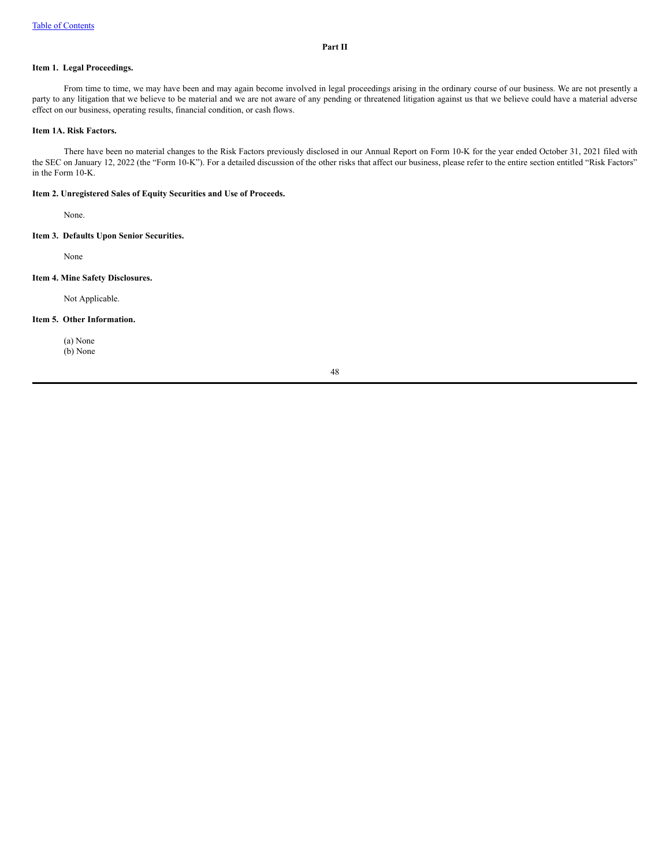# <span id="page-47-0"></span>**Item 1. Legal Proceedings.**

From time to time, we may have been and may again become involved in legal proceedings arising in the ordinary course of our business. We are not presently a party to any litigation that we believe to be material and we are not aware of any pending or threatened litigation against us that we believe could have a material adverse effect on our business, operating results, financial condition, or cash flows.

### <span id="page-47-1"></span>**Item 1A. Risk Factors.**

There have been no material changes to the Risk Factors previously disclosed in our Annual Report on Form 10-K for the year ended October 31, 2021 filed with the SEC on January 12, 2022 (the "Form 10-K"). For a detailed discussion of the other risks that affect our business, please refer to the entire section entitled "Risk Factors" in the Form 10-K.

## <span id="page-47-2"></span>**Item 2. Unregistered Sales of Equity Securities and Use of Proceeds.**

None.

### <span id="page-47-3"></span>**Item 3. Defaults Upon Senior Securities.**

None

# <span id="page-47-4"></span>**Item 4. Mine Safety Disclosures.**

Not Applicable.

### <span id="page-47-5"></span>**Item 5. Other Information.**

(a) None (b) None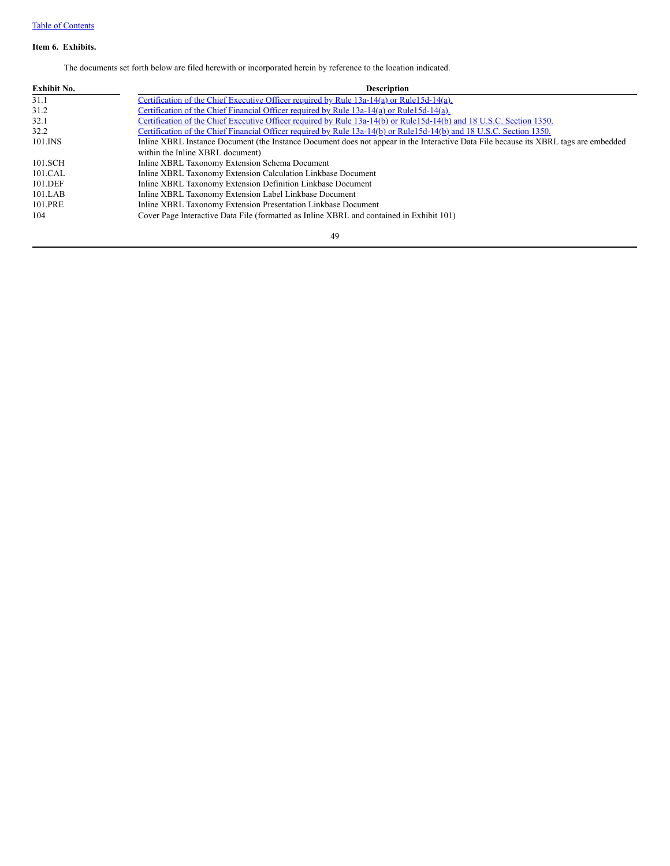# <span id="page-48-0"></span>**Item 6. Exhibits.**

The documents set forth below are filed herewith or incorporated herein by reference to the location indicated.

| <b>Exhibit No.</b> | <b>Description</b>                                                                                                                   |
|--------------------|--------------------------------------------------------------------------------------------------------------------------------------|
| 31.1               | Certification of the Chief Executive Officer required by Rule $13a-14(a)$ or Rule $15d-14(a)$ .                                      |
| 31.2               | Certification of the Chief Financial Officer required by Rule $13a-14(a)$ or Rule $15d-14(a)$ .                                      |
| 32.1               | Certification of the Chief Executive Officer required by Rule 13a-14(b) or Rule15d-14(b) and 18 U.S.C. Section 1350.                 |
| 32.2               | Certification of the Chief Financial Officer required by Rule 13a-14(b) or Rule15d-14(b) and 18 U.S.C. Section 1350.                 |
| 101.INS            | Inline XBRL Instance Document (the Instance Document does not appear in the Interactive Data File because its XBRL tags are embedded |
|                    | within the Inline XBRL document)                                                                                                     |
| 101.SCH            | Inline XBRL Taxonomy Extension Schema Document                                                                                       |
| 101.CAL            | Inline XBRL Taxonomy Extension Calculation Linkbase Document                                                                         |
| 101.DEF            | Inline XBRL Taxonomy Extension Definition Linkbase Document                                                                          |
| $101$ .LAB         | Inline XBRL Taxonomy Extension Label Linkbase Document                                                                               |
| 101.PRE            | Inline XBRL Taxonomy Extension Presentation Linkbase Document                                                                        |
| 104                | Cover Page Interactive Data File (formatted as Inline XBRL and contained in Exhibit 101)                                             |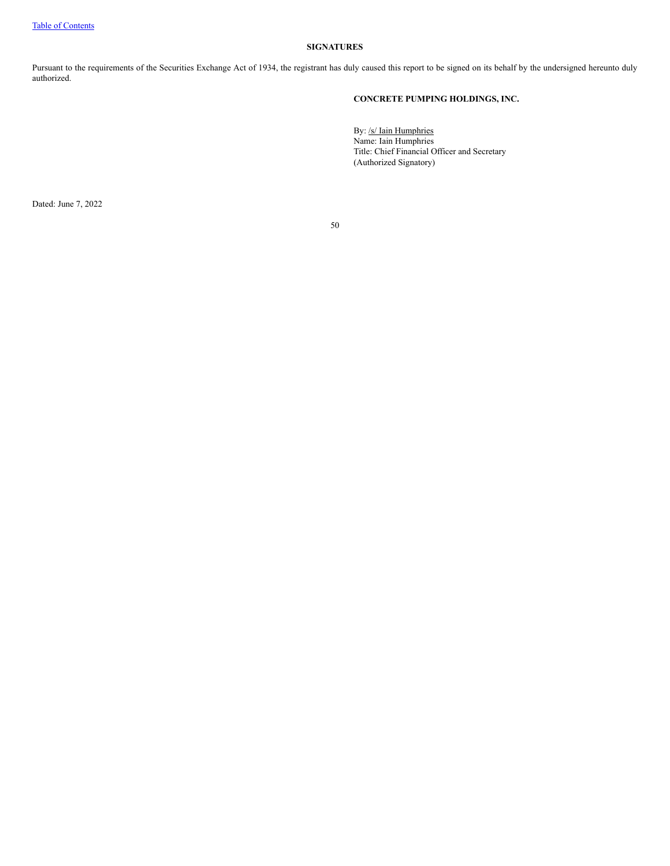### **SIGNATURES**

<span id="page-49-0"></span>Pursuant to the requirements of the Securities Exchange Act of 1934, the registrant has duly caused this report to be signed on its behalf by the undersigned hereunto duly authorized.

# **CONCRETE PUMPING HOLDINGS, INC.**

By: /s/ Iain Humphries Name: Iain Humphries Title: Chief Financial Officer and Secretary (Authorized Signatory)

Dated: June 7, 2022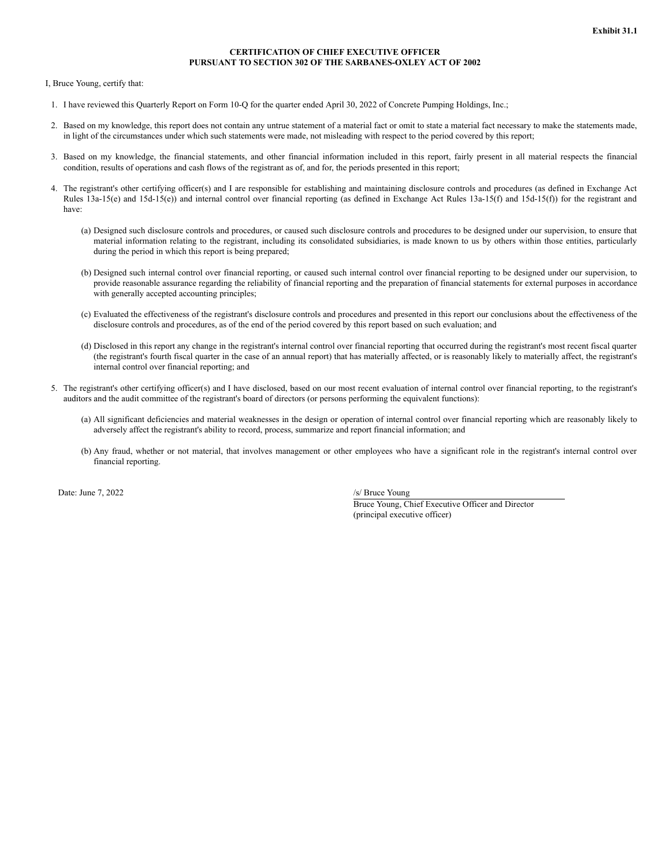### **CERTIFICATION OF CHIEF EXECUTIVE OFFICER PURSUANT TO SECTION 302 OF THE SARBANES-OXLEY ACT OF 2002**

I, Bruce Young, certify that:

- 1. I have reviewed this Quarterly Report on Form 10-Q for the quarter ended April 30, 2022 of Concrete Pumping Holdings, Inc.;
- 2. Based on my knowledge, this report does not contain any untrue statement of a material fact or omit to state a material fact necessary to make the statements made, in light of the circumstances under which such statements were made, not misleading with respect to the period covered by this report;
- 3. Based on my knowledge, the financial statements, and other financial information included in this report, fairly present in all material respects the financial condition, results of operations and cash flows of the registrant as of, and for, the periods presented in this report;
- 4. The registrant's other certifying officer(s) and I are responsible for establishing and maintaining disclosure controls and procedures (as defined in Exchange Act Rules 13a-15(e) and 15d-15(e)) and internal control over financial reporting (as defined in Exchange Act Rules 13a-15(f) and 15d-15(f)) for the registrant and have:
	- (a) Designed such disclosure controls and procedures, or caused such disclosure controls and procedures to be designed under our supervision, to ensure that material information relating to the registrant, including its consolidated subsidiaries, is made known to us by others within those entities, particularly during the period in which this report is being prepared;
	- (b) Designed such internal control over financial reporting, or caused such internal control over financial reporting to be designed under our supervision, to provide reasonable assurance regarding the reliability of financial reporting and the preparation of financial statements for external purposes in accordance with generally accepted accounting principles;
	- (c) Evaluated the effectiveness of the registrant's disclosure controls and procedures and presented in this report our conclusions about the effectiveness of the disclosure controls and procedures, as of the end of the period covered by this report based on such evaluation; and
	- (d) Disclosed in this report any change in the registrant's internal control over financial reporting that occurred during the registrant's most recent fiscal quarter (the registrant's fourth fiscal quarter in the case of an annual report) that has materially affected, or is reasonably likely to materially affect, the registrant's internal control over financial reporting; and
- 5. The registrant's other certifying officer(s) and I have disclosed, based on our most recent evaluation of internal control over financial reporting, to the registrant's auditors and the audit committee of the registrant's board of directors (or persons performing the equivalent functions):
	- (a) All significant deficiencies and material weaknesses in the design or operation of internal control over financial reporting which are reasonably likely to adversely affect the registrant's ability to record, process, summarize and report financial information; and
	- (b) Any fraud, whether or not material, that involves management or other employees who have a significant role in the registrant's internal control over financial reporting.

Date: June 7, 2022 /s/ Bruce Young

Bruce Young, Chief Executive Officer and Director (principal executive officer)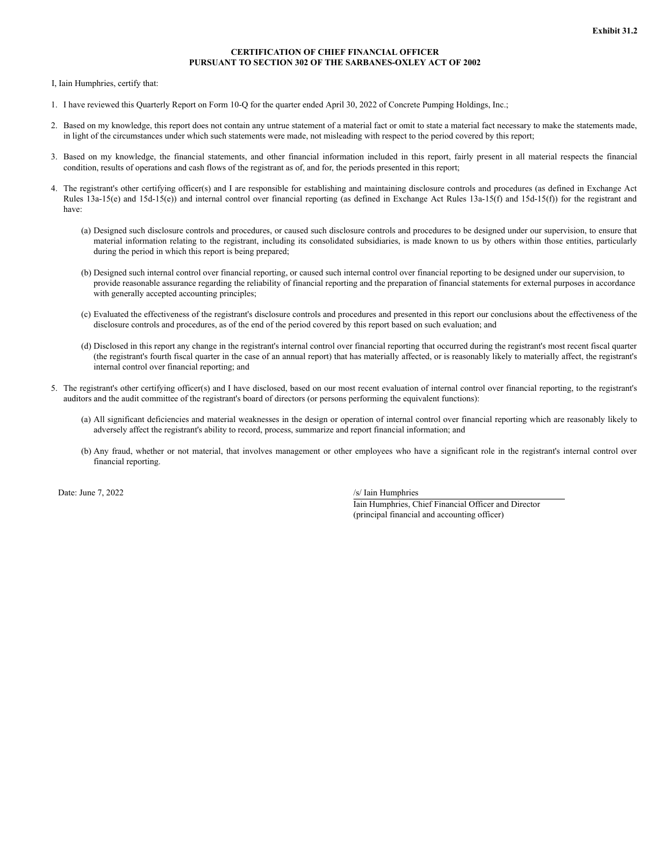### **CERTIFICATION OF CHIEF FINANCIAL OFFICER PURSUANT TO SECTION 302 OF THE SARBANES-OXLEY ACT OF 2002**

I, Iain Humphries, certify that:

- 1. I have reviewed this Quarterly Report on Form 10-Q for the quarter ended April 30, 2022 of Concrete Pumping Holdings, Inc.;
- 2. Based on my knowledge, this report does not contain any untrue statement of a material fact or omit to state a material fact necessary to make the statements made, in light of the circumstances under which such statements were made, not misleading with respect to the period covered by this report;
- 3. Based on my knowledge, the financial statements, and other financial information included in this report, fairly present in all material respects the financial condition, results of operations and cash flows of the registrant as of, and for, the periods presented in this report;
- 4. The registrant's other certifying officer(s) and I are responsible for establishing and maintaining disclosure controls and procedures (as defined in Exchange Act Rules 13a-15(e) and 15d-15(e)) and internal control over financial reporting (as defined in Exchange Act Rules 13a-15(f) and 15d-15(f)) for the registrant and have:
	- (a) Designed such disclosure controls and procedures, or caused such disclosure controls and procedures to be designed under our supervision, to ensure that material information relating to the registrant, including its consolidated subsidiaries, is made known to us by others within those entities, particularly during the period in which this report is being prepared;
	- (b) Designed such internal control over financial reporting, or caused such internal control over financial reporting to be designed under our supervision, to provide reasonable assurance regarding the reliability of financial reporting and the preparation of financial statements for external purposes in accordance with generally accepted accounting principles;
	- (c) Evaluated the effectiveness of the registrant's disclosure controls and procedures and presented in this report our conclusions about the effectiveness of the disclosure controls and procedures, as of the end of the period covered by this report based on such evaluation; and
	- (d) Disclosed in this report any change in the registrant's internal control over financial reporting that occurred during the registrant's most recent fiscal quarter (the registrant's fourth fiscal quarter in the case of an annual report) that has materially affected, or is reasonably likely to materially affect, the registrant's internal control over financial reporting; and
- 5. The registrant's other certifying officer(s) and I have disclosed, based on our most recent evaluation of internal control over financial reporting, to the registrant's auditors and the audit committee of the registrant's board of directors (or persons performing the equivalent functions):
	- (a) All significant deficiencies and material weaknesses in the design or operation of internal control over financial reporting which are reasonably likely to adversely affect the registrant's ability to record, process, summarize and report financial information; and
	- (b) Any fraud, whether or not material, that involves management or other employees who have a significant role in the registrant's internal control over financial reporting.

Date: June 7, 2022 /s/ Iain Humphries

Iain Humphries, Chief Financial Officer and Director (principal financial and accounting officer)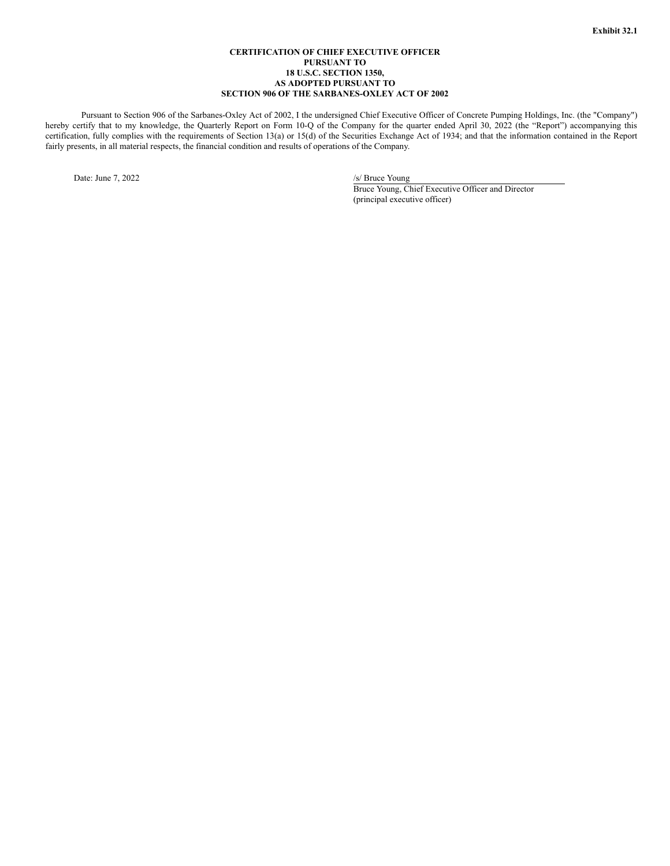### **CERTIFICATION OF CHIEF EXECUTIVE OFFICER PURSUANT TO 18 U.S.C. SECTION 1350, AS ADOPTED PURSUANT TO SECTION 906 OF THE SARBANES-OXLEY ACT OF 2002**

Pursuant to Section 906 of the Sarbanes-Oxley Act of 2002, I the undersigned Chief Executive Officer of Concrete Pumping Holdings, Inc. (the "Company") hereby certify that to my knowledge, the Quarterly Report on Form 10-Q of the Company for the quarter ended April 30, 2022 (the "Report") accompanying this certification, fully complies with the requirements of Section 13(a) or 15(d) of the Securities Exchange Act of 1934; and that the information contained in the Report fairly presents, in all material respects, the financial condition and results of operations of the Company.

Date: June 7, 2022 /s/ Bruce Young

Bruce Young, Chief Executive Officer and Director (principal executive officer)